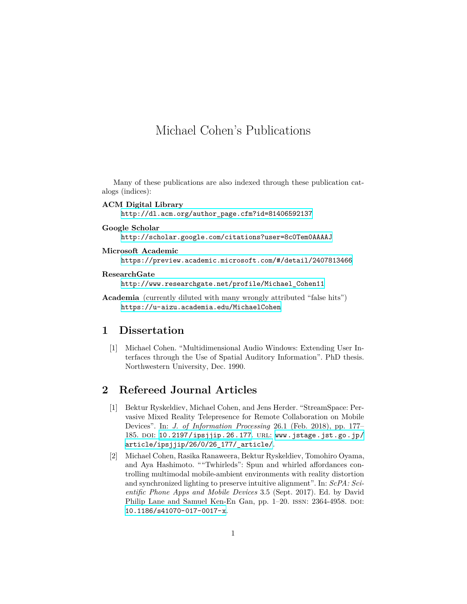# Michael Cohen's Publications

Many of these publications are also indexed through these publication catalogs (indices):

**ACM Digital Library**

[http://dl.acm.org/author\\_page.cfm?id=81406592137](http://dl.acm.org/author_page.cfm?id=81406592137)

**Google Scholar**

<http://scholar.google.com/citations?user=8c0Tem0AAAAJ>

- **Microsoft Academic** <https://preview.academic.microsoft.com/#/detail/2407813466>
- **ResearchGate**

[http://www.researchgate.net/profile/Michael\\_Cohen11](http://www.researchgate.net/profile/Michael_Cohen11)

**Academia** (currently diluted with many wrongly attributed "false hits") <https://u-aizu.academia.edu/MichaelCohen>

# **1 Dissertation**

[1] Michael Cohen. "Multidimensional Audio Windows: Extending User Interfaces through the Use of Spatial Auditory Information". PhD thesis. Northwestern University, Dec. 1990.

# **2 Refereed Journal Articles**

- [1] Bektur Ryskeldiev, Michael Cohen, and Jens Herder. "StreamSpace: Pervasive Mixed Reality Telepresence for Remote Collaboration on Mobile Devices". In: *J. of Information Processing* 26.1 (Feb. 2018), pp. 177– 185. doi: [10.2197/ipsjjip.26.177](http://dx.doi.org/10.2197/ipsjjip.26.177). url: [www.jstage.jst.go.jp/](www.jstage.jst.go.jp/article/ipsjjip/26/0/26_177/_article/) [article/ipsjjip/26/0/26\\_177/\\_article/](www.jstage.jst.go.jp/article/ipsjjip/26/0/26_177/_article/).
- [2] Michael Cohen, Rasika Ranaweera, Bektur Ryskeldiev, Tomohiro Oyama, and Aya Hashimoto. ""Twhirleds": Spun and whirled affordances controlling multimodal mobile-ambient environments with reality distortion and synchronized lighting to preserve intuitive alignment". In: *ScPA: Scientific Phone Apps and Mobile Devices* 3.5 (Sept. 2017). Ed. by David Philip Lane and Samuel Ken-En Gan, pp. 1–20. ISSN: 2364-4958. DOI: [10.1186/s41070-017-0017-x](http://dx.doi.org/10.1186/s41070-017-0017-x).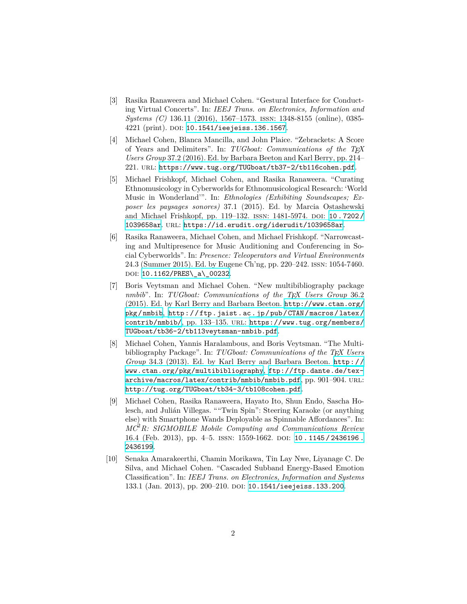- [3] Rasika Ranaweera and Michael Cohen. "Gestural Interface for Conducting Virtual Concerts". In: *IEEJ Trans. on Electronics, Information and Systems (C)* 136.11 (2016), 1567–1573. issn: 1348-8155 (online), 0385- 4221 (print). DOI: [10.1541/ieejeiss.136.1567](http://dx.doi.org/10.1541/ieejeiss.136.1567).
- [4] Michael Cohen, Blanca Mancilla, and John Plaice. "Zebrackets: A Score of Years and Delimiters". In: *TUGboat: Communications of the TEX Users Group* 37.2 (2016). Ed. by Barbara Beeton and Karl Berry, pp. 214– 221. url: <https://www.tug.org/TUGboat/tb37-2/tb116cohen.pdf>.
- [5] Michael Frishkopf, Michael Cohen, and Rasika Ranaweera. "Curating Ethnomusicology in Cyberworlds for Ethnomusicological Research: 'World Music in Wonderland'". In: *Ethnologies (Exhibiting Soundscapes; Exposer les paysages sonores)* 37.1 (2015). Ed. by Marcia Ostashewski and Michael Frishkopf, pp. 119-132. ISSN: 1481-5974. DOI: [10.7202/](http://dx.doi.org/10.7202/1039658ar) [1039658ar](http://dx.doi.org/10.7202/1039658ar). url: <https://id.erudit.org/iderudit/1039658ar>.
- [6] Rasika Ranaweera, Michael Cohen, and Michael Frishkopf. "Narrowcasting and Multipresence for Music Auditioning and Conferencing in Social Cyberworlds". In: *Presence: Teleoperators and Virtual Environments* 24.3 (Summer 2015). Ed. by Eugene Ch'ng, pp. 220–242. issn: 1054-7460. DOI: [10.1162/PRES\\\_a\\\_00232](http://dx.doi.org/10.1162/PRES\_a\_00232).
- [7] Boris Veytsman and Michael Cohen. "New multibibliography package *nmbib*". In: *TUGboat: Communications of the TEX Users Group* 36.2 (2015). Ed. by Karl Berry and Barbara Beeton. [http://www.ctan.org/](http://www.ctan.org/pkg/nmbib) [pkg/nmbib](http://www.ctan.org/pkg/nmbib), [http://ftp.jaist.ac.jp/pub/CTAN/macros/latex/](http://ftp.jaist.ac.jp/pub/CTAN/macros/latex/contrib/nmbib/) [contrib/nmbib/](http://ftp.jaist.ac.jp/pub/CTAN/macros/latex/contrib/nmbib/), pp. 133–135. url: [https://www.tug.org/members/](https://www.tug.org/members/TUGboat/tb36-2/tb113veytsman-nmbib.pdf) [TUGboat/tb36-2/tb113veytsman-nmbib.pdf](https://www.tug.org/members/TUGboat/tb36-2/tb113veytsman-nmbib.pdf).
- [8] Michael Cohen, Yannis Haralambous, and Boris Veytsman. "The Multibibliography Package". In: *TUGboat: Communications of the TEX Users Group* 34.3 (2013). Ed. by Karl Berry and Barbara Beeton. [http://](http://www.ctan.org/pkg/multibibliography) [www.ctan.org/pkg/multibibliography](http://www.ctan.org/pkg/multibibliography), [ftp://ftp.dante.de/tex](ftp://ftp.dante.de/tex-archive/macros/latex/contrib/nmbib/nmbib.pdf)[archive/macros/latex/contrib/nmbib/nmbib.pdf](ftp://ftp.dante.de/tex-archive/macros/latex/contrib/nmbib/nmbib.pdf), pp. 901–904. url: <http://tug.org/TUGboat/tb34-3/tb108cohen.pdf>.
- [9] Michael Cohen, Rasika Ranaweera, Hayato Ito, Shun Endo, Sascha Holesch, and Julián Villegas. ""Twin Spin": Steering Karaoke (or anything else) with Smartphone Wands Deployable as Spinnable Affordances". In: *MC*<sup>2</sup>*R: SIGMOBILE Mobile Computing and Communications Review* 16.4 (Feb. 2013), pp. 4-5. ISSN: 1559-1662. DOI: 10.1145/2436196. [2436199](http://dx.doi.org/10.1145/2436196.2436199).
- [10] Senaka Amarakeerthi, Chamin Morikawa, Tin Lay Nwe, Liyanage C. De Silva, and Michael Cohen. "Cascaded Subband Energy-Based Emotion Classification". In: *IEEJ Trans. on Electronics, Information and Systems* 133.1 (Jan. 2013), pp. 200-210. DOI: [10.1541/ieejeiss.133.200](http://dx.doi.org/10.1541/ieejeiss.133.200).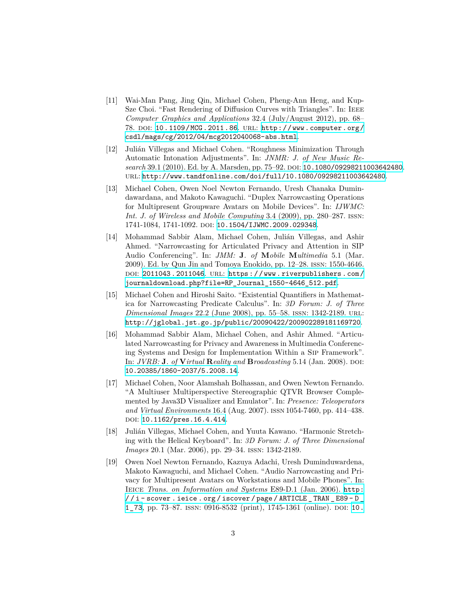- [11] Wai-Man Pang, Jing Qin, Michael Cohen, Pheng-Ann Heng, and Kup-Sze Choi. "Fast Rendering of Diffusion Curves with Triangles". In: IEEE *Computer Graphics and Applications* 32.4 (July/August 2012), pp. 68– 78. doi: [10.1109/MCG.2011.86](http://dx.doi.org/10.1109/MCG.2011.86). url: [http://www.computer.org/](http://www.computer.org/csdl/mags/cg/2012/04/mcg2012040068-abs.html) [csdl/mags/cg/2012/04/mcg2012040068-abs.html](http://www.computer.org/csdl/mags/cg/2012/04/mcg2012040068-abs.html).
- [12] Julián Villegas and Michael Cohen. "Roughness Minimization Through Automatic Intonation Adjustments". In: *JNMR: J. of New Music Research* 39.1 (2010). Ed. by A. Marsden, pp. 75–92. doi: [10.1080/09298211003642480](http://dx.doi.org/10.1080/09298211003642480). url: <http://www.tandfonline.com/doi/full/10.1080/09298211003642480>.
- [13] Michael Cohen, Owen Noel Newton Fernando, Uresh Chanaka Dumindawardana, and Makoto Kawaguchi. "Duplex Narrowcasting Operations for Multipresent Groupware Avatars on Mobile Devices". In: *IJWMC: Int. J. of Wireless and Mobile Computing* 3.4 (2009), pp. 280–287. issn: 1741-1084, 1741-1092. DOI: [10.1504/IJWMC.2009.029348](http://dx.doi.org/10.1504/IJWMC.2009.029348).
- [14] Mohammad Sabbir Alam, Michael Cohen, Julián Villegas, and Ashir Ahmed. "Narrowcasting for Articulated Privacy and Attention in SIP Audio Conferencing". In: *JMM:* **J***. of* **M***obile* **M***ultimedia* 5.1 (Mar. 2009). Ed. by Qun Jin and Tomoya Enokido, pp. 12–28. issn: 1550-4646. DOI: [2011043.2011046](http://dx.doi.org/2011043.2011046). URL: [https://www.riverpublishers.com/](https://www.riverpublishers.com/journaldownload.php?file=RP_Journal_1550-4646_512.pdf) [journaldownload.php?file=RP\\_Journal\\_1550-4646\\_512.pdf](https://www.riverpublishers.com/journaldownload.php?file=RP_Journal_1550-4646_512.pdf).
- [15] Michael Cohen and Hiroshi Saito. "Existential Quantifiers in Mathematica for Narrowcasting Predicate Calculus". In: *3D Forum: J. of Three Dimensional Images* 22.2 (June 2008), pp. 55–58. issn: 1342-2189. url: <http://jglobal.jst.go.jp/public/20090422/200902289181169720>.
- [16] Mohammad Sabbir Alam, Michael Cohen, and Ashir Ahmed. "Articulated Narrowcasting for Privacy and Awareness in Multimedia Conferencing Systems and Design for Implementation Within a Sip Framework". In: *JVRB:* **J***. of* **V***irtual* **R***eality and* **B***roadcasting* 5.14 (Jan. 2008). DOI: [10.20385/1860-2037/5.2008.14](http://dx.doi.org/10.20385/1860-2037/5.2008.14).
- [17] Michael Cohen, Noor Alamshah Bolhassan, and Owen Newton Fernando. "A Multiuser Multiperspective Stereographic QTVR Browser Complemented by Java3D Visualizer and Emulator". In: *Presence: Teleoperators and Virtual Environments* 16.4 (Aug. 2007). issn 1054-7460, pp. 414–438. DOI: [10.1162/pres.16.4.414](http://dx.doi.org/10.1162/pres.16.4.414).
- [18] Julián Villegas, Michael Cohen, and Yuuta Kawano. "Harmonic Stretching with the Helical Keyboard". In: *3D Forum: J. of Three Dimensional Images* 20.1 (Mar. 2006), pp. 29–34. issn: 1342-2189.
- [19] Owen Noel Newton Fernando, Kazuya Adachi, Uresh Duminduwardena, Makoto Kawaguchi, and Michael Cohen. "Audio Narrowcasting and Privacy for Multipresent Avatars on Workstations and Mobile Phones". In: Ieice *Trans. on Information and Systems* E89-D.1 (Jan. 2006). [http:](http://i-scover.ieice.org/iscover/page/ARTICLE_TRAN_E89-D_1_73) [/ / i - scover . ieice . org / iscover / page / ARTICLE \\_ TRAN \\_ E89 - D \\_](http://i-scover.ieice.org/iscover/page/ARTICLE_TRAN_E89-D_1_73) [1\\_73](http://i-scover.ieice.org/iscover/page/ARTICLE_TRAN_E89-D_1_73), pp. 73–87. issn: 0916-8532 (print), 1745-1361 (online). doi: [10.](http://dx.doi.org/10.1093/ietisy/e89-d.1.73)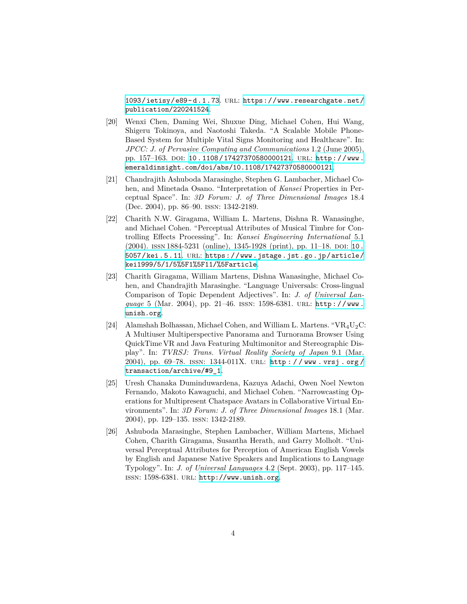[1093/ietisy/e89-d.1.73](http://dx.doi.org/10.1093/ietisy/e89-d.1.73). url: [https://www.researchgate.net/](https://www.researchgate.net/publication/220241524) [publication/220241524](https://www.researchgate.net/publication/220241524).

- [20] Wenxi Chen, Daming Wei, Shuxue Ding, Michael Cohen, Hui Wang, Shigeru Tokinoya, and Naotoshi Takeda. "A Scalable Mobile Phone-Based System for Multiple Vital Signs Monitoring and Healthcare". In: *JPCC: J. of Pervasive Computing and Communications* 1.2 (June 2005), pp. 157-163. DOI: [10.1108/17427370580000121](http://dx.doi.org/10.1108/17427370580000121). URL: [http://www.](http://www.emeraldinsight.com/doi/abs/10.1108/17427370580000121) [emeraldinsight.com/doi/abs/10.1108/17427370580000121](http://www.emeraldinsight.com/doi/abs/10.1108/17427370580000121).
- [21] Chandrajith Ashuboda Marasinghe, Stephen G. Lambacher, Michael Cohen, and Minetada Osano. "Interpretation of *Kansei* Properties in Perceptual Space". In: *3D Forum: J. of Three Dimensional Images* 18.4 (Dec. 2004), pp. 86–90. issn: 1342-2189.
- [22] Charith N.W. Giragama, William L. Martens, Dishna R. Wanasinghe, and Michael Cohen. "Perceptual Attributes of Musical Timbre for Controlling Effects Processing". In: *Kansei Engineering International* 5.1 (2004). issn 1884-5231 (online), 1345-1928 (print), pp. 11–18. doi: [10.](http://dx.doi.org/10.5057/kei.5.11) [5057/kei.5.11](http://dx.doi.org/10.5057/kei.5.11). url: [https://www.jstage.jst.go.jp/article/](https://www.jstage.jst.go.jp/article/kei1999/5/1/5%5F1%5F11/%5Farticle) [kei1999/5/1/5%5F1%5F11/%5Farticle](https://www.jstage.jst.go.jp/article/kei1999/5/1/5%5F1%5F11/%5Farticle).
- [23] Charith Giragama, William Martens, Dishna Wanasinghe, Michael Cohen, and Chandrajith Marasinghe. "Language Universals: Cross-lingual Comparison of Topic Dependent Adjectives". In: *J. of Universal Language* 5 (Mar. 2004), pp. 21–46. issn: 1598-6381. url: [http://www.](http://www.unish.org) [unish.org](http://www.unish.org).
- [24] Alamshah Bolhassan, Michael Cohen, and William L. Martens. " $VR_4U_2C$ : A Multiuser Multiperspective Panorama and Turnorama Browser Using QuickTime VR and Java Featuring Multimonitor and Stereographic Display". In: *TVRSJ: Trans. Virtual Reality Society of Japan* 9.1 (Mar. 2004), pp. 69–78. issn: 1344-011X. url: [http : / / www . vrsj . org /](http://www.vrsj.org/transaction/archive/#9_1) [transaction/archive/#9\\_1](http://www.vrsj.org/transaction/archive/#9_1).
- [25] Uresh Chanaka Duminduwardena, Kazuya Adachi, Owen Noel Newton Fernando, Makoto Kawaguchi, and Michael Cohen. "Narrowcasting Operations for Multipresent Chatspace Avatars in Collaborative Virtual Environments". In: *3D Forum: J. of Three Dimensional Images* 18.1 (Mar. 2004), pp. 129–135. issn: 1342-2189.
- [26] Ashuboda Marasinghe, Stephen Lambacher, William Martens, Michael Cohen, Charith Giragama, Susantha Herath, and Garry Molholt. "Universal Perceptual Attributes for Perception of American English Vowels by English and Japanese Native Speakers and Implications to Language Typology". In: *J. of Universal Languages* 4.2 (Sept. 2003), pp. 117–145. issn: 1598-6381. url: <http://www.unish.org>.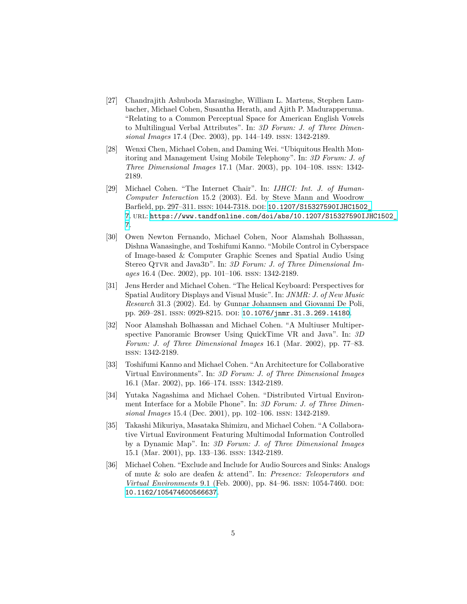- [27] Chandrajith Ashuboda Marasinghe, William L. Martens, Stephen Lambacher, Michael Cohen, Susantha Herath, and Ajith P. Madurapperuma. "Relating to a Common Perceptual Space for American English Vowels to Multilingual Verbal Attributes". In: *3D Forum: J. of Three Dimensional Images* 17.4 (Dec. 2003), pp. 144–149. issn: 1342-2189.
- [28] Wenxi Chen, Michael Cohen, and Daming Wei. "Ubiquitous Health Monitoring and Management Using Mobile Telephony". In: *3D Forum: J. of Three Dimensional Images* 17.1 (Mar. 2003), pp. 104–108. issn: 1342- 2189.
- [29] Michael Cohen. "The Internet Chair". In: *IJHCI: Int. J. of Human-Computer Interaction* 15.2 (2003). Ed. by Steve Mann and Woodrow Barfield, pp. 297-311. ISSN: 1044-7318. DOI: 10.1207/S15327590IJHC1502 [7](http://dx.doi.org/10.1207/S15327590IJHC1502_7). url: [https://www.tandfonline.com/doi/abs/10.1207/S15327590IJHC1502\\_](https://www.tandfonline.com/doi/abs/10.1207/S15327590IJHC1502_7) [7](https://www.tandfonline.com/doi/abs/10.1207/S15327590IJHC1502_7).
- [30] Owen Newton Fernando, Michael Cohen, Noor Alamshah Bolhassan, Dishna Wanasinghe, and Toshifumi Kanno. "Mobile Control in Cyberspace of Image-based & Computer Graphic Scenes and Spatial Audio Using Stereo QTVR and Java3D". In: 3D Forum: J. of Three Dimensional Im*ages* 16.4 (Dec. 2002), pp. 101–106. issn: 1342-2189.
- [31] Jens Herder and Michael Cohen. "The Helical Keyboard: Perspectives for Spatial Auditory Displays and Visual Music". In: *JNMR: J. of New Music Research* 31.3 (2002). Ed. by Gunnar Johannsen and Giovanni De Poli, pp. 269-281. ISSN: 0929-8215. DOI: [10.1076/jnmr.31.3.269.14180](http://dx.doi.org/10.1076/jnmr.31.3.269.14180).
- [32] Noor Alamshah Bolhassan and Michael Cohen. "A Multiuser Multiperspective Panoramic Browser Using QuickTime VR and Java". In: *3D Forum: J. of Three Dimensional Images* 16.1 (Mar. 2002), pp. 77–83. issn: 1342-2189.
- [33] Toshifumi Kanno and Michael Cohen. "An Architecture for Collaborative Virtual Environments". In: *3D Forum: J. of Three Dimensional Images* 16.1 (Mar. 2002), pp. 166–174. issn: 1342-2189.
- [34] Yutaka Nagashima and Michael Cohen. "Distributed Virtual Environment Interface for a Mobile Phone". In: *3D Forum: J. of Three Dimensional Images* 15.4 (Dec. 2001), pp. 102–106. issn: 1342-2189.
- [35] Takashi Mikuriya, Masataka Shimizu, and Michael Cohen. "A Collaborative Virtual Environment Featuring Multimodal Information Controlled by a Dynamic Map". In: *3D Forum: J. of Three Dimensional Images* 15.1 (Mar. 2001), pp. 133–136. issn: 1342-2189.
- [36] Michael Cohen. "Exclude and Include for Audio Sources and Sinks: Analogs of mute & solo are deafen & attend". In: *Presence: Teleoperators and Virtual Environments* 9.1 (Feb. 2000), pp. 84–96. ISSN: 1054-7460. DOI: [10.1162/105474600566637](http://dx.doi.org/10.1162/105474600566637).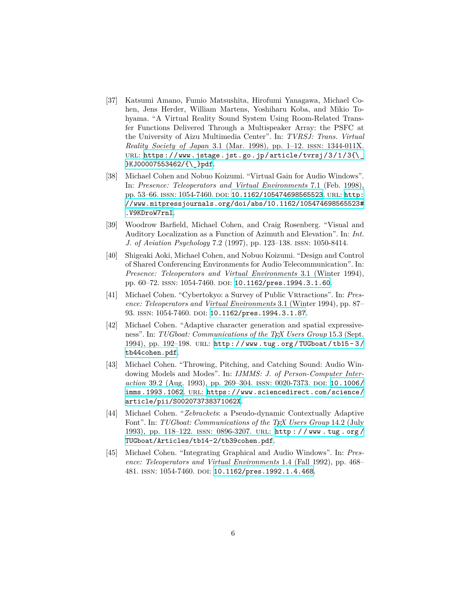- [37] Katsumi Amano, Fumio Matsushita, Hirofumi Yanagawa, Michael Cohen, Jens Herder, William Martens, Yoshiharu Koba, and Mikio Tohyama. "A Virtual Reality Sound System Using Room-Related Transfer Functions Delivered Through a Multispeaker Array: the PSFC at the University of Aizu Multimedia Center". In: *TVRSJ: Trans. Virtual Reality Society of Japan* 3.1 (Mar. 1998), pp. 1–12. issn: 1344-011X. URL: [https://www.jstage.jst.go.jp/article/tvrsj/3/1/3{\\\_](https://www.jstage.jst.go.jp/article/tvrsj/3/1/3{\_}KJ00007553462/{\_}pdf) [}KJ00007553462/{\\\_}pdf](https://www.jstage.jst.go.jp/article/tvrsj/3/1/3{\_}KJ00007553462/{\_}pdf).
- [38] Michael Cohen and Nobuo Koizumi. "Virtual Gain for Audio Windows". In: *Presence: Teleoperators and Virtual Environments* 7.1 (Feb. 1998), pp. 53–66. ISSN: 1054-7460. DOI: [10.1162/105474698565523](http://dx.doi.org/10.1162/105474698565523). URL: [http:](http://www.mitpressjournals.org/doi/abs/10.1162/105474698565523#.V9KDroW7rnI) [//www.mitpressjournals.org/doi/abs/10.1162/105474698565523#](http://www.mitpressjournals.org/doi/abs/10.1162/105474698565523#.V9KDroW7rnI) [.V9KDroW7rnI](http://www.mitpressjournals.org/doi/abs/10.1162/105474698565523#.V9KDroW7rnI).
- [39] Woodrow Barfield, Michael Cohen, and Craig Rosenberg. "Visual and Auditory Localization as a Function of Azimuth and Elevation". In: *Int. J. of Aviation Psychology* 7.2 (1997), pp. 123–138. issn: 1050-8414.
- [40] Shigeaki Aoki, Michael Cohen, and Nobuo Koizumi. "Design and Control of Shared Conferencing Environments for Audio Telecommunication". In: *Presence: Teleoperators and Virtual Environments* 3.1 (Winter 1994), pp. 60-72. ISSN: 1054-7460. DOI: [10.1162/pres.1994.3.1.60](http://dx.doi.org/10.1162/pres.1994.3.1.60).
- [41] Michael Cohen. "Cybertokyo: a Survey of Public Vrtractions". In: *Presence: Teleoperators and Virtual Environments* 3.1 (Winter 1994), pp. 87– 93. ISSN: 1054-7460. DOI: [10.1162/pres.1994.3.1.87](http://dx.doi.org/10.1162/pres.1994.3.1.87).
- [42] Michael Cohen. "Adaptive character generation and spatial expressiveness". In: *TUGboat: Communications of the TEX Users Group* 15.3 (Sept. 1994), pp. 192–198. url: [http://www.tug.org/TUGboat/tb15- 3/](http://www.tug.org/TUGboat/tb15-3/tb44cohen.pdf) [tb44cohen.pdf](http://www.tug.org/TUGboat/tb15-3/tb44cohen.pdf).
- [43] Michael Cohen. "Throwing, Pitching, and Catching Sound: Audio Windowing Models and Modes". In: *IJMMS: J. of Person-Computer Interaction* 39.2 (Aug. 1993), pp. 269-304. ISSN: 0020-7373. DOI: [10.1006/](http://dx.doi.org/10.1006/imms.1993.1062) [imms.1993.1062](http://dx.doi.org/10.1006/imms.1993.1062). url: [https://www.sciencedirect.com/science/](https://www.sciencedirect.com/science/article/pii/S002073738371062X) [article/pii/S002073738371062X](https://www.sciencedirect.com/science/article/pii/S002073738371062X).
- [44] Michael Cohen. "*Zebrackets*: a Pseudo-dynamic Contextually Adaptive Font". In: *TUGboat: Communications of the TEX Users Group* 14.2 (July 1993), pp. 118–122. issn: 0896-3207. url: [http : / / www . tug . org /](http://www.tug.org/TUGboat/Articles/tb14-2/tb39cohen.pdf) [TUGboat/Articles/tb14-2/tb39cohen.pdf](http://www.tug.org/TUGboat/Articles/tb14-2/tb39cohen.pdf).
- [45] Michael Cohen. "Integrating Graphical and Audio Windows". In: *Presence: Teleoperators and Virtual Environments* 1.4 (Fall 1992), pp. 468– 481. ISSN: 1054-7460. DOI: [10.1162/pres.1992.1.4.468](http://dx.doi.org/10.1162/pres.1992.1.4.468).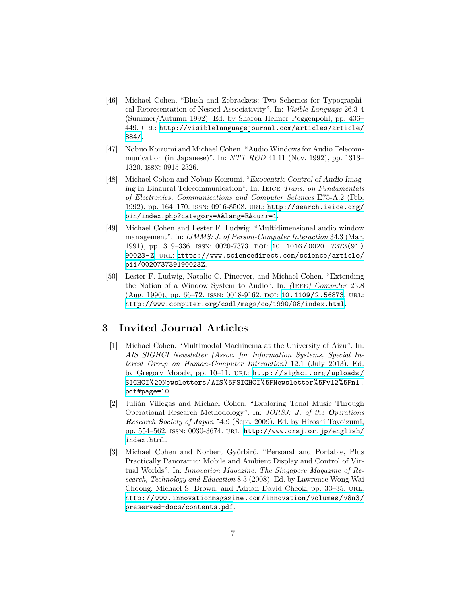- [46] Michael Cohen. "Blush and Zebrackets: Two Schemes for Typographical Representation of Nested Associativity". In: *Visible Language* 26.3-4 (Summer/Autumn 1992). Ed. by Sharon Helmer Poggenpohl, pp. 436– 449. url: [http://visiblelanguagejournal.com/articles/article/](http://visiblelanguagejournal.com/articles/article/884/) [884/](http://visiblelanguagejournal.com/articles/article/884/).
- [47] Nobuo Koizumi and Michael Cohen. "Audio Windows for Audio Telecommunication (in Japanese)". In: *NTT R&D* 41.11 (Nov. 1992), pp. 1313– 1320. issn: 0915-2326.
- [48] Michael Cohen and Nobuo Koizumi. "*Exocentric Control of Audio Imaging* in Binaural Telecommunication". In: Ieice *Trans. on Fundamentals of Electronics, Communications and Computer Sciences* E75-A.2 (Feb. 1992), pp. 164–170. issn: 0916-8508. url: [http://search.ieice.org/](http://search.ieice.org/bin/index.php?category=A&lang=E&curr=1) [bin/index.php?category=A&lang=E&curr=1](http://search.ieice.org/bin/index.php?category=A&lang=E&curr=1).
- [49] Michael Cohen and Lester F. Ludwig. "Multidimensional audio window management". In: *IJMMS: J. of Person-Computer Interaction* 34.3 (Mar. 1991), pp. 319–336. issn: 0020-7373. doi: [10 . 1016 / 0020 - 7373\(91 \)](http://dx.doi.org/10.1016/0020-7373(91)90023-Z) [90023-Z](http://dx.doi.org/10.1016/0020-7373(91)90023-Z). url: [https://www.sciencedirect.com/science/article/](https://www.sciencedirect.com/science/article/pii/002073739190023Z) [pii/002073739190023Z](https://www.sciencedirect.com/science/article/pii/002073739190023Z).
- [50] Lester F. Ludwig, Natalio C. Pincever, and Michael Cohen. "Extending the Notion of a Window System to Audio". In: *(*Ieee*) Computer* 23.8 (Aug. 1990), pp. 66-72. ISSN: 0018-9162. DOI: [10.1109/2.56873](http://dx.doi.org/10.1109/2.56873). URL: <http://www.computer.org/csdl/mags/co/1990/08/index.html>.

### **3 Invited Journal Articles**

- [1] Michael Cohen. "Multimodal Machinema at the University of Aizu". In: *AIS SIGHCI Newsletter (Assoc. for Information Systems, Special Interest Group on Human-Computer Interaction)* 12.1 (July 2013). Ed. by Gregory Moody, pp. 10-11. URL: [http://sighci.org/uploads/](http://sighci.org/uploads/SIGHCI%20Newsletters/AIS%5FSIGHCI%5FNewsletter%5Fv12%5Fn1.pdf#page=10) [SIGHCI%20Newsletters/AIS%5FSIGHCI%5FNewsletter%5Fv12%5Fn1.](http://sighci.org/uploads/SIGHCI%20Newsletters/AIS%5FSIGHCI%5FNewsletter%5Fv12%5Fn1.pdf#page=10) [pdf#page=10](http://sighci.org/uploads/SIGHCI%20Newsletters/AIS%5FSIGHCI%5FNewsletter%5Fv12%5Fn1.pdf#page=10).
- [2] Julián Villegas and Michael Cohen. "Exploring Tonal Music Through Operational Research Methodology". In: *JORSJ: J. of the Operations Research Society of Japan* 54.9 (Sept. 2009). Ed. by Hiroshi Toyoizumi, pp. 554–562. issn: 0030-3674. url: [http://www.orsj.or.jp/english/](http://www.orsj.or.jp/english/index.html) [index.html](http://www.orsj.or.jp/english/index.html).
- [3] Michael Cohen and Norbert Győrbiró. "Personal and Portable, Plus Practically Panoramic: Mobile and Ambient Display and Control of Virtual Worlds". In: *Innovation Magazine: The Singapore Magazine of Research, Technology and Education* 8.3 (2008). Ed. by Lawrence Wong Wai Choong, Michael S. Brown, and Adrian David Cheok, pp. 33–35. URL: [http://www.innovationmagazine.com/innovation/volumes/v8n3/](http://www.innovationmagazine.com/innovation/volumes/v8n3/preserved-docs/contents.pdf) [preserved-docs/contents.pdf](http://www.innovationmagazine.com/innovation/volumes/v8n3/preserved-docs/contents.pdf).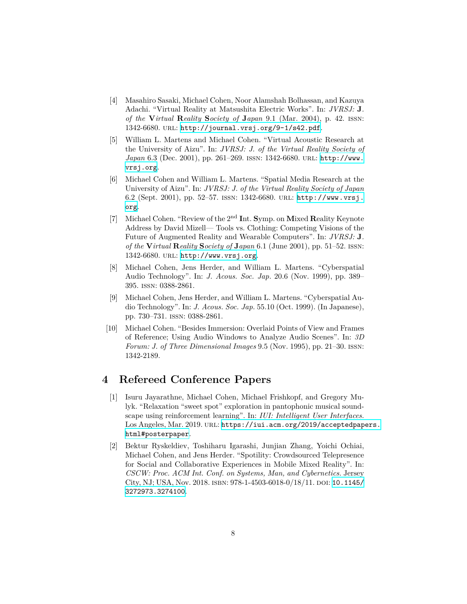- [4] Masahiro Sasaki, Michael Cohen, Noor Alamshah Bolhassan, and Kazuya Adachi. "Virtual Reality at Matsushita Electric Works". In: *JVRSJ:* **J***. of the* **V***irtual* **R***eality* **S***ociety of* **J***apan* 9.1 (Mar. 2004), p. 42. issn: 1342-6680. url: <http://journal.vrsj.org/9-1/s42.pdf>.
- [5] William L. Martens and Michael Cohen. "Virtual Acoustic Research at the University of Aizu". In: *JVRSJ: J. of the Virtual Reality Society of Japan* 6.3 (Dec. 2001), pp. 261–269. issn: 1342-6680. url: [http://www.](http://www.vrsj.org) [vrsj.org](http://www.vrsj.org).
- [6] Michael Cohen and William L. Martens. "Spatial Media Research at the University of Aizu". In: *JVRSJ: J. of the Virtual Reality Society of Japan* 6.2 (Sept. 2001), pp. 52–57. issn: 1342-6680. url: [http://www.vrsj.](http://www.vrsj.org) [org](http://www.vrsj.org).
- [7] Michael Cohen. "Review of the 2<sup>nd</sup> Int. Symp. on Mixed Reality Keynote Address by David Mizell— Tools vs. Clothing: Competing Visions of the Future of Augmented Reality and Wearable Computers". In: *JVRSJ:* **J***. of the* **V***irtual* **R***eality* **S***ociety of* **J***apan* 6.1 (June 2001), pp. 51–52. issn: 1342-6680. url: <http://www.vrsj.org>.
- [8] Michael Cohen, Jens Herder, and William L. Martens. "Cyberspatial Audio Technology". In: *J. Acous. Soc. Jap.* 20.6 (Nov. 1999), pp. 389– 395. issn: 0388-2861.
- [9] Michael Cohen, Jens Herder, and William L. Martens. "Cyberspatial Audio Technology". In: *J. Acous. Soc. Jap.* 55.10 (Oct. 1999). (In Japanese), pp. 730–731. issn: 0388-2861.
- [10] Michael Cohen. "Besides Immersion: Overlaid Points of View and Frames of Reference; Using Audio Windows to Analyze Audio Scenes". In: *3D Forum: J. of Three Dimensional Images* 9.5 (Nov. 1995), pp. 21–30. issn: 1342-2189.

#### **4 Refereed Conference Papers**

- [1] Isuru Jayarathne, Michael Cohen, Michael Frishkopf, and Gregory Mulyk. "Relaxation "sweet spot" exploration in pantophonic musical soundscape using reinforcement learning". In: *IUI: Intelligent User Interfaces*. Los Angeles, Mar. 2019. URL: [https://iui.acm.org/2019/acceptedpapers.](https://iui.acm.org/2019/acceptedpapers.html#posterpaper) [html#posterpaper](https://iui.acm.org/2019/acceptedpapers.html#posterpaper).
- [2] Bektur Ryskeldiev, Toshiharu Igarashi, Junjian Zhang, Yoichi Ochiai, Michael Cohen, and Jens Herder. "Spotility: Crowdsourced Telepresence for Social and Collaborative Experiences in Mobile Mixed Reality". In: *CSCW: Proc. ACM Int. Conf. on Systems, Man, and Cybernetics*. Jersey City, NJ; USA, Nov. 2018. isbn: 978-1-4503-6018-0/18/11. doi: [10.1145/](http://dx.doi.org/10.1145/3272973.3274100) [3272973.3274100](http://dx.doi.org/10.1145/3272973.3274100).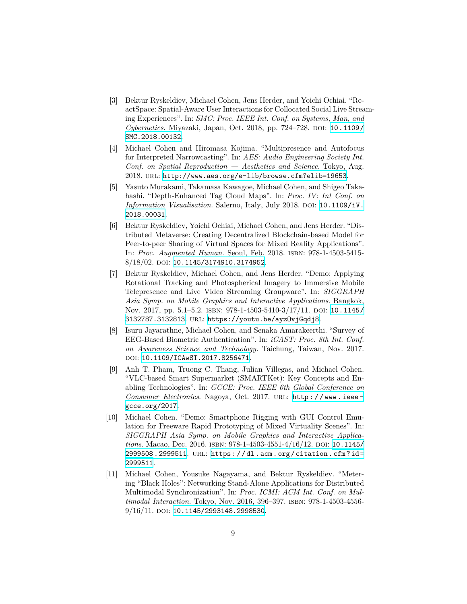- [3] Bektur Ryskeldiev, Michael Cohen, Jens Herder, and Yoichi Ochiai. "ReactSpace: Spatial-Aware User Interactions for Collocated Social Live Streaming Experiences". In: *SMC: Proc. IEEE Int. Conf. on Systems, Man, and Cybernetics*. Miyazaki, Japan, Oct. 2018, pp. 724–728. DOI: [10.1109/](http://dx.doi.org/10.1109/SMC.2018.00132) [SMC.2018.00132](http://dx.doi.org/10.1109/SMC.2018.00132).
- [4] Michael Cohen and Hiromasa Kojima. "Multipresence and Autofocus for Interpreted Narrowcasting". In: *AES: Audio Engineering Society Int. Conf. on Spatial Reproduction — Aesthetics and Science*. Tokyo, Aug. 2018. url: <http://www.aes.org/e-lib/browse.cfm?elib=19653>.
- [5] Yasuto Murakami, Takamasa Kawagoe, Michael Cohen, and Shigeo Takahashi. "Depth-Enhanced Tag Cloud Maps". In: *Proc. IV: Int Conf. on Information Visualisation.* Salerno, Italy, July 2018. DOI: [10.1109/iV.](http://dx.doi.org/10.1109/iV.2018.00031) [2018.00031](http://dx.doi.org/10.1109/iV.2018.00031).
- [6] Bektur Ryskeldiev, Yoichi Ochiai, Michael Cohen, and Jens Herder. "Distributed Metaverse: Creating Decentralized Blockchain-based Model for Peer-to-peer Sharing of Virtual Spaces for Mixed Reality Applications". In: *Proc. Augmented Human*. Seoul, Feb. 2018. isbn: 978-1-4503-5415- 8/18/02. doi: [10.1145/3174910.3174952](http://dx.doi.org/10.1145/3174910.3174952).
- [7] Bektur Ryskeldiev, Michael Cohen, and Jens Herder. "Demo: Applying Rotational Tracking and Photospherical Imagery to Immersive Mobile Telepresence and Live Video Streaming Groupware". In: *SIGGRAPH Asia Symp. on Mobile Graphics and Interactive Applications*. Bangkok, Nov. 2017, pp. 5.1–5.2. ISBN: 978-1-4503-5410-3/17/11. DOI: [10.1145/](http://dx.doi.org/10.1145/3132787.3132813) [3132787.3132813](http://dx.doi.org/10.1145/3132787.3132813). url: <https://youtu.be/ayzOvjGqdj8>.
- [8] Isuru Jayarathne, Michael Cohen, and Senaka Amarakeerthi. "Survey of EEG-Based Biometric Authentication". In: *iCAST: Proc. 8th Int. Conf. on Awareness Science and Technology*. Taichung, Taiwan, Nov. 2017. doi: [10.1109/ICAwST.2017.8256471](http://dx.doi.org/10.1109/ICAwST.2017.8256471).
- [9] Anh T. Pham, Truong C. Thang, Julian Villegas, and Michael Cohen. "VLC-based Smart Supermarket (SMARTKet): Key Concepts and Enabling Technologies". In: *GCCE: Proc. IEEE 6th Global Conference on Consumer Electronics*. Nagoya, Oct. 2017. url: [http:/ /www.ieee](http://www.ieee-gcce.org/2017)[gcce.org/2017](http://www.ieee-gcce.org/2017).
- [10] Michael Cohen. "Demo: Smartphone Rigging with GUI Control Emulation for Freeware Rapid Prototyping of Mixed Virtuality Scenes". In: *SIGGRAPH Asia Symp. on Mobile Graphics and Interactive Applications*. Macao, Dec. 2016. ISBN: 978-1-4503-4551-4/16/12. DOI: [10.1145/](http://dx.doi.org/10.1145/2999508.2999511) [2999508.2999511](http://dx.doi.org/10.1145/2999508.2999511). url: [https://dl.acm.org/citation.cfm?id=](https://dl.acm.org/citation.cfm?id=2999511) [2999511](https://dl.acm.org/citation.cfm?id=2999511).
- [11] Michael Cohen, Yousuke Nagayama, and Bektur Ryskeldiev. "Metering "Black Holes": Networking Stand-Alone Applications for Distributed Multimodal Synchronization". In: *Proc. ICMI: ACM Int. Conf. on Multimodal Interaction*. Tokyo, Nov. 2016, 396–397. isbn: 978-1-4503-4556- 9/16/11. doi: [10.1145/2993148.2998530](http://dx.doi.org/10.1145/2993148.2998530).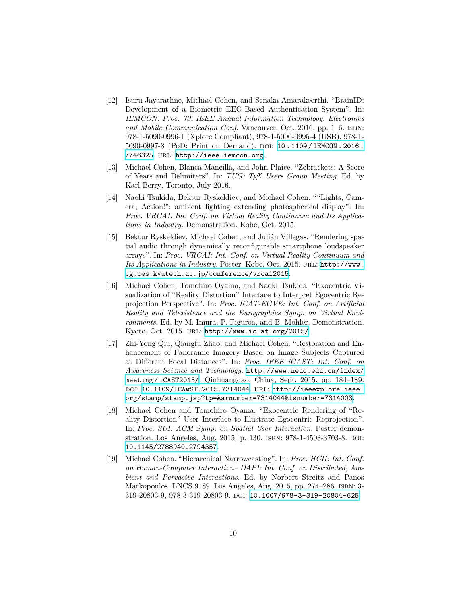- [12] Isuru Jayarathne, Michael Cohen, and Senaka Amarakeerthi. "BrainID: Development of a Biometric EEG-Based Authentication System". In: *IEMCON: Proc. 7th IEEE Annual Information Technology, Electronics and Mobile Communication Conf.* Vancouver, Oct. 2016, pp. 1–6. ISBN: 978-1-5090-0996-1 (Xplore Compliant), 978-1-5090-0995-4 (USB), 978-1- 5090-0997-8 (PoD: Print on Demand). DOI: [10.1109/IEMCON.2016.](http://dx.doi.org/10.1109/IEMCON.2016.7746325) [7746325](http://dx.doi.org/10.1109/IEMCON.2016.7746325). url: <http://ieee-iemcon.org>.
- [13] Michael Cohen, Blanca Mancilla, and John Plaice. "Zebrackets: A Score of Years and Delimiters". In: *TUG: TEX Users Group Meeting*. Ed. by Karl Berry. Toronto, July 2016.
- [14] Naoki Tsukida, Bektur Ryskeldiev, and Michael Cohen. ""Lights, Camera, Action!": ambient lighting extending photospherical display". In: *Proc. VRCAI: Int. Conf. on Virtual Reality Continuum and Its Applications in Industry*. Demonstration. Kobe, Oct. 2015.
- [15] Bektur Ryskeldiev, Michael Cohen, and Julián Villegas. "Rendering spatial audio through dynamically reconfigurable smartphone loudspeaker arrays". In: *Proc. VRCAI: Int. Conf. on Virtual Reality Continuum and Its Applications in Industry*. Poster. Kobe, Oct. 2015. url: [http://www.](http://www.cg.ces.kyutech.ac.jp/conference/vrcai2015) [cg.ces.kyutech.ac.jp/conference/vrcai2015](http://www.cg.ces.kyutech.ac.jp/conference/vrcai2015).
- [16] Michael Cohen, Tomohiro Oyama, and Naoki Tsukida. "Exocentric Visualization of "Reality Distortion" Interface to Interpret Egocentric Reprojection Perspective". In: *Proc. ICAT-EGVE: Int. Conf. on Artificial Reality and Telexistence and the Eurographics Symp. on Virtual Environments*. Ed. by M. Imura, P. Figuroa, and B. Mohler. Demonstration. Kyoto, Oct. 2015. url: <http://www.ic-at.org/2015/>.
- [17] Zhi-Yong Qiu, Qiangfu Zhao, and Michael Cohen. "Restoration and Enhancement of Panoramic Imagery Based on Image Subjects Captured at Different Focal Distances". In: *Proc. IEEE iCAST: Int. Conf. on Awareness Science and Technology*. [http://www.neuq.edu.cn/index/](http://www.neuq.edu.cn/index/meeting/iCAST2015/) [meeting/iCAST2015/](http://www.neuq.edu.cn/index/meeting/iCAST2015/). Qinhuangdao, China, Sept. 2015, pp. 184–189. doi: [10.1109/ICAwST.2015.7314044](http://dx.doi.org/10.1109/ICAwST.2015.7314044). url: [http://ieeexplore.ieee.](http://ieeexplore.ieee.org/stamp/stamp.jsp?tp=&arnumber=7314044&isnumber=7314003) [org/stamp/stamp.jsp?tp=&arnumber=7314044&isnumber=7314003](http://ieeexplore.ieee.org/stamp/stamp.jsp?tp=&arnumber=7314044&isnumber=7314003).
- [18] Michael Cohen and Tomohiro Oyama. "Exocentric Rendering of "Reality Distortion" User Interface to Illustrate Egocentric Reprojection". In: *Proc. SUI: ACM Symp. on Spatial User Interaction*. Poster demonstration. Los Angeles, Aug. 2015, p. 130. ISBN: 978-1-4503-3703-8. DOI: [10.1145/2788940.2794357](http://dx.doi.org/10.1145/2788940.2794357).
- [19] Michael Cohen. "Hierarchical Narrowcasting". In: *Proc. HCII: Int. Conf. on Human-Computer Interaction– DAPI: Int. Conf. on Distributed, Ambient and Pervasive Interactions*. Ed. by Norbert Streitz and Panos Markopoulos. LNCS 9189. Los Angeles, Aug. 2015, pp. 274–286. isbn: 3- 319-20803-9, 978-3-319-20803-9. doi: [10.1007/978-3-319-20804-625](http://dx.doi.org/10.1007/978-3-319-20804-625).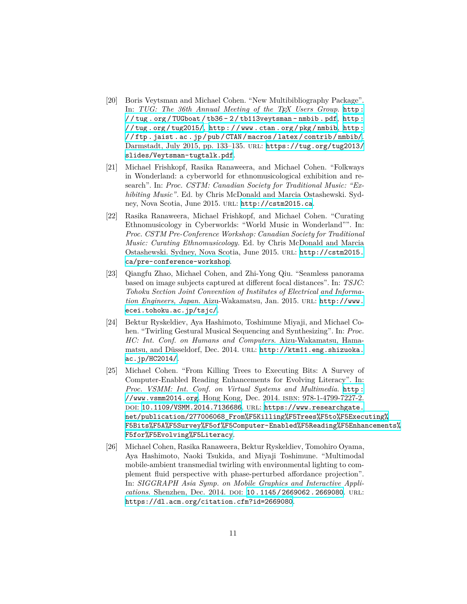- [20] Boris Veytsman and Michael Cohen. "New Multibibliography Package". In: *TUG: The 36th Annual Meeting of the TEX Users Group*. [http :](http://tug.org/TUGboat/tb36-2/tb113veytsman-nmbib.pdf) [/ / tug . org / TUGboat / tb36 - 2 / tb113veytsman - nmbib . pdf](http://tug.org/TUGboat/tb36-2/tb113veytsman-nmbib.pdf), [http :](http://tug.org/tug2015/) [//tug.org /tug2015/](http://tug.org/tug2015/), [http://www.ctan .org/pkg/nmbib](http://www.ctan.org/pkg/nmbib), [http:](http://ftp.jaist.ac.jp/pub/CTAN/macros/latex/contrib/nmbib/) [/ / ftp . jaist . ac . jp / pub / CTAN / macros / latex / contrib / nmbib/](http://ftp.jaist.ac.jp/pub/CTAN/macros/latex/contrib/nmbib/). Darmstadt, July 2015, pp. 133–135. url: [https://tug.org/tug2013/](https://tug.org/tug2013/slides/Veytsman-tugtalk.pdf) [slides/Veytsman-tugtalk.pdf](https://tug.org/tug2013/slides/Veytsman-tugtalk.pdf).
- [21] Michael Frishkopf, Rasika Ranaweera, and Michael Cohen. "Folkways in Wonderland: a cyberworld for ethnomusicological exhibition and research". In: *Proc. CSTM: Canadian Society for Traditional Music: "Exhibiting Music"*. Ed. by Chris McDonald and Marcia Ostashewski. Sydney, Nova Scotia, June 2015. url: <http://cstm2015.ca>.
- [22] Rasika Ranaweera, Michael Frishkopf, and Michael Cohen. "Curating Ethnomusicology in Cyberworlds: "World Music in Wonderland"". In: *Proc. CSTM Pre-Conference Workshop: Canadian Society for Traditional Music: Curating Ethnomusicology*. Ed. by Chris McDonald and Marcia Ostashewski. Sydney, Nova Scotia, June 2015. url: [http://cstm2015.](http://cstm2015.ca/pre-conference-workshop) [ca/pre-conference-workshop](http://cstm2015.ca/pre-conference-workshop).
- [23] Qiangfu Zhao, Michael Cohen, and Zhi-Yong Qiu. "Seamless panorama based on image subjects captured at different focal distances". In: *TSJC: Tohoku Section Joint Convention of Institutes of Electrical and Information Engineers, Japan*. Aizu-Wakamatsu, Jan. 2015. url: [http://www.](http://www.ecei.tohoku.ac.jp/tsjc/) [ecei.tohoku.ac.jp/tsjc/](http://www.ecei.tohoku.ac.jp/tsjc/).
- [24] Bektur Ryskeldiev, Aya Hashimoto, Toshimune Miyaji, and Michael Cohen. "Twirling Gestural Musical Sequencing and Synthesizing". In: *Proc. HC: Int. Conf. on Humans and Computers*. Aizu-Wakamatsu, Hamamatsu, and Düsseldorf, Dec. 2014. URL: [http://ktm11.eng.shizuoka.](http://ktm11.eng.shizuoka.ac.jp/HC2014/) [ac.jp/HC2014/](http://ktm11.eng.shizuoka.ac.jp/HC2014/).
- [25] Michael Cohen. "From Killing Trees to Executing Bits: A Survey of Computer-Enabled Reading Enhancements for Evolving Literacy". In: *Proc. VSMM: Int. Conf. on Virtual Systems and Multimedia*. [http :](http://www.vsmm2014.org) [//www.vsmm2014.org](http://www.vsmm2014.org). Hong Kong, Dec. 2014. isbn: 978-1-4799-7227-2. DOI: [10.1109/VSMM.2014.7136686](http://dx.doi.org/10.1109/VSMM.2014.7136686). URL: [https://www.researchgate.](https://www.researchgate.net/publication/277006068_From%F5Killing%F5Trees%F5to%F5Executing%F5Bits%F5A%F5Survey%F5of%F5Computer-Enabled%F5Reading%F5Enhancements%F5for%F5Evolving%F5Literacy) [net/publication/277006068\\_From%F5Killing%F5Trees%F5to%F5Executing%](https://www.researchgate.net/publication/277006068_From%F5Killing%F5Trees%F5to%F5Executing%F5Bits%F5A%F5Survey%F5of%F5Computer-Enabled%F5Reading%F5Enhancements%F5for%F5Evolving%F5Literacy) [F5Bits%F5A%F5Survey%F5of%F5Computer-Enabled%F5Reading%F5Enhancements%](https://www.researchgate.net/publication/277006068_From%F5Killing%F5Trees%F5to%F5Executing%F5Bits%F5A%F5Survey%F5of%F5Computer-Enabled%F5Reading%F5Enhancements%F5for%F5Evolving%F5Literacy) [F5for%F5Evolving%F5Literacy](https://www.researchgate.net/publication/277006068_From%F5Killing%F5Trees%F5to%F5Executing%F5Bits%F5A%F5Survey%F5of%F5Computer-Enabled%F5Reading%F5Enhancements%F5for%F5Evolving%F5Literacy).
- [26] Michael Cohen, Rasika Ranaweera, Bektur Ryskeldiev, Tomohiro Oyama, Aya Hashimoto, Naoki Tsukida, and Miyaji Toshimune. "Multimodal mobile-ambient transmedial twirling with environmental lighting to complement fluid perspective with phase-perturbed affordance projection". In: *SIGGRAPH Asia Symp. on Mobile Graphics and Interactive Applications.* Shenzhen, Dec. 2014. DOI: [10.1145/2669062.2669080](http://dx.doi.org/10.1145/2669062.2669080). URL: <https://dl.acm.org/citation.cfm?id=2669080>.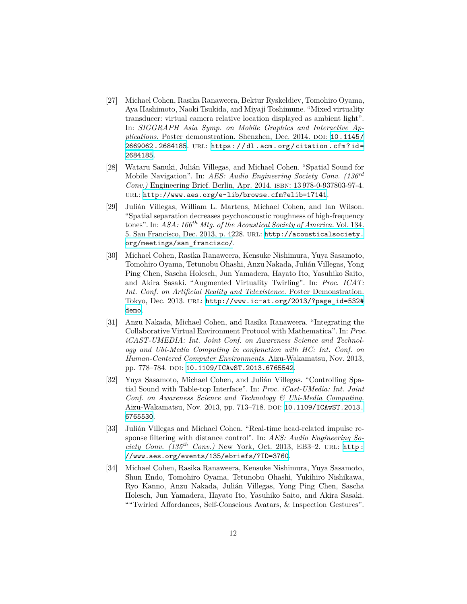- [27] Michael Cohen, Rasika Ranaweera, Bektur Ryskeldiev, Tomohiro Oyama, Aya Hashimoto, Naoki Tsukida, and Miyaji Toshimune. "Mixed virtuality transducer: virtual camera relative location displayed as ambient light". In: *SIGGRAPH Asia Symp. on Mobile Graphics and Interactive Applications*. Poster demonstration. Shenzhen, Dec. 2014. poi: [10.1145/](http://dx.doi.org/10.1145/2669062.2684185) [2669062.2684185](http://dx.doi.org/10.1145/2669062.2684185). url: [https://dl.acm.org/citation.cfm?id=](https://dl.acm.org/citation.cfm?id=2684185) [2684185](https://dl.acm.org/citation.cfm?id=2684185).
- [28] Wataru Sanuki, Julián Villegas, and Michael Cohen. "Spatial Sound for Mobile Navigation". In: *AES: Audio Engineering Society Conv. (136rd Conv.*) Engineering Brief. Berlin, Apr. 2014. ISBN: 13978-0-937803-97-4. url: <http://www.aes.org/e-lib/browse.cfm?elib=17141>.
- [29] Julián Villegas, William L. Martens, Michael Cohen, and Ian Wilson. "Spatial separation decreases psychoacoustic roughness of high-frequency tones". In: *ASA: 166th Mtg. of the Acoustical Society of America*. Vol. 134. 5. San Francisco, Dec. 2013, p. 4228. url: [http://acousticalsociety.](http://acousticalsociety.org/meetings/san_francisco/) [org/meetings/san\\_francisco/](http://acousticalsociety.org/meetings/san_francisco/).
- [30] Michael Cohen, Rasika Ranaweera, Kensuke Nishimura, Yuya Sasamoto, Tomohiro Oyama, Tetunobu Ohashi, Anzu Nakada, Julián Villegas, Yong Ping Chen, Sascha Holesch, Jun Yamadera, Hayato Ito, Yasuhiko Saito, and Akira Sasaki. "Augmented Virtuality Twirling". In: *Proc. ICAT: Int. Conf. on Artificial Reality and Telexistence*. Poster Demonstration. Tokyo, Dec. 2013. url: [http://www.ic-at.org/2013/?page\\_id=532#](http://www.ic-at.org/2013/?page_id=532#demo) [demo](http://www.ic-at.org/2013/?page_id=532#demo).
- [31] Anzu Nakada, Michael Cohen, and Rasika Ranaweera. "Integrating the Collaborative Virtual Environment Protocol with Mathematica". In: *Proc. iCAST-UMEDIA: Int. Joint Conf. on Awareness Science and Technology and Ubi-Media Computing in conjunction with HC: Int. Conf. on Human-Centered Computer Environments*. Aizu-Wakamatsu, Nov. 2013, pp. 778–784. DOI: [10.1109/ICAwST.2013.6765542](http://dx.doi.org/10.1109/ICAwST.2013.6765542).
- [32] Yuya Sasamoto, Michael Cohen, and Julián Villegas. "Controlling Spatial Sound with Table-top Interface". In: *Proc. iCast-UMedia: Int. Joint Conf. on Awareness Science and Technology & Ubi-Media Computing*. Aizu-Wakamatsu, Nov. 2013, pp. 713–718. doi: [10.1109/ICAwST.2013.](http://dx.doi.org/10.1109/ICAwST.2013.6765530) [6765530](http://dx.doi.org/10.1109/ICAwST.2013.6765530).
- [33] Julián Villegas and Michael Cohen. "Real-time head-related impulse response filtering with distance control". In: *AES: Audio Engineering Society Conv.* (135<sup>th</sup> *Conv.*) New York, Oct. 2013, EB3–2. URL: [http:](http://www.aes.org/events/135/ebriefs/?ID=3760) [//www.aes.org/events/135/ebriefs/?ID=3760](http://www.aes.org/events/135/ebriefs/?ID=3760).
- [34] Michael Cohen, Rasika Ranaweera, Kensuke Nishimura, Yuya Sasamoto, Shun Endo, Tomohiro Oyama, Tetunobu Ohashi, Yukihiro Nishikawa, Ryo Kanno, Anzu Nakada, Julián Villegas, Yong Ping Chen, Sascha Holesch, Jun Yamadera, Hayato Ito, Yasuhiko Saito, and Akira Sasaki. ""Twirled Affordances, Self-Conscious Avatars, & Inspection Gestures".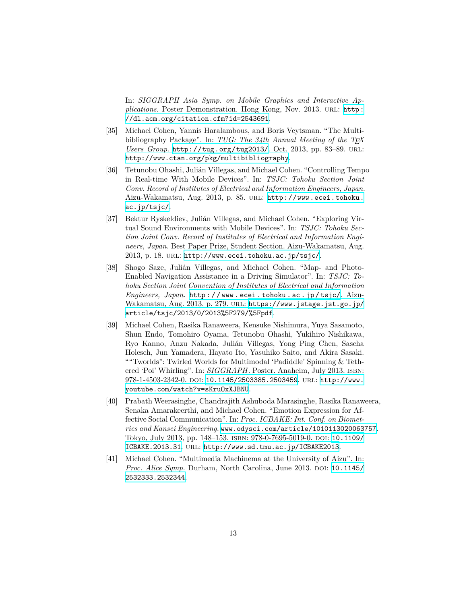In: *SIGGRAPH Asia Symp. on Mobile Graphics and Interactive Applications.* Poster Demonstration. Hong Kong, Nov. 2013. URL: [http:](http://dl.acm.org/citation.cfm?id=2543691) [//dl.acm.org/citation.cfm?id=2543691](http://dl.acm.org/citation.cfm?id=2543691).

- [35] Michael Cohen, Yannis Haralambous, and Boris Veytsman. "The Multibibliography Package". In: *TUG: The 34th Annual Meeting of the TEX Users Group*. <http://tug.org/tug2013/>. Oct. 2013, pp. 83–89. url: <http://www.ctan.org/pkg/multibibliography>.
- [36] Tetunobu Ohashi, Julián Villegas, and Michael Cohen. "Controlling Tempo in Real-time With Mobile Devices". In: *TSJC: Tohoku Section Joint Conv. Record of Institutes of Electrical and Information Engineers, Japan*. Aizu-Wakamatsu, Aug. 2013, p. 85. url: [http://www.ecei.tohoku.](http://www.ecei.tohoku.ac.jp/tsjc/) [ac.jp/tsjc/](http://www.ecei.tohoku.ac.jp/tsjc/).
- [37] Bektur Ryskeldiev, Julián Villegas, and Michael Cohen. "Exploring Virtual Sound Environments with Mobile Devices". In: *TSJC: Tohoku Section Joint Conv. Record of Institutes of Electrical and Information Engineers, Japan*. Best Paper Prize, Student Section. Aizu-Wakamatsu, Aug. 2013, p. 18. url: <http://www.ecei.tohoku.ac.jp/tsjc/>.
- [38] Shogo Saze, Julián Villegas, and Michael Cohen. "Map- and Photo-Enabled Navigation Assistance in a Driving Simulator". In: *TSJC: Tohoku Section Joint Convention of Institutes of Electrical and Information Engineers, Japan*. [http : / / www . ecei . tohoku . ac . jp / tsjc/](http://www.ecei.tohoku.ac.jp/tsjc/). AizuWakamatsu, Aug. 2013, p. 279. URL: [https://www.jstage.jst.go.jp/](https://www.jstage.jst.go.jp/article/tsjc/2013/0/2013%5F279/%5Fpdf) [article/tsjc/2013/0/2013%5F279/%5Fpdf](https://www.jstage.jst.go.jp/article/tsjc/2013/0/2013%5F279/%5Fpdf).
- [39] Michael Cohen, Rasika Ranaweera, Kensuke Nishimura, Yuya Sasamoto, Shun Endo, Tomohiro Oyama, Tetunobu Ohashi, Yukihiro Nishikawa, Ryo Kanno, Anzu Nakada, Julián Villegas, Yong Ping Chen, Sascha Holesch, Jun Yamadera, Hayato Ito, Yasuhiko Saito, and Akira Sasaki. ""Tworlds": Twirled Worlds for Multimodal 'Padiddle' Spinning & Tethered 'Poi' Whirling". In: *SIGGRAPH*. Poster. Anaheim, July 2013. isbn: 978-1-4503-2342-0. doi: [10.1145/2503385.2503459](http://dx.doi.org/10.1145/2503385.2503459). url: [http://www.](http://www.youtube.com/watch?v=sKruOxXJBNU) [youtube.com/watch?v=sKruOxXJBNU](http://www.youtube.com/watch?v=sKruOxXJBNU).
- [40] Prabath Weerasinghe, Chandrajith Ashuboda Marasinghe, Rasika Ranaweera, Senaka Amarakeerthi, and Michael Cohen. "Emotion Expression for Affective Social Communication". In: *Proc. ICBAKE: Int. Conf. on Biometrics and Kansei Engineering*. <www.odysci.com/article/1010113020063757>. Tokyo, July 2013, pp. 148–153. isbn: 978-0-7695-5019-0. doi: [10.1109/](http://dx.doi.org/10.1109/ICBAKE.2013.31) [ICBAKE.2013.31](http://dx.doi.org/10.1109/ICBAKE.2013.31). url: <http://www.sd.tmu.ac.jp/ICBAKE2013>.
- [41] Michael Cohen. "Multimedia Machinema at the University of Aizu". In: *Proc. Alice Symp.* Durham, North Carolina, June 2013. doi: [10.1145/](http://dx.doi.org/10.1145/2532333.2532344) [2532333.2532344](http://dx.doi.org/10.1145/2532333.2532344).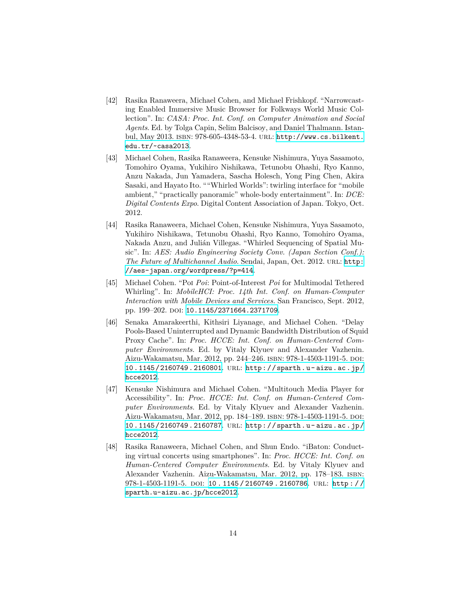- [42] Rasika Ranaweera, Michael Cohen, and Michael Frishkopf. "Narrowcasting Enabled Immersive Music Browser for Folkways World Music Collection". In: *CASA: Proc. Int. Conf. on Computer Animation and Social Agents*. Ed. by Tolga Capin, Selim Balcisoy, and Daniel Thalmann. Istanbul, May 2013. isbn: 978-605-4348-53-4. url: [http://www.cs.bilkent.](http://www.cs.bilkent.edu.tr/~casa2013) [edu.tr/~casa2013](http://www.cs.bilkent.edu.tr/~casa2013).
- [43] Michael Cohen, Rasika Ranaweera, Kensuke Nishimura, Yuya Sasamoto, Tomohiro Oyama, Yukihiro Nishikawa, Tetunobu Ohashi, Ryo Kanno, Anzu Nakada, Jun Yamadera, Sascha Holesch, Yong Ping Chen, Akira Sasaki, and Hayato Ito. ""Whirled Worlds": twirling interface for "mobile ambient," "practically panoramic" whole-body entertainment". In: *DCE: Digital Contents Expo*. Digital Content Association of Japan. Tokyo, Oct. 2012.
- [44] Rasika Ranaweera, Michael Cohen, Kensuke Nishimura, Yuya Sasamoto, Yukihiro Nishikawa, Tetunobu Ohashi, Ryo Kanno, Tomohiro Oyama, Nakada Anzu, and Julián Villegas. "Whirled Sequencing of Spatial Music". In: *AES: Audio Engineering Society Conv. (Japan Section Conf.): The Future of Multichannel Audio.* Sendai, Japan, Oct. 2012. URL: [http:](http://aes-japan.org/wordpress/?p=414) [//aes-japan.org/wordpress/?p=414](http://aes-japan.org/wordpress/?p=414).
- [45] Michael Cohen. "Poi *Poi*: Point-of-Interest *Poi* for Multimodal Tethered Whirling". In: *MobileHCI: Proc. 14th Int. Conf. on Human-Computer Interaction with Mobile Devices and Services*. San Francisco, Sept. 2012, pp. 199-202. poi: [10.1145/2371664.2371709](http://dx.doi.org/10.1145/2371664.2371709).
- [46] Senaka Amarakeerthi, Kithsiri Liyanage, and Michael Cohen. "Delay Pools-Based Uninterrupted and Dynamic Bandwidth Distribution of Squid Proxy Cache". In: *Proc. HCCE: Int. Conf. on Human-Centered Computer Environments*. Ed. by Vitaly Klyuev and Alexander Vazhenin. Aizu-Wakamatsu, Mar. 2012, pp. 244–246. isbn: 978-1-4503-1191-5. doi: [10.1145/2160749.2160801](http://dx.doi.org/10.1145/2160749.2160801). url: [http://sparth.u- aizu.ac.jp/](http://sparth.u-aizu.ac.jp/hcce2012) [hcce2012](http://sparth.u-aizu.ac.jp/hcce2012).
- [47] Kensuke Nishimura and Michael Cohen. "Multitouch Media Player for Accessibility". In: *Proc. HCCE: Int. Conf. on Human-Centered Computer Environments*. Ed. by Vitaly Klyuev and Alexander Vazhenin. Aizu-Wakamatsu, Mar. 2012, pp. 184–189. isbn: 978-1-4503-1191-5. doi: [10.1145/2160749.2160787](http://dx.doi.org/10.1145/2160749.2160787). url: [http://sparth.u- aizu.ac.jp/](http://sparth.u-aizu.ac.jp/hcce2012) [hcce2012](http://sparth.u-aizu.ac.jp/hcce2012).
- [48] Rasika Ranaweera, Michael Cohen, and Shun Endo. "iBaton: Conducting virtual concerts using smartphones". In: *Proc. HCCE: Int. Conf. on Human-Centered Computer Environments*. Ed. by Vitaly Klyuev and Alexander Vazhenin. Aizu-Wakamatsu, Mar. 2012, pp. 178–183. isbn: 978-1-4503-1191-5. DOI: [10 . 1145 / 2160749 . 2160786](http://dx.doi.org/10.1145/2160749.2160786). URL: http:// [sparth.u-aizu.ac.jp/hcce2012](http://sparth.u-aizu.ac.jp/hcce2012).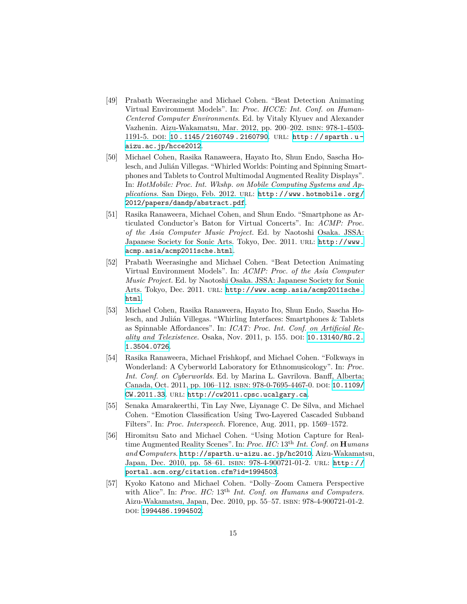- [49] Prabath Weerasinghe and Michael Cohen. "Beat Detection Animating Virtual Environment Models". In: *Proc. HCCE: Int. Conf. on Human-Centered Computer Environments*. Ed. by Vitaly Klyuev and Alexander Vazhenin. Aizu-Wakamatsu, Mar. 2012, pp. 200–202. isbn: 978-1-4503- 1191-5. doi: [10.1145/2160749.2160790](http://dx.doi.org/10.1145/2160749.2160790). url: [http://sparth.u](http://sparth.u-aizu.ac.jp/hcce2012)[aizu.ac.jp/hcce2012](http://sparth.u-aizu.ac.jp/hcce2012).
- [50] Michael Cohen, Rasika Ranaweera, Hayato Ito, Shun Endo, Sascha Holesch, and Julián Villegas. "Whirled Worlds: Pointing and Spinning Smartphones and Tablets to Control Multimodal Augmented Reality Displays". In: *HotMobile: Proc. Int. Wkshp. on Mobile Computing Systems and Applications*. San Diego, Feb. 2012. url: [http://www.hotmobile.org/](http://www.hotmobile.org/2012/papers/dandp/abstract.pdf) [2012/papers/dandp/abstract.pdf](http://www.hotmobile.org/2012/papers/dandp/abstract.pdf).
- [51] Rasika Ranaweera, Michael Cohen, and Shun Endo. "Smartphone as Articulated Conductor's Baton for Virtual Concerts". In: *ACMP: Proc. of the Asia Computer Music Project*. Ed. by Naotoshi Osaka. JSSA: Japanese Society for Sonic Arts. Tokyo, Dec. 2011. url: [http://www.](http://www.acmp.asia/acmp2011sche.html) [acmp.asia/acmp2011sche.html](http://www.acmp.asia/acmp2011sche.html).
- [52] Prabath Weerasinghe and Michael Cohen. "Beat Detection Animating Virtual Environment Models". In: *ACMP: Proc. of the Asia Computer Music Project*. Ed. by Naotoshi Osaka. JSSA: Japanese Society for Sonic Arts. Tokyo, Dec. 2011. URL: [http://www.acmp.asia/acmp2011sche.](http://www.acmp.asia/acmp2011sche.html) [html](http://www.acmp.asia/acmp2011sche.html).
- [53] Michael Cohen, Rasika Ranaweera, Hayato Ito, Shun Endo, Sascha Holesch, and Julián Villegas. "Whirling Interfaces: Smartphones & Tablets as Spinnable Affordances". In: *ICAT: Proc. Int. Conf. on Artificial Reality and Telexistence*. Osaka, Nov. 2011, p. 155. doi: [10.13140/RG.2.](http://dx.doi.org/10.13140/RG.2.1.3504.0726) [1.3504.0726](http://dx.doi.org/10.13140/RG.2.1.3504.0726).
- [54] Rasika Ranaweera, Michael Frishkopf, and Michael Cohen. "Folkways in Wonderland: A Cyberworld Laboratory for Ethnomusicology". In: *Proc. Int. Conf. on Cyberworlds*. Ed. by Marina L. Gavrilova. Banff, Alberta; Canada, Oct. 2011, pp. 106-112. ISBN: 978-0-7695-4467-0. DOI: [10.1109/](http://dx.doi.org/10.1109/CW.2011.33) [CW.2011.33](http://dx.doi.org/10.1109/CW.2011.33). url: <http://cw2011.cpsc.ucalgary.ca>.
- [55] Senaka Amarakeerthi, Tin Lay Nwe, Liyanage C. De Silva, and Michael Cohen. "Emotion Classification Using Two-Layered Cascaded Subband Filters". In: *Proc. Interspeech*. Florence, Aug. 2011, pp. 1569–1572.
- [56] Hiromitsu Sato and Michael Cohen. "Using Motion Capture for Realtime Augmented Reality Scenes". In: *Proc. HC:* 13th *Int. Conf. on* **H***umans and* **C***omputers*. <http://sparth.u-aizu.ac.jp/hc2010>. Aizu-Wakamatsu, Japan, Dec. 2010, pp. 58–61. isbn: 978-4-900721-01-2. url: [http://](http://portal.acm.org/citation.cfm?id=1994503) [portal.acm.org/citation.cfm?id=1994503](http://portal.acm.org/citation.cfm?id=1994503).
- [57] Kyoko Katono and Michael Cohen. "Dolly–Zoom Camera Perspective with Alice". In: *Proc. HC:* 13th *Int. Conf. on Humans and Computers*. Aizu-Wakamatsu, Japan, Dec. 2010, pp. 55–57. isbn: 978-4-900721-01-2. doi: [1994486.1994502](http://dx.doi.org/1994486.1994502).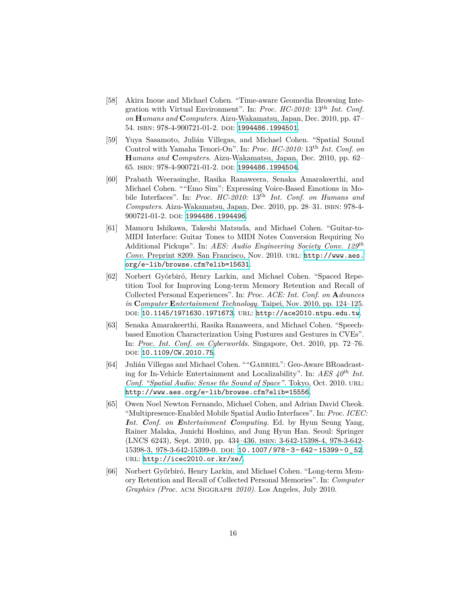- [58] Akira Inoue and Michael Cohen. "Time-aware Geomedia Browsing Integration with Virtual Environment". In: *Proc. HC-2010:* 13th *Int. Conf. on* **H***umans and* **C***omputers*. Aizu-Wakamatsu, Japan, Dec. 2010, pp. 47– 54. isbn: 978-4-900721-01-2. doi: [1994486.1994501](http://dx.doi.org/1994486.1994501).
- [59] Yuya Sasamoto, Julián Villegas, and Michael Cohen. "Spatial Sound Control with Yamaha Tenori-On". In: *Proc. HC-2010:* 13th *Int. Conf. on* **H***umans and* **C***omputers*. Aizu-Wakamatsu, Japan, Dec. 2010, pp. 62– 65. isbn: 978-4-900721-01-2. doi: [1994486.1994504](http://dx.doi.org/1994486.1994504).
- [60] Prabath Weerasinghe, Rasika Ranaweera, Senaka Amarakeerthi, and Michael Cohen. ""Emo Sim": Expressing Voice-Based Emotions in Mobile Interfaces". In: *Proc. HC-2010:* 13th *Int. Conf. on Humans and Computers*. Aizu-Wakamatsu, Japan, Dec. 2010, pp. 28–31. isbn: 978-4- 900721-01-2. doi: [1994486.1994496](http://dx.doi.org/1994486.1994496).
- [61] Mamoru Ishikawa, Takeshi Matsuda, and Michael Cohen. "Guitar-to-MIDI Interface: Guitar Tones to MIDI Notes Conversion Requiring No Additional Pickups". In: *AES: Audio Engineering Society Conv. 129th Conv.* Preprint 8209. San Francisco, Nov. 2010. url: [http://www.aes.](http://www.aes.org/e-lib/browse.cfm?elib=15631) [org/e-lib/browse.cfm?elib=15631](http://www.aes.org/e-lib/browse.cfm?elib=15631).
- [62] Norbert Györbiró, Henry Larkin, and Michael Cohen. "Spaced Repetition Tool for Improving Long-term Memory Retention and Recall of Collected Personal Experiences". In: *Proc. ACE: Int. Conf. on* **A***dvances in* **C***omputer* **E***ntertainment Technology*. Taipei, Nov. 2010, pp. 124–125. doi: [10.1145/1971630.1971673](http://dx.doi.org/10.1145/1971630.1971673). url: <http://ace2010.ntpu.edu.tw>.
- [63] Senaka Amarakeerthi, Rasika Ranaweera, and Michael Cohen. "Speechbased Emotion Characterization Using Postures and Gestures in CVEs". In: *Proc. Int. Conf. on Cyberworlds*. Singapore, Oct. 2010, pp. 72–76. DOI: [10.1109/CW.2010.75](http://dx.doi.org/10.1109/CW.2010.75).
- [64] Julián Villegas and Michael Cohen. ""Gabriel": Geo-Aware BRoadcasting for In-Vehicle Entertainment and Localizability". In: *AES 40th Int. Conf. "Spatial Audio: Sense the Sound of Space"*. Tokyo, Oct. 2010. url: <http://www.aes.org/e-lib/browse.cfm?elib=15556>.
- [65] Owen Noel Newton Fernando, Michael Cohen, and Adrian David Cheok. "Multipresence-Enabled Mobile Spatial Audio Interfaces". In: *Proc. ICEC: Int. Conf. on Entertainment Computing*. Ed. by Hyun Seung Yang, Rainer Malaka, Junichi Hoshino, and Jung Hyun Han. Seoul: Springer (LNCS 6243), Sept. 2010, pp. 434–436. isbn: 3-642-15398-4, 978-3-642- 15398-3, 978-3-642-15399-0. doi: [10.1007/978- 3- 642- 15399- 0\\_52](http://dx.doi.org/10.1007/978-3-642-15399-0_52). url: <http://icec2010.or.kr/xe/>.
- [66] Norbert Győrbiró, Henry Larkin, and Michael Cohen. "Long-term Memory Retention and Recall of Collected Personal Memories". In: *Computer Graphics (Proc.* acm Siggraph *2010)*. Los Angeles, July 2010.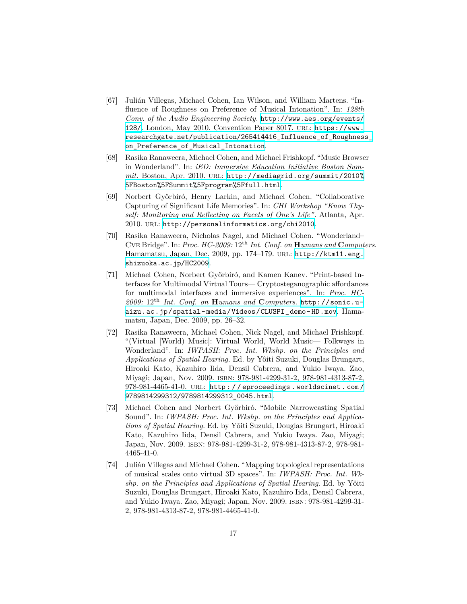- [67] Julián Villegas, Michael Cohen, Ian Wilson, and William Martens. "Influence of Roughness on Preference of Musical Intonation". In: *128th Conv. of the Audio Engineering Society*. [http://www.aes.org/events/](http://www.aes.org/events/128/) [128/](http://www.aes.org/events/128/). London, May 2010, Convention Paper 8017. url: [https://www.](https://www.researchgate.net/publication/265414416_Influence_of_Roughness_on_Preference_of_Musical_Intonation) [researchgate.net/publication/265414416\\_Influence\\_of\\_Roughness\\_](https://www.researchgate.net/publication/265414416_Influence_of_Roughness_on_Preference_of_Musical_Intonation) [on\\_Preference\\_of\\_Musical\\_Intonation](https://www.researchgate.net/publication/265414416_Influence_of_Roughness_on_Preference_of_Musical_Intonation).
- [68] Rasika Ranaweera, Michael Cohen, and Michael Frishkopf. "Music Browser in Wonderland". In: *iED: Immersive Education Initiative Boston Summit*. Boston, Apr. 2010. url: [http://mediagrid.org/summit/2010%](http://mediagrid.org/summit/2010%5FBoston%5FSummit%5Fprogram%5Ffull.html) [5FBoston%5FSummit%5Fprogram%5Ffull.html](http://mediagrid.org/summit/2010%5FBoston%5FSummit%5Fprogram%5Ffull.html).
- [69] Norbert Győrbiró, Henry Larkin, and Michael Cohen. "Collaborative Capturing of Significant Life Memories". In: *CHI Workshop "Know Thyself: Monitoring and Reflecting on Facets of One's Life"*. Atlanta, Apr. 2010. url: <http://personalinformatics.org/chi2010>.
- [70] Rasika Ranaweera, Nicholas Nagel, and Michael Cohen. "Wonderland– Cve Bridge". In: *Proc. HC-2009:* 12th *Int. Conf. on* **H***umans and* **C***omputers*. Hamamatsu, Japan, Dec. 2009, pp. 174–179. url: [http://ktm11.eng.](http://ktm11.eng.shizuoka.ac.jp/HC2009) [shizuoka.ac.jp/HC2009](http://ktm11.eng.shizuoka.ac.jp/HC2009).
- [71] Michael Cohen, Norbert Győrbiró, and Kamen Kanev. "Print-based Interfaces for Multimodal Virtual Tours— Cryptosteganographic affordances for multimodal interfaces and immersive experiences". In: *Proc. HC-2009:* 12th *Int. Conf. on* **H***umans and* **C***omputers*. [http://sonic.u](http://sonic.u-aizu.ac.jp/spatial-media/Videos/CLUSPI_demo-HD.mov)[aizu.ac.jp/spatial-media/Videos/CLUSPI\\_demo-HD.mov](http://sonic.u-aizu.ac.jp/spatial-media/Videos/CLUSPI_demo-HD.mov). Hamamatsu, Japan, Dec. 2009, pp. 26–32.
- [72] Rasika Ranaweera, Michael Cohen, Nick Nagel, and Michael Frishkopf. "(Virtual [World) Music]: Virtual World, World Music— Folkways in Wonderland". In: *IWPASH: Proc. Int. Wkshp. on the Principles and Applications of Spatial Hearing*. Ed. by Yôiti Suzuki, Douglas Brungart, Hiroaki Kato, Kazuhiro Iida, Densil Cabrera, and Yukio Iwaya. Zao, Miyagi; Japan, Nov. 2009. isbn: 978-981-4299-31-2, 978-981-4313-87-2, 978-981-4465-41-0. url: [http : / / eproceedings . worldscinet . com /](http://eproceedings.worldscinet.com/9789814299312/9789814299312_0045.html) [9789814299312/9789814299312\\_0045.html](http://eproceedings.worldscinet.com/9789814299312/9789814299312_0045.html).
- [73] Michael Cohen and Norbert Győrbiró. "Mobile Narrowcasting Spatial Sound". In: *IWPASH: Proc. Int. Wkshp. on the Principles and Applications of Spatial Hearing*. Ed. by Yôiti Suzuki, Douglas Brungart, Hiroaki Kato, Kazuhiro Iida, Densil Cabrera, and Yukio Iwaya. Zao, Miyagi; Japan, Nov. 2009. isbn: 978-981-4299-31-2, 978-981-4313-87-2, 978-981- 4465-41-0.
- [74] Julián Villegas and Michael Cohen. "Mapping topological representations of musical scales onto virtual 3D spaces". In: *IWPASH: Proc. Int. Wkshp. on the Principles and Applications of Spatial Hearing*. Ed. by Yôiti Suzuki, Douglas Brungart, Hiroaki Kato, Kazuhiro Iida, Densil Cabrera, and Yukio Iwaya. Zao, Miyagi; Japan, Nov. 2009. isbn: 978-981-4299-31- 2, 978-981-4313-87-2, 978-981-4465-41-0.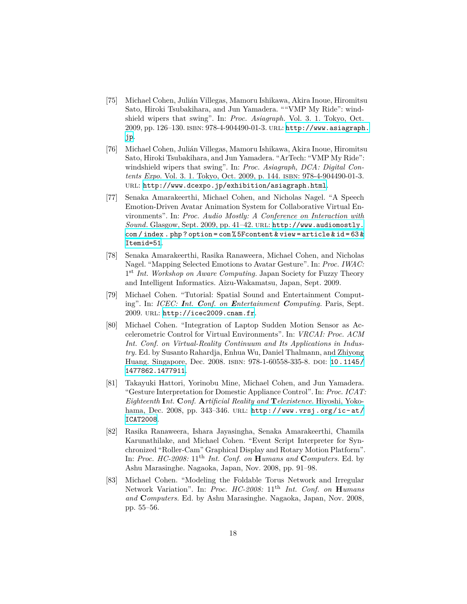- [75] Michael Cohen, Julián Villegas, Mamoru Ishikawa, Akira Inoue, Hiromitsu Sato, Hiroki Tsubakihara, and Jun Yamadera. ""VMP My Ride": windshield wipers that swing". In: *Proc. Asiagraph*. Vol. 3. 1. Tokyo, Oct. 2009, pp. 126–130. isbn: 978-4-904490-01-3. url: [http://www.asiagraph.](http://www.asiagraph.jp) [jp](http://www.asiagraph.jp).
- [76] Michael Cohen, Julián Villegas, Mamoru Ishikawa, Akira Inoue, Hiromitsu Sato, Hiroki Tsubakihara, and Jun Yamadera. "ArTech: "VMP My Ride": windshield wipers that swing". In: *Proc. Asiagraph, DCA: Digital Contents Expo*. Vol. 3. 1. Tokyo, Oct. 2009, p. 144. isbn: 978-4-904490-01-3. url: <http://www.dcexpo.jp/exhibition/asiagraph.html>.
- [77] Senaka Amarakeerthi, Michael Cohen, and Nicholas Nagel. "A Speech Emotion-Driven Avatar Animation System for Collaborative Virtual Environments". In: *Proc. Audio Mostly: A Conference on Interaction with Sound*. Glasgow, Sept. 2009, pp. 41–42. url: [http://www.audiomostly.](http://www.audiomostly.com/index.php?option=com%5Fcontent&view=article&id=63&Itemid=51) [com / index . php ? option = com % 5Fcontent & view = article & id = 63 &](http://www.audiomostly.com/index.php?option=com%5Fcontent&view=article&id=63&Itemid=51) [Itemid=51](http://www.audiomostly.com/index.php?option=com%5Fcontent&view=article&id=63&Itemid=51).
- [78] Senaka Amarakeerthi, Rasika Ranaweera, Michael Cohen, and Nicholas Nagel. "Mapping Selected Emotions to Avatar Gesture". In: *Proc. IWAC:* 1<sup>st</sup> Int. Workshop on Aware Computing. Japan Society for Fuzzy Theory and Intelligent Informatics. Aizu-Wakamatsu, Japan, Sept. 2009.
- [79] Michael Cohen. "Tutorial: Spatial Sound and Entertainment Computing". In: *ICEC: Int. Conf. on Entertainment Computing*. Paris, Sept. 2009. url: <http://icec2009.cnam.fr>.
- [80] Michael Cohen. "Integration of Laptop Sudden Motion Sensor as Accelerometric Control for Virtual Environments". In: *VRCAI: Proc. ACM Int. Conf. on Virtual-Reality Continuum and Its Applications in Industry*. Ed. by Susanto Rahardja, Enhua Wu, Daniel Thalmann, and Zhiyong Huang. Singapore, Dec. 2008. ISBN: 978-1-60558-335-8. DOI: [10.1145/](http://dx.doi.org/10.1145/1477862.1477911) [1477862.1477911](http://dx.doi.org/10.1145/1477862.1477911).
- [81] Takayuki Hattori, Yorinobu Mine, Michael Cohen, and Jun Yamadera. "Gesture Interpretation for Domestic Appliance Control". In: *Proc. ICAT: Eighteenth* **I***nt.* **C***onf.* **A***rtificial Reality and* **T***elexistence*. Hiyoshi, Yokohama, Dec. 2008, pp. 343-346. URL: http://www.vrsj.org/ic-at/ [ICAT2008](http://www.vrsj.org/ic-at/ICAT2008).
- [82] Rasika Ranaweera, Ishara Jayasingha, Senaka Amarakeerthi, Chamila Karunathilake, and Michael Cohen. "Event Script Interpreter for Synchronized "Roller-Cam" Graphical Display and Rotary Motion Platform". In: *Proc. HC-2008:* 11th *Int. Conf. on* **H***umans and* **C***omputers*. Ed. by Ashu Marasinghe. Nagaoka, Japan, Nov. 2008, pp. 91–98.
- [83] Michael Cohen. "Modeling the Foldable Torus Network and Irregular Network Variation". In: *Proc. HC-2008:* 11<sup>th</sup> *Int. Conf. on* **H***umans and* **C***omputers*. Ed. by Ashu Marasinghe. Nagaoka, Japan, Nov. 2008, pp. 55–56.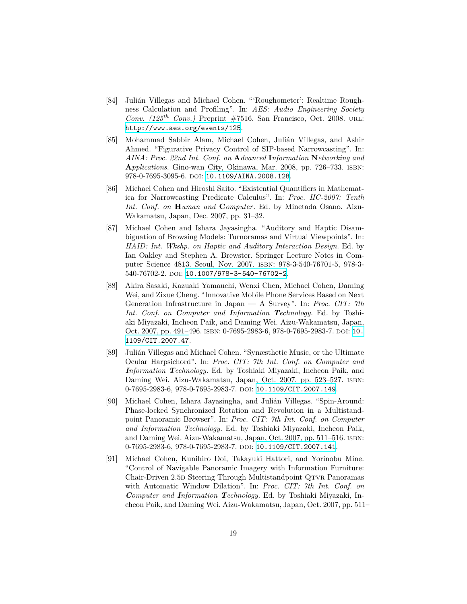- [84] Julián Villegas and Michael Cohen. "'Roughometer': Realtime Roughness Calculation and Profiling". In: *AES: Audio Engineering Society Conv. (125th Conv.)* Preprint #7516. San Francisco, Oct. 2008. url: <http://www.aes.org/events/125>.
- [85] Mohammad Sabbir Alam, Michael Cohen, Julián Villegas, and Ashir Ahmed. "Figurative Privacy Control of SIP-based Narrowcasting". In: *AINA: Proc. 22nd Int. Conf. on* **A***dvanced* **I***nformation* **N***etworking and* **A***pplications*. Gino-wan City, Okinawa, Mar. 2008, pp. 726–733. isbn: 978-0-7695-3095-6. doi: [10.1109/AINA.2008.128](http://dx.doi.org/10.1109/AINA.2008.128).
- [86] Michael Cohen and Hiroshi Saito. "Existential Quantifiers in Mathematica for Narrowcasting Predicate Calculus". In: *Proc. HC-2007: Tenth Int. Conf. on* **H***uman and* **C***omputer*. Ed. by Minetada Osano. Aizu-Wakamatsu, Japan, Dec. 2007, pp. 31–32.
- [87] Michael Cohen and Ishara Jayasingha. "Auditory and Haptic Disambiguation of Browsing Models: Turnoramas and Virtual Viewpoints". In: *HAID: Int. Wkshp. on Haptic and Auditory Interaction Design*. Ed. by Ian Oakley and Stephen A. Brewster. Springer Lecture Notes in Computer Science 4813. Seoul, Nov. 2007. isbn: 978-3-540-76701-5, 978-3- 540-76702-2. DOI: [10.1007/978-3-540-76702-2](http://dx.doi.org/10.1007/978-3-540-76702-2).
- [88] Akira Sasaki, Kazuaki Yamauchi, Wenxi Chen, Michael Cohen, Daming Wei, and Zixue Cheng. "Innovative Mobile Phone Services Based on Next Generation Infrastructure in Japan — A Survey". In: *Proc. CIT: 7th Int. Conf. on Computer and Information Technology*. Ed. by Toshiaki Miyazaki, Incheon Paik, and Daming Wei. Aizu-Wakamatsu, Japan, Oct. 2007, pp. 491–496. isbn: 0-7695-2983-6, 978-0-7695-2983-7. doi: [10.](http://dx.doi.org/10.1109/CIT.2007.47) [1109/CIT.2007.47](http://dx.doi.org/10.1109/CIT.2007.47).
- [89] Julián Villegas and Michael Cohen. "Synæsthetic Music, or the Ultimate Ocular Harpsichord". In: *Proc. CIT: 7th Int. Conf. on Computer and Information Technology*. Ed. by Toshiaki Miyazaki, Incheon Paik, and Daming Wei. Aizu-Wakamatsu, Japan, Oct. 2007, pp. 523–527. isbn: 0-7695-2983-6, 978-0-7695-2983-7. DOI: [10.1109/CIT.2007.149](http://dx.doi.org/10.1109/CIT.2007.149).
- [90] Michael Cohen, Ishara Jayasingha, and Julián Villegas. "Spin-Around: Phase-locked Synchronized Rotation and Revolution in a Multistandpoint Panoramic Browser". In: *Proc. CIT: 7th Int. Conf. on Computer and Information Technology*. Ed. by Toshiaki Miyazaki, Incheon Paik, and Daming Wei. Aizu-Wakamatsu, Japan, Oct. 2007, pp. 511–516. isbn: 0-7695-2983-6, 978-0-7695-2983-7. DOI: [10.1109/CIT.2007.141](http://dx.doi.org/10.1109/CIT.2007.141).
- [91] Michael Cohen, Kunihiro Doi, Takayuki Hattori, and Yorinobu Mine. "Control of Navigable Panoramic Imagery with Information Furniture: Chair-Driven 2.5D Steering Through Multistandpoint QTVR Panoramas with Automatic Window Dilation". In: *Proc. CIT: 7th Int. Conf. on Computer and Information Technology*. Ed. by Toshiaki Miyazaki, Incheon Paik, and Daming Wei. Aizu-Wakamatsu, Japan, Oct. 2007, pp. 511–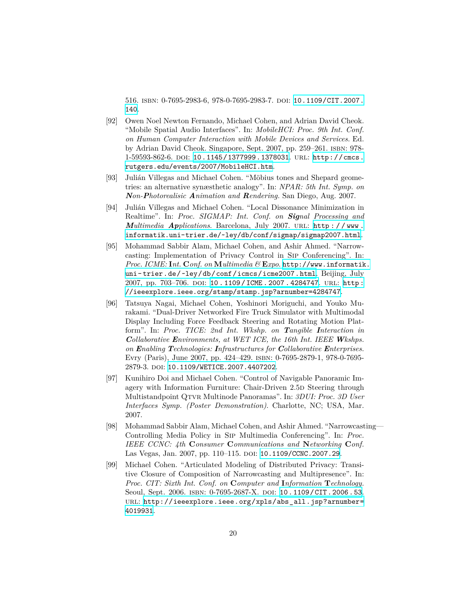516. isbn: 0-7695-2983-6, 978-0-7695-2983-7. doi: [10.1109/CIT.2007.](http://dx.doi.org/10.1109/CIT.2007.140) [140](http://dx.doi.org/10.1109/CIT.2007.140).

- [92] Owen Noel Newton Fernando, Michael Cohen, and Adrian David Cheok. "Mobile Spatial Audio Interfaces". In: *MobileHCI: Proc. 9th Int. Conf. on Human Computer Interaction with Mobile Devices and Services*. Ed. by Adrian David Cheok. Singapore, Sept. 2007, pp. 259–261. isbn: 978- 1-59593-862-6. doi: [10.1145/1377999.1378031](http://dx.doi.org/10.1145/1377999.1378031). url: [http://cmcs.](http://cmcs.rutgers.edu/events/2007/MobileHCI.htm) [rutgers.edu/events/2007/MobileHCI.htm](http://cmcs.rutgers.edu/events/2007/MobileHCI.htm).
- [93] Julián Villegas and Michael Cohen. "Möbius tones and Shepard geometries: an alternative synæsthetic analogy". In: *NPAR: 5th Int. Symp. on Non-Photorealisic Animation and Rendering*. San Diego, Aug. 2007.
- [94] Julián Villegas and Michael Cohen. "Local Dissonance Minimization in Realtime". In: *Proc. SIGMAP: Int. Conf. on Signal Processing and Multimedia Applications*. Barcelona, July 2007. url: [http : / / www .](http://www.informatik.uni-trier.de/~ley/db/conf/sigmap/sigmap2007.html) [informatik.uni-trier.de/~ley/db/conf/sigmap/sigmap2007.html](http://www.informatik.uni-trier.de/~ley/db/conf/sigmap/sigmap2007.html).
- [95] Mohammad Sabbir Alam, Michael Cohen, and Ashir Ahmed. "Narrowcasting: Implementation of Privacy Control in Sip Conferencing". In: *Proc. ICME:* **I***nt.* **C***onf. on* **M***ultimedia &* **E***xpo*. [http://www.informatik.](http://www.informatik.uni-trier.de/~ley/db/conf/icmcs/icme2007.html) [uni-trier.de/~ley/db/conf/icmcs/icme2007.html](http://www.informatik.uni-trier.de/~ley/db/conf/icmcs/icme2007.html). Beijing, July 2007, pp. 703–706. doi: [10 . 1109 / ICME . 2007 . 4284747](http://dx.doi.org/10.1109/ICME.2007.4284747). url: [http :](http://ieeexplore.ieee.org/stamp/stamp.jsp?arnumber=4284747) [//ieeexplore.ieee.org/stamp/stamp.jsp?arnumber=4284747](http://ieeexplore.ieee.org/stamp/stamp.jsp?arnumber=4284747).
- [96] Tatsuya Nagai, Michael Cohen, Yoshinori Moriguchi, and Youko Murakami. "Dual-Driver Networked Fire Truck Simulator with Multimodal Display Including Force Feedback Steering and Rotating Motion Platform". In: *Proc. TICE: 2nd Int. Wkshp. on Tangible Interaction in Collaborative Environments, at WET ICE, the 16th Int. IEEE Wkshps. on Enabling Technologies: Infrastructures for Collaborative Enterprises*. Evry (Paris), June 2007, pp. 424–429. isbn: 0-7695-2879-1, 978-0-7695- 2879-3. doi: [10.1109/WETICE.2007.4407202](http://dx.doi.org/10.1109/WETICE.2007.4407202).
- [97] Kunihiro Doi and Michael Cohen. "Control of Navigable Panoramic Imagery with Information Furniture: Chair-Driven 2.5D Steering through Multistandpoint Qtvr Multinode Panoramas". In: *3DUI: Proc. 3D User Interfaces Symp. (Poster Demonstration)*. Charlotte, NC; USA, Mar. 2007.
- [98] Mohammad Sabbir Alam, Michael Cohen, and Ashir Ahmed. "Narrowcasting— Controlling Media Policy in Sip Multimedia Conferencing". In: *Proc. IEEE CCNC: 4th* **C***onsumer* **C***ommunications and* **N***etworking* **C***onf.* Las Vegas, Jan. 2007, pp. 110-115. DOI: [10.1109/CCNC.2007.29](http://dx.doi.org/10.1109/CCNC.2007.29).
- [99] Michael Cohen. "Articulated Modeling of Distributed Privacy: Transitive Closure of Composition of Narrowcasting and Multipresence". In: *Proc. CIT: Sixth Int. Conf. on* **C***omputer and* **I***nformation* **T***echnology*. Seoul, Sept. 2006. ISBN: 0-7695-2687-X. DOI: [10.1109/CIT.2006.53](http://dx.doi.org/10.1109/CIT.2006.53). url: [http://ieeexplore.ieee.org/xpls/abs\\_all.jsp?arnumber=](http://ieeexplore.ieee.org/xpls/abs_all.jsp?arnumber=4019931) [4019931](http://ieeexplore.ieee.org/xpls/abs_all.jsp?arnumber=4019931).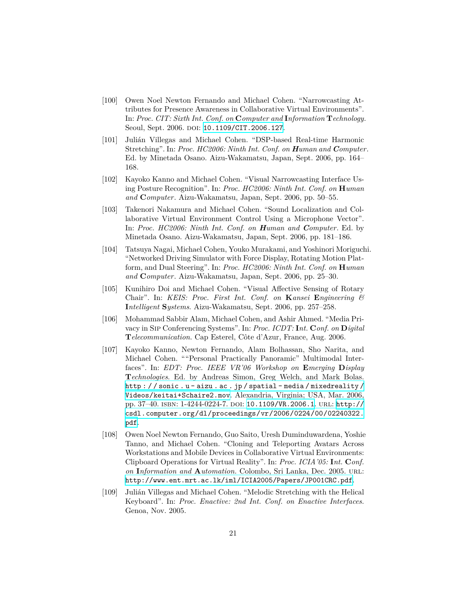- [100] Owen Noel Newton Fernando and Michael Cohen. "Narrowcasting Attributes for Presence Awareness in Collaborative Virtual Environments". In: *Proc. CIT: Sixth Int. Conf. on* **C***omputer and* **I***nformation* **T***echnology*. Seoul, Sept. 2006. DOI: [10.1109/CIT.2006.127](http://dx.doi.org/10.1109/CIT.2006.127).
- [101] Julián Villegas and Michael Cohen. "DSP-based Real-time Harmonic Stretching". In: *Proc. HC2006: Ninth Int. Conf. on Human and Computer*. Ed. by Minetada Osano. Aizu-Wakamatsu, Japan, Sept. 2006, pp. 164– 168.
- [102] Kayoko Kanno and Michael Cohen. "Visual Narrowcasting Interface Using Posture Recognition". In: *Proc. HC2006: Ninth Int. Conf. on* **H***uman and* **C***omputer*. Aizu-Wakamatsu, Japan, Sept. 2006, pp. 50–55.
- [103] Takenori Nakamura and Michael Cohen. "Sound Localization and Collaborative Virtual Environment Control Using a Microphone Vector". In: *Proc. HC2006: Ninth Int. Conf. on Human and Computer*. Ed. by Minetada Osano. Aizu-Wakamatsu, Japan, Sept. 2006, pp. 181–186.
- [104] Tatsuya Nagai, Michael Cohen, Youko Murakami, and Yoshinori Moriguchi. "Networked Driving Simulator with Force Display, Rotating Motion Platform, and Dual Steering". In: *Proc. HC2006: Ninth Int. Conf. on* **H***uman and* **C***omputer*. Aizu-Wakamatsu, Japan, Sept. 2006, pp. 25–30.
- [105] Kunihiro Doi and Michael Cohen. "Visual Affective Sensing of Rotary Chair". In: *KEIS: Proc. First Int. Conf. on* **K***ansei* **E***ngineering &* **I***ntelligent* **S***ystems*. Aizu-Wakamatsu, Sept. 2006, pp. 257–258.
- [106] Mohammad Sabbir Alam, Michael Cohen, and Ashir Ahmed. "Media Privacy in Sip Conferencing Systems". In: *Proc. ICDT:* **I***nt.* **C***onf. on* **D***igital* **T***elecommunication*. Cap Esterel, Côte d'Azur, France, Aug. 2006.
- [107] Kayoko Kanno, Newton Fernando, Alam Bolhassan, Sho Narita, and Michael Cohen. ""Personal Practically Panoramic" Multimodal Interfaces". In: *EDT: Proc. IEEE VR'06 Workshop on* **E***merging* **D***isplay* **T***echnologies*. Ed. by Andreas Simon, Greg Welch, and Mark Bolas. [http : / / sonic . u - aizu . ac . jp / spatial - media / mixedreality /](http://sonic.u-aizu.ac.jp/spatial-media/mixedreality/Videos/keitai+Schaire2.mov) [Videos/keitai+Schaire2.mov](http://sonic.u-aizu.ac.jp/spatial-media/mixedreality/Videos/keitai+Schaire2.mov). Alexandria, Virginia; USA, Mar. 2006, pp. 37–40. isbn: 1-4244-0224-7. doi: [10.1109/VR.2006.1](http://dx.doi.org/10.1109/VR.2006.1). url: [http://](http://csdl.computer.org/dl/proceedings/vr/2006/0224/00/02240322.pdf) [csdl.computer.org/dl/proceedings/vr/2006/0224/00/02240322.](http://csdl.computer.org/dl/proceedings/vr/2006/0224/00/02240322.pdf) [pdf](http://csdl.computer.org/dl/proceedings/vr/2006/0224/00/02240322.pdf).
- [108] Owen Noel Newton Fernando, Guo Saito, Uresh Duminduwardena, Yoshie Tanno, and Michael Cohen. "Cloning and Teleporting Avatars Across Workstations and Mobile Devices in Collaborative Virtual Environments: Clipboard Operations for Virtual Reality". In: *Proc. ICIA'05:* **I***nt.* **C***onf. on* **I***nformation and* **A***utomation*. Colombo, Sri Lanka, Dec. 2005. url: <http://www.ent.mrt.ac.lk/iml/ICIA2005/Papers/JP001CRC.pdf>.
- [109] Julián Villegas and Michael Cohen. "Melodic Stretching with the Helical Keyboard". In: *Proc. Enactive: 2nd Int. Conf. on Enactive Interfaces*. Genoa, Nov. 2005.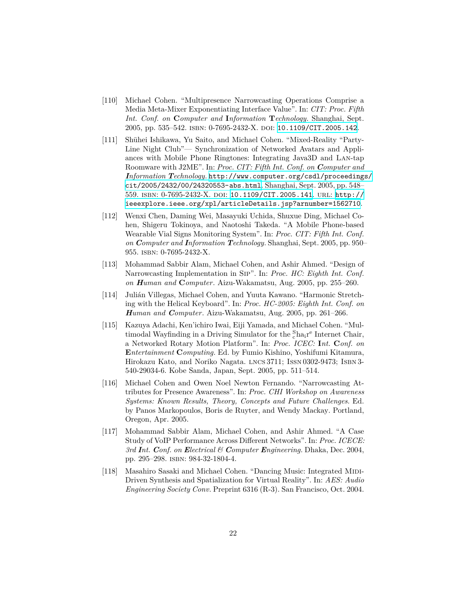- [110] Michael Cohen. "Multipresence Narrowcasting Operations Comprise a Media Meta-Mixer Exponentiating Interface Value". In: *CIT: Proc. Fifth Int. Conf. on* **C***omputer and* **I***nformation* **T***echnology*. Shanghai, Sept. 2005, pp. 535–542. isbn: 0-7695-2432-X. doi: [10.1109/CIT.2005.142](http://dx.doi.org/10.1109/CIT.2005.142).
- [111] Shūhei Ishikawa, Yu Saito, and Michael Cohen. "Mixed-Reality "Party-Line Night Club"— Synchronization of Networked Avatars and Appliances with Mobile Phone Ringtones: Integrating Java3D and Lan-tap Roomware with J2ME". In: *Proc. CIT: Fifth Int. Conf. on Computer and Information Technology*. [http://www.computer.org/csdl/proceedings/](http://www.computer.org/csdl/proceedings/cit/2005/2432/00/24320553-abs.html) [cit/2005/2432/00/24320553-abs.html](http://www.computer.org/csdl/proceedings/cit/2005/2432/00/24320553-abs.html). Shanghai, Sept. 2005, pp. 548– 559. isbn: 0-7695-2432-X. doi: [10.1109/CIT.2005.141](http://dx.doi.org/10.1109/CIT.2005.141). url: [http://](http://ieeexplore.ieee.org/xpl/articleDetails.jsp?arnumber=1562710) [ieeexplore.ieee.org/xpl/articleDetails.jsp?arnumber=1562710](http://ieeexplore.ieee.org/xpl/articleDetails.jsp?arnumber=1562710).
- [112] Wenxi Chen, Daming Wei, Masayuki Uchida, Shuxue Ding, Michael Cohen, Shigeru Tokinoya, and Naotoshi Takeda. "A Mobile Phone-based Wearable Vial Signs Monitoring System". In: *Proc. CIT: Fifth Int. Conf. on Computer and Information Technology*. Shanghai, Sept. 2005, pp. 950– 955. isbn: 0-7695-2432-X.
- [113] Mohammad Sabbir Alam, Michael Cohen, and Ashir Ahmed. "Design of Narrowcasting Implementation in Sip". In: *Proc. HC: Eighth Int. Conf. on Human and* **C***omputer*. Aizu-Wakamatsu, Aug. 2005, pp. 255–260.
- [114] Julián Villegas, Michael Cohen, and Yuuta Kawano. "Harmonic Stretching with the Helical Keyboard". In: *Proc. HC-2005: Eighth Int. Conf. on Human and Computer*. Aizu-Wakamatsu, Aug. 2005, pp. 261–266.
- [115] Kazuya Adachi, Ken'ichiro Iwai, Eiji Yamada, and Michael Cohen. "Multimodal Wayfinding in a Driving Simulator for the  $_{\rm c}^{\rm S}$  ha $_{\rm i}$ re Internet Chair, a Networked Rotary Motion Platform". In: *Proc. ICEC:* **I***nt.* **C***onf. on* **E***ntertainment* **C***omputing*. Ed. by Fumio Kishino, Yoshifumi Kitamura, Hirokazu Kato, and Noriko Nagata. lncs 3711; Issn 0302-9473; Isbn 3- 540-29034-6. Kobe Sanda, Japan, Sept. 2005, pp. 511–514.
- [116] Michael Cohen and Owen Noel Newton Fernando. "Narrowcasting Attributes for Presence Awareness". In: *Proc. CHI Workshop on Awareness Systems: Known Results, Theory, Concepts and Future Challenges*. Ed. by Panos Markopoulos, Boris de Ruyter, and Wendy Mackay. Portland, Oregon, Apr. 2005.
- [117] Mohammad Sabbir Alam, Michael Cohen, and Ashir Ahmed. "A Case Study of VoIP Performance Across Different Networks". In: *Proc. ICECE: 3rd Int. Conf. on Electrical & Computer Engineering*. Dhaka, Dec. 2004, pp. 295–298. isbn: 984-32-1804-4.
- [118] Masahiro Sasaki and Michael Cohen. "Dancing Music: Integrated MIDI-Driven Synthesis and Spatialization for Virtual Reality". In: *AES: Audio Engineering Society Conv.* Preprint 6316 (R-3). San Francisco, Oct. 2004.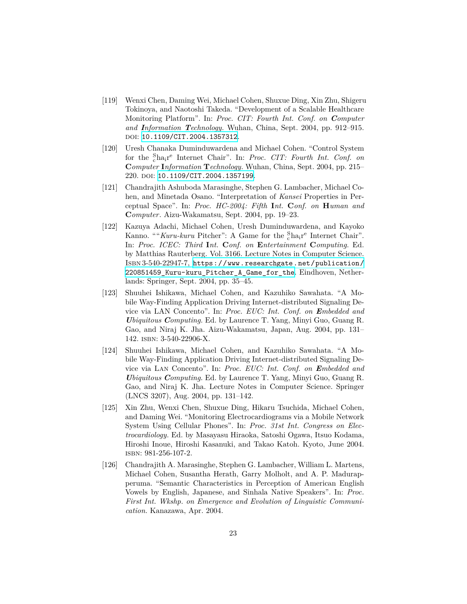- [119] Wenxi Chen, Daming Wei, Michael Cohen, Shuxue Ding, Xin Zhu, Shigeru Tokinoya, and Naotoshi Takeda. "Development of a Scalable Healthcare Monitoring Platform". In: *Proc. CIT: Fourth Int. Conf. on Computer and Information Technology*. Wuhan, China, Sept. 2004, pp. 912–915. DOI: [10.1109/CIT.2004.1357312](http://dx.doi.org/10.1109/CIT.2004.1357312).
- [120] Uresh Chanaka Duminduwardena and Michael Cohen. "Control System for the <sup>S</sup> <sup>c</sup>hair e Internet Chair". In: *Proc. CIT: Fourth Int. Conf. on* **C***omputer* **I***nformation* **T***echnology*. Wuhan, China, Sept. 2004, pp. 215– 220. doi: [10.1109/CIT.2004.1357199](http://dx.doi.org/10.1109/CIT.2004.1357199).
- [121] Chandrajith Ashuboda Marasinghe, Stephen G. Lambacher, Michael Cohen, and Minetada Osano. "Interpretation of *Kansei* Properties in Perceptual Space". In: *Proc. HC-2004: Fifth* **I***nt.* **C***onf. on* **H***uman and* **C***omputer*. Aizu-Wakamatsu, Sept. 2004, pp. 19–23.
- [122] Kazuya Adachi, Michael Cohen, Uresh Duminduwardena, and Kayoko Kanno. ""*Kuru-kuru* Pitcher": A Game for the <sup>S</sup>ha<sub>i</sub>r<sup>e</sup> Internet Chair". In: *Proc. ICEC: Third* **I***nt.* **C***onf. on* **E***ntertainment* **C***omputing*. Ed. by Matthias Rauterberg. Vol. 3166. Lecture Notes in Computer Science. Isbn 3-540-22947-7, [https://www.researchgate.net/publication/](https://www.researchgate.net/publication/220851459_Kuru-kuru_Pitcher_A_Game_for_the) [220851459\\_Kuru-kuru\\_Pitcher\\_A\\_Game\\_for\\_the](https://www.researchgate.net/publication/220851459_Kuru-kuru_Pitcher_A_Game_for_the). Eindhoven, Netherlands: Springer, Sept. 2004, pp. 35–45.
- [123] Shuuhei Ishikawa, Michael Cohen, and Kazuhiko Sawahata. "A Mobile Way-Finding Application Driving Internet-distributed Signaling Device via LAN Concento". In: *Proc. EUC: Int. Conf. on Embedded and Ubiquitous Computing*. Ed. by Laurence T. Yang, Minyi Guo, Guang R. Gao, and Niraj K. Jha. Aizu-Wakamatsu, Japan, Aug. 2004, pp. 131– 142. isbn: 3-540-22906-X.
- [124] Shuuhei Ishikawa, Michael Cohen, and Kazuhiko Sawahata. "A Mobile Way-Finding Application Driving Internet-distributed Signaling Device via Lan Concento". In: *Proc. EUC: Int. Conf. on Embedded and Ubiquitous Computing*. Ed. by Laurence T. Yang, Minyi Guo, Guang R. Gao, and Niraj K. Jha. Lecture Notes in Computer Science. Springer (LNCS 3207), Aug. 2004, pp. 131–142.
- [125] Xin Zhu, Wenxi Chen, Shuxue Ding, Hikaru Tsuchida, Michael Cohen, and Daming Wei. "Monitoring Electrocardiograms via a Mobile Network System Using Cellular Phones". In: *Proc. 31st Int. Congress on Electrocardiology*. Ed. by Masayasu Hiraoka, Satoshi Ogawa, Itsuo Kodama, Hiroshi Inoue, Hiroshi Kasanuki, and Takao Katoh. Kyoto, June 2004. isbn: 981-256-107-2.
- [126] Chandrajith A. Marasinghe, Stephen G. Lambacher, William L. Martens, Michael Cohen, Susantha Herath, Garry Molholt, and A. P. Madurapperuma. "Semantic Characteristics in Perception of American English Vowels by English, Japanese, and Sinhala Native Speakers". In: *Proc. First Int. Wkshp. on Emergence and Evolution of Linguistic Communication*. Kanazawa, Apr. 2004.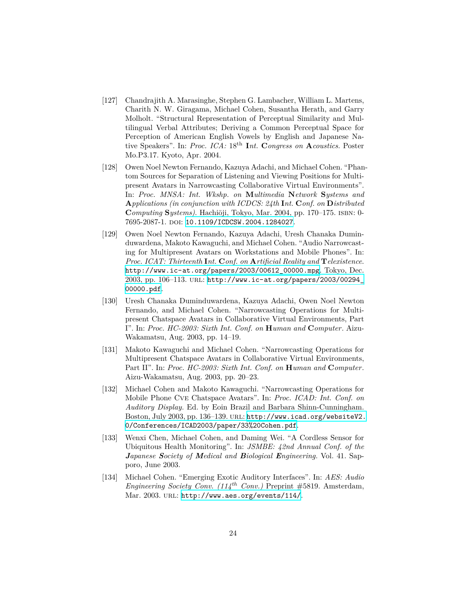- [127] Chandrajith A. Marasinghe, Stephen G. Lambacher, William L. Martens, Charith N. W. Giragama, Michael Cohen, Susantha Herath, and Garry Molholt. "Structural Representation of Perceptual Similarity and Multilingual Verbal Attributes; Deriving a Common Perceptual Space for Perception of American English Vowels by English and Japanese Native Speakers". In: *Proc. ICA:* 18th **I***nt.* **C***ongress on* **A***coustics*. Poster Mo.P3.17. Kyoto, Apr. 2004.
- [128] Owen Noel Newton Fernando, Kazuya Adachi, and Michael Cohen. "Phantom Sources for Separation of Listening and Viewing Positions for Multipresent Avatars in Narrowcasting Collaborative Virtual Environments". In: *Proc. MNSA: Int. Wkshp. on* **M***ultimedia* **N***etwork* **S***ystems and* **A***pplications (in conjunction with ICDCS: 24th* **I***nt.* **C***onf. on* **D***istributed* **C***omputing* **S***ystems)*. Hachiōji, Tokyo, Mar. 2004, pp. 170–175. isbn: 0- 7695-2087-1. doi: [10.1109/ICDCSW.2004.1284027](http://dx.doi.org/10.1109/ICDCSW.2004.1284027).
- [129] Owen Noel Newton Fernando, Kazuya Adachi, Uresh Chanaka Duminduwardena, Makoto Kawaguchi, and Michael Cohen. "Audio Narrowcasting for Multipresent Avatars on Workstations and Mobile Phones". In: *Proc. ICAT: Thirteenth* **I***nt.* **C***onf. on* **A***rtificial Reality and* **T***elexistence*. [http://www.ic-at.org/papers/2003/00612\\_00000.mpg](http://www.ic-at.org/papers/2003/00612_00000.mpg). Tokyo, Dec. 2003, pp. 106–113. url: [http://www.ic-at.org/papers/2003/00294\\_](http://www.ic-at.org/papers/2003/00294_00000.pdf) [00000.pdf](http://www.ic-at.org/papers/2003/00294_00000.pdf).
- [130] Uresh Chanaka Duminduwardena, Kazuya Adachi, Owen Noel Newton Fernando, and Michael Cohen. "Narrowcasting Operations for Multipresent Chatspace Avatars in Collaborative Virtual Environments, Part I". In: *Proc. HC-2003: Sixth Int. Conf. on* **H***uman and* **C***omputer*. Aizu-Wakamatsu, Aug. 2003, pp. 14–19.
- [131] Makoto Kawaguchi and Michael Cohen. "Narrowcasting Operations for Multipresent Chatspace Avatars in Collaborative Virtual Environments, Part II". In: *Proc. HC-2003: Sixth Int. Conf. on* **H***uman and* **C***omputer*. Aizu-Wakamatsu, Aug. 2003, pp. 20–23.
- [132] Michael Cohen and Makoto Kawaguchi. "Narrowcasting Operations for Mobile Phone Cve Chatspace Avatars". In: *Proc. ICAD: Int. Conf. on Auditory Display*. Ed. by Eoin Brazil and Barbara Shinn-Cunningham. Boston, July 2003, pp. 136-139. URL: [http://www.icad.org/websiteV2.](http://www.icad.org/websiteV2.0/Conferences/ICAD2003/paper/33%20Cohen.pdf) [0/Conferences/ICAD2003/paper/33%20Cohen.pdf](http://www.icad.org/websiteV2.0/Conferences/ICAD2003/paper/33%20Cohen.pdf).
- [133] Wenxi Chen, Michael Cohen, and Daming Wei. "A Cordless Sensor for Ubiquitous Health Monitoring". In: *JSMBE: 42nd Annual Conf. of the Japanese Society of Medical and Biological Engineering*. Vol. 41. Sapporo, June 2003.
- [134] Michael Cohen. "Emerging Exotic Auditory Interfaces". In: *AES: Audio Engineering Society Conv. (114th Conv.)* Preprint #5819. Amsterdam, Mar. 2003. URL: <http://www.aes.org/events/114/>.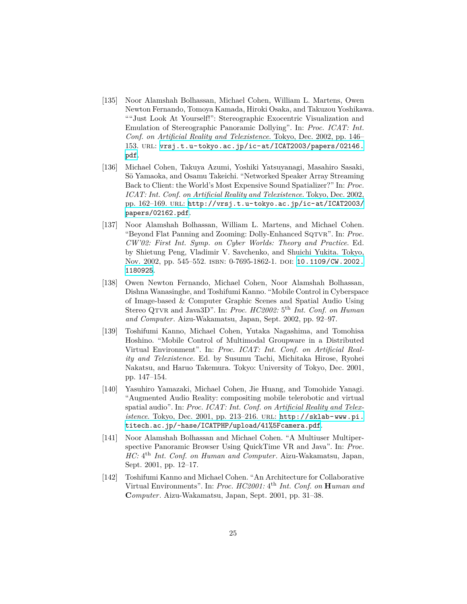- [135] Noor Alamshah Bolhassan, Michael Cohen, William L. Martens, Owen Newton Fernando, Tomoya Kamada, Hiroki Osaka, and Takuzou Yoshikawa. ""Just Look At Yourself!": Stereographic Exocentric Visualization and Emulation of Stereographic Panoramic Dollying". In: *Proc. ICAT: Int. Conf. on Artificial Reality and Telexistence*. Tokyo, Dec. 2002, pp. 146– 153. url: [vrsj.t.u-tokyo.ac.jp/ic-at/ICAT2003/papers/02146.](vrsj.t.u-tokyo.ac.jp/ic-at/ICAT2003/papers/02146.pdf) [pdf](vrsj.t.u-tokyo.ac.jp/ic-at/ICAT2003/papers/02146.pdf).
- [136] Michael Cohen, Takuya Azumi, Yoshiki Yatsuyanagi, Masahiro Sasaki, Sō Yamaoka, and Osamu Takeichi. "Networked Speaker Array Streaming Back to Client: the World's Most Expensive Sound Spatializer?" In: *Proc. ICAT: Int. Conf. on Artificial Reality and Telexistence*. Tokyo, Dec. 2002, pp. 162–169. url: [http://vrsj.t.u-tokyo.ac.jp/ic-at/ICAT2003/](http://vrsj.t.u-tokyo.ac.jp/ic-at/ICAT2003/papers/02162.pdf) [papers/02162.pdf](http://vrsj.t.u-tokyo.ac.jp/ic-at/ICAT2003/papers/02162.pdf).
- [137] Noor Alamshah Bolhassan, William L. Martens, and Michael Cohen. "Beyond Flat Panning and Zooming: Dolly-Enhanced SQTVR". In: Proc. *CW'02: First Int. Symp. on Cyber Worlds: Theory and Practice*. Ed. by Shietung Peng, Vladimir V. Savchenko, and Shuichi Yukita. Tokyo, Nov. 2002, pp. 545–552. ISBN: 0-7695-1862-1. DOI: [10.1109/CW.2002.](http://dx.doi.org/10.1109/CW.2002.1180925) [1180925](http://dx.doi.org/10.1109/CW.2002.1180925).
- [138] Owen Newton Fernando, Michael Cohen, Noor Alamshah Bolhassan, Dishna Wanasinghe, and Toshifumi Kanno. "Mobile Control in Cyberspace of Image-based & Computer Graphic Scenes and Spatial Audio Using Stereo QTVR and Java3D". In: *Proc. HC2002*: 5<sup>th</sup> *Int. Conf. on Human and Computer*. Aizu-Wakamatsu, Japan, Sept. 2002, pp. 92–97.
- [139] Toshifumi Kanno, Michael Cohen, Yutaka Nagashima, and Tomohisa Hoshino. "Mobile Control of Multimodal Groupware in a Distributed Virtual Environment". In: *Proc. ICAT: Int. Conf. on Artificial Reality and Telexistence*. Ed. by Susumu Tachi, Michitaka Hirose, Ryohei Nakatsu, and Haruo Takemura. Tokyo: University of Tokyo, Dec. 2001, pp. 147–154.
- [140] Yasuhiro Yamazaki, Michael Cohen, Jie Huang, and Tomohide Yanagi. "Augmented Audio Reality: compositing mobile telerobotic and virtual spatial audio". In: *Proc. ICAT: Int. Conf. on Artificial Reality and Telexistence*. Tokyo, Dec. 2001, pp. 213–216. url: [http://sklab-www.pi.](http://sklab-www.pi.titech.ac.jp/~hase/ICATPHP/upload/41%5Fcamera.pdf) [titech.ac.jp/~hase/ICATPHP/upload/41%5Fcamera.pdf](http://sklab-www.pi.titech.ac.jp/~hase/ICATPHP/upload/41%5Fcamera.pdf).
- [141] Noor Alamshah Bolhassan and Michael Cohen. "A Multiuser Multiperspective Panoramic Browser Using QuickTime VR and Java". In: *Proc. HC*:  $4<sup>th</sup>$  *Int. Conf. on Human and Computer. Aizu-Wakamatsu, Japan,* Sept. 2001, pp. 12–17.
- [142] Toshifumi Kanno and Michael Cohen. "An Architecture for Collaborative Virtual Environments". In: *Proc. HC2001:* 4 th *Int. Conf. on* **H***uman and* **C***omputer*. Aizu-Wakamatsu, Japan, Sept. 2001, pp. 31–38.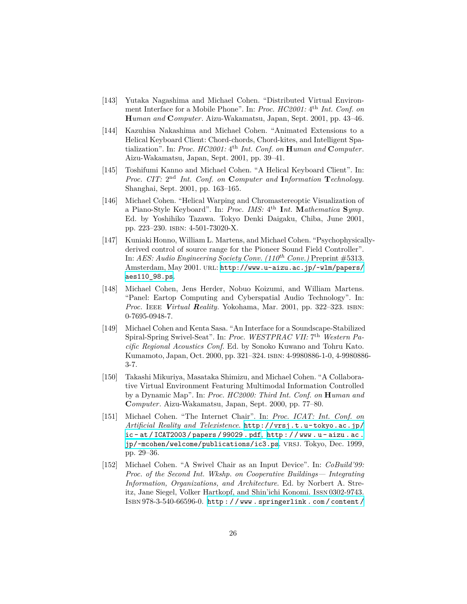- [143] Yutaka Nagashima and Michael Cohen. "Distributed Virtual Environment Interface for a Mobile Phone". In: *Proc. HC2001*: 4<sup>th</sup> *Int. Conf. on* **H***uman and* **C***omputer*. Aizu-Wakamatsu, Japan, Sept. 2001, pp. 43–46.
- [144] Kazuhisa Nakashima and Michael Cohen. "Animated Extensions to a Helical Keyboard Client: Chord-chords, Chord-kites, and Intelligent Spatialization". In: *Proc. HC2001:* 4 th *Int. Conf. on* **H***uman and* **C***omputer*. Aizu-Wakamatsu, Japan, Sept. 2001, pp. 39–41.
- [145] Toshifumi Kanno and Michael Cohen. "A Helical Keyboard Client". In: *Proc. CIT:* 2 nd *Int. Conf. on* **C***omputer and* **I***nformation* **T***echnology*. Shanghai, Sept. 2001, pp. 163–165.
- [146] Michael Cohen. "Helical Warping and Chromastereoptic Visualization of a Piano-Style Keyboard". In: *Proc. IMS:* 4 th **I***nt.* **M***athematica* **S***ymp.* Ed. by Yoshihiko Tazawa. Tokyo Denki Daigaku, Chiba, June 2001, pp. 223–230. isbn: 4-501-73020-X.
- [147] Kuniaki Honno, William L. Martens, and Michael Cohen. "Psychophysicallyderived control of source range for the Pioneer Sound Field Controller". In: *AES: Audio Engineering Society Conv. (110th Conv.)* Preprint #5313. Amsterdam, May 2001. url: [http://www.u-aizu.ac.jp/~wlm/papers/](http://www.u-aizu.ac.jp/~wlm/papers/aes110_98.ps) [aes110\\_98.ps](http://www.u-aizu.ac.jp/~wlm/papers/aes110_98.ps).
- [148] Michael Cohen, Jens Herder, Nobuo Koizumi, and William Martens. "Panel: Eartop Computing and Cyberspatial Audio Technology". In: *Proc.* Ieee *Virtual Reality*. Yokohama, Mar. 2001, pp. 322–323. isbn: 0-7695-0948-7.
- [149] Michael Cohen and Kenta Sasa. "An Interface for a Soundscape-Stabilized Spiral-Spring Swivel-Seat". In: Proc. WESTPRAC VII: 7<sup>th</sup> Western Pa*cific Regional Acoustics Conf.* Ed. by Sonoko Kuwano and Tohru Kato. Kumamoto, Japan, Oct. 2000, pp. 321–324. isbn: 4-9980886-1-0, 4-9980886- 3-7.
- [150] Takashi Mikuriya, Masataka Shimizu, and Michael Cohen. "A Collaborative Virtual Environment Featuring Multimodal Information Controlled by a Dynamic Map". In: *Proc. HC2000: Third Int. Conf. on* **H***uman and* **C***omputer*. Aizu-Wakamatsu, Japan, Sept. 2000, pp. 77–80.
- [151] Michael Cohen. "The Internet Chair". In: *Proc. ICAT: Int. Conf. on Artificial Reality and Telexistence*. [http://vrsj.t.u-tokyo.ac.jp/](http://vrsj.t.u-tokyo.ac.jp/ic-at/ICAT2003/papers/99029.pdf) [ic - at / ICAT2003 / papers / 99029 . pdf](http://vrsj.t.u-tokyo.ac.jp/ic-at/ICAT2003/papers/99029.pdf), [http : / / www . u - aizu . ac .](http://www.u-aizu.ac.jp/~mcohen/welcome/publications/ic3.ps) [jp/~mcohen/welcome/publications/ic3.ps](http://www.u-aizu.ac.jp/~mcohen/welcome/publications/ic3.ps). VRSJ. Tokyo, Dec. 1999, pp. 29–36.
- [152] Michael Cohen. "A Swivel Chair as an Input Device". In: *CoBuild'99: Proc. of the Second Int. Wkshp. on Cooperative Buildings— Integrating Information, Organizations, and Architecture*. Ed. by Norbert A. Streitz, Jane Siegel, Volker Hartkopf, and Shin'ichi Konomi. Issn 0302-9743. Isbn 978-3-540-66596-0. [http : / / www . springerlink . com / content /](http://www.springerlink.com/content/m2u54n67510468u5)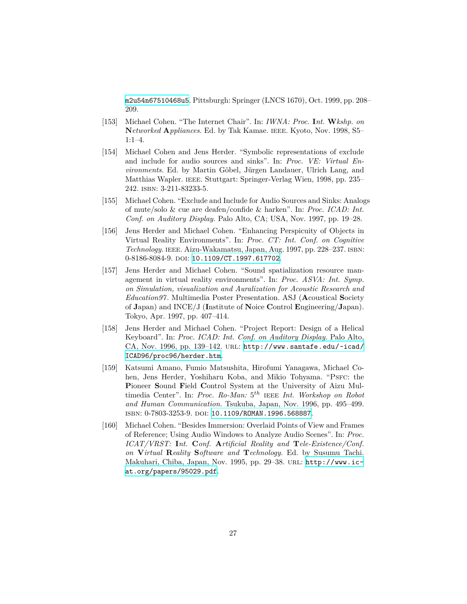[m2u54n67510468u5](http://www.springerlink.com/content/m2u54n67510468u5). Pittsburgh: Springer (LNCS 1670), Oct. 1999, pp. 208– 209.

- [153] Michael Cohen. "The Internet Chair". In: *IWNA: Proc.* **I***nt.* **W***kshp. on* **N***etworked* **A***ppliances*. Ed. by Tak Kamae. ieee. Kyoto, Nov. 1998, S5– 1:1–4.
- [154] Michael Cohen and Jens Herder. "Symbolic representations of exclude and include for audio sources and sinks". In: *Proc. VE: Virtual Environments*. Ed. by Martin Göbel, Jürgen Landauer, Ulrich Lang, and Matthias Wapler. ieee. Stuttgart: Springer-Verlag Wien, 1998, pp. 235– 242. isbn: 3-211-83233-5.
- [155] Michael Cohen. "Exclude and Include for Audio Sources and Sinks: Analogs of mute/solo & cue are deafen/confide & harken". In: *Proc. ICAD: Int. Conf. on Auditory Display*. Palo Alto, CA; USA, Nov. 1997, pp. 19–28.
- [156] Jens Herder and Michael Cohen. "Enhancing Perspicuity of Objects in Virtual Reality Environments". In: *Proc. CT: Int. Conf. on Cognitive Technology*. ieee. Aizu-Wakamatsu, Japan, Aug. 1997, pp. 228–237. isbn: 0-8186-8084-9. doi: [10.1109/CT.1997.617702](http://dx.doi.org/10.1109/CT.1997.617702).
- [157] Jens Herder and Michael Cohen. "Sound spatialization resource management in virtual reality environments". In: *Proc. ASVA: Int. Symp. on Simulation, visualization and Auralization for Acoustic Research and Education97*. Multimedia Poster Presentation. ASJ (**A**coustical **S**ociety of **J**apan) and INCE/J (**I**nstitute of **N**oice **C**ontrol **E**ngineering/**J**apan). Tokyo, Apr. 1997, pp. 407–414.
- [158] Jens Herder and Michael Cohen. "Project Report: Design of a Helical Keyboard". In: *Proc. ICAD: Int. Conf. on Auditory Display*. Palo Alto, CA, Nov. 1996, pp. 139–142. url: [http://www.santafe.edu/~icad/](http://www.santafe.edu/~icad/ICAD96/proc96/herder.htm) [ICAD96/proc96/herder.htm](http://www.santafe.edu/~icad/ICAD96/proc96/herder.htm).
- [159] Katsumi Amano, Fumio Matsushita, Hirofumi Yanagawa, Michael Cohen, Jens Herder, Yoshiharu Koba, and Mikio Tohyama. "PSFC: the **P**ioneer **S**ound **F**ield **C**ontrol System at the University of Aizu Multimedia Center". In: *Proc. Ro-Man:* 5 *th* ieee *Int. Workshop on Robot and Human Communication*. Tsukuba, Japan, Nov. 1996, pp. 495–499. isbn: 0-7803-3253-9. doi: [10.1109/ROMAN.1996.568887](http://dx.doi.org/10.1109/ROMAN.1996.568887).
- [160] Michael Cohen. "Besides Immersion: Overlaid Points of View and Frames of Reference; Using Audio Windows to Analyze Audio Scenes". In: *Proc. ICAT/VRST:* **I***nt.* **C***onf.* **A***rtificial Reality and* **T***ele-Existence/Conf. on* **V***irtual* **R***eality* **S***oftware and* **T***echnology*. Ed. by Susumu Tachi. Makuhari, Chiba, Japan, Nov. 1995, pp. 29–38. url: [http://www.ic](http://www.ic-at.org/papers/95029.pdf)[at.org/papers/95029.pdf](http://www.ic-at.org/papers/95029.pdf).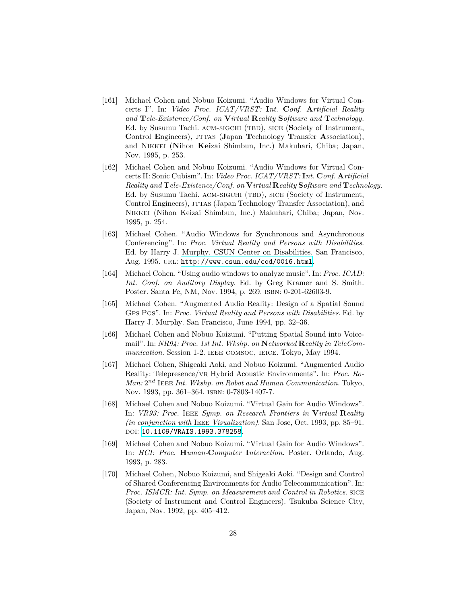- [161] Michael Cohen and Nobuo Koizumi. "Audio Windows for Virtual Concerts I". In: *Video Proc. ICAT/VRST:* **I***nt.* **C***onf.* **A***rtificial Reality and* **T***ele-Existence/Conf. on* **V***irtual* **R***eality* **S***oftware and* **T***echnology*. Ed. by Susumu Tachi. ACM-SIGCHI (TBD), SICE (Society of Instrument, Control **Engineers**), JTTAS (Japan **Technology Transfer Association**), and Nikkei (**Ni**hon **Kei**zai Shimbun, Inc.) Makuhari, Chiba; Japan, Nov. 1995, p. 253.
- [162] Michael Cohen and Nobuo Koizumi. "Audio Windows for Virtual Concerts II: Sonic Cubism". In: *Video Proc. ICAT/VRST:* **I***nt.* **C***onf.* **A***rtificial Reality and* **T***ele-Existence/Conf. on* **V***irtual* **R***eality* **S***oftware and* **T***echnology*. Ed. by Susumu Tachi. ACM-SIGCHI (TBD), SICE (Society of Instrument, Control Engineers), JTTAS (Japan Technology Transfer Association), and Nikkei (Nihon Keizai Shimbun, Inc.) Makuhari, Chiba; Japan, Nov. 1995, p. 254.
- [163] Michael Cohen. "Audio Windows for Synchronous and Asynchronous Conferencing". In: *Proc. Virtual Reality and Persons with Disabilities*. Ed. by Harry J. Murphy. CSUN Center on Disabilities. San Francisco, Aug. 1995. url: <http://www.csun.edu/cod/0016.html>.
- [164] Michael Cohen. "Using audio windows to analyze music". In: *Proc. ICAD: Int. Conf. on Auditory Display*. Ed. by Greg Kramer and S. Smith. Poster. Santa Fe, NM, Nov. 1994, p. 269. isbn: 0-201-62603-9.
- [165] Michael Cohen. "Augmented Audio Reality: Design of a Spatial Sound Gps Pgs". In: *Proc. Virtual Reality and Persons with Disabilities*. Ed. by Harry J. Murphy. San Francisco, June 1994, pp. 32–36.
- [166] Michael Cohen and Nobuo Koizumi. "Putting Spatial Sound into Voicemail". In: *NR94: Proc. 1st Int. Wkshp. on* **N***etworked* **R***eality in TeleCommunication*. Session 1-2. IEEE COMSOC, IEICE. Tokyo, May 1994.
- [167] Michael Cohen, Shigeaki Aoki, and Nobuo Koizumi. "Augmented Audio Reality: Telepresence/vr Hybrid Acoustic Environments". In: *Proc. Ro-Man:* 2 *nd* Ieee *Int. Wkshp. on Robot and Human Communication*. Tokyo, Nov. 1993, pp. 361-364. ISBN: 0-7803-1407-7.
- [168] Michael Cohen and Nobuo Koizumi. "Virtual Gain for Audio Windows". In: *VR93: Proc.* Ieee *Symp. on Research Frontiers in* **V***irtual* **R***eality (in conjunction with* Ieee *Visualization)*. San Jose, Oct. 1993, pp. 85–91. doi: [10.1109/VRAIS.1993.378258](http://dx.doi.org/10.1109/VRAIS.1993.378258).
- [169] Michael Cohen and Nobuo Koizumi. "Virtual Gain for Audio Windows". In: *HCI: Proc.* **H***uman-***C***omputer* **I***nteraction*. Poster. Orlando, Aug. 1993, p. 283.
- [170] Michael Cohen, Nobuo Koizumi, and Shigeaki Aoki. "Design and Control of Shared Conferencing Environments for Audio Telecommunication". In: *Proc. ISMCR: Int. Symp. on Measurement and Control in Robotics.* SICE (Society of Instrument and Control Engineers). Tsukuba Science City, Japan, Nov. 1992, pp. 405–412.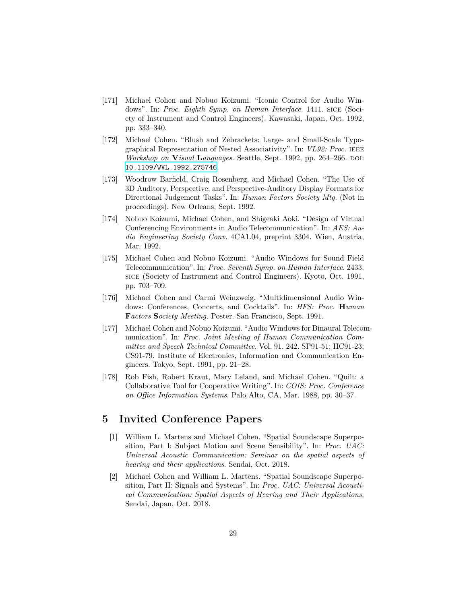- [171] Michael Cohen and Nobuo Koizumi. "Iconic Control for Audio Windows". In: *Proc. Eighth Symp. on Human Interface*. 1411. SICE (Society of Instrument and Control Engineers). Kawasaki, Japan, Oct. 1992, pp. 333–340.
- [172] Michael Cohen. "Blush and Zebrackets: Large- and Small-Scale Typographical Representation of Nested Associativity". In: *VL92: Proc.* ieee *Workshop on Visual Languages*. Seattle, Sept. 1992, pp. 264–266. DOI: [10.1109/WVL.1992.275746](http://dx.doi.org/10.1109/WVL.1992.275746).
- [173] Woodrow Barfield, Craig Rosenberg, and Michael Cohen. "The Use of 3D Auditory, Perspective, and Perspective-Auditory Display Formats for Directional Judgement Tasks". In: *Human Factors Society Mtg.* (Not in proceedings). New Orleans, Sept. 1992.
- [174] Nobuo Koizumi, Michael Cohen, and Shigeaki Aoki. "Design of Virtual Conferencing Environments in Audio Telecommunication". In: *AES: Audio Engineering Society Conv.* 4CA1.04, preprint 3304. Wien, Austria, Mar. 1992.
- [175] Michael Cohen and Nobuo Koizumi. "Audio Windows for Sound Field Telecommunication". In: *Proc. Seventh Symp. on Human Interface*. 2433. sice (Society of Instrument and Control Engineers). Kyoto, Oct. 1991, pp. 703–709.
- [176] Michael Cohen and Carmi Weinzweig. "Multidimensional Audio Windows: Conferences, Concerts, and Cocktails". In: *HFS: Proc.* **H***uman* **F***actors* **S***ociety Meeting*. Poster. San Francisco, Sept. 1991.
- [177] Michael Cohen and Nobuo Koizumi. "Audio Windows for Binaural Telecommunication". In: *Proc. Joint Meeting of Human Communication Committee and Speech Technical Committee*. Vol. 91. 242. SP91-51; HC91-23; CS91-79. Institute of Electronics, Information and Communication Engineers. Tokyo, Sept. 1991, pp. 21–28.
- [178] Rob Fish, Robert Kraut, Mary Leland, and Michael Cohen. "Quilt: a Collaborative Tool for Cooperative Writing". In: *COIS: Proc. Conference on Office Information Systems*. Palo Alto, CA, Mar. 1988, pp. 30–37.

#### **5 Invited Conference Papers**

- [1] William L. Martens and Michael Cohen. "Spatial Soundscape Superposition, Part I: Subject Motion and Scene Sensibility". In: *Proc. UAC: Universal Acoustic Communication: Seminar on the spatial aspects of hearing and their applications*. Sendai, Oct. 2018.
- [2] Michael Cohen and William L. Martens. "Spatial Soundscape Superposition, Part II: Signals and Systems". In: *Proc. UAC: Universal Acoustical Communication: Spatial Aspects of Hearing and Their Applications*. Sendai, Japan, Oct. 2018.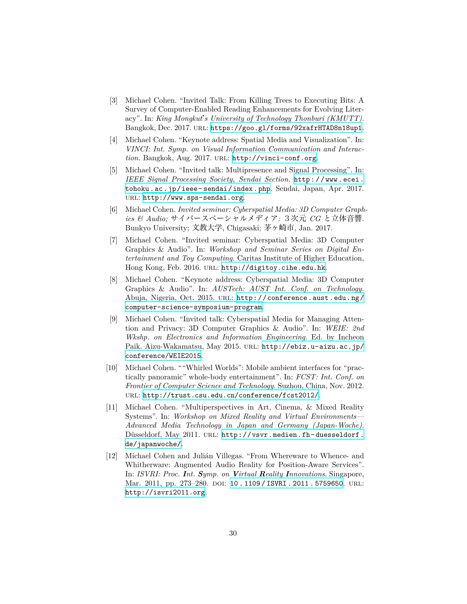- [3] Michael Cohen. "Invited Talk: From Killing Trees to Executing Bits: A Survey of Computer-Enabled Reading Enhancements for Evolving Literacy". In: *King Mongkut*'*s University of Technology Thonburi (KMUTT)*. Bangkok, Dec. 2017. url: <https://goo.gl/forms/92xafrHTAD8n18up1>.
- [4] Michael Cohen. "Keynote address: Spatial Media and Visualization". In: *VINCI: Int. Symp. on Visual Information Communication and Interac*tion. Bangkok, Aug. 2017. URL: <http://vinci-conf.org>.
- [5] Michael Cohen. "Invited talk: Multipresence and Signal Processing". In: *IEEE Signal Processing Society, Sendai Section*. [http://www.ecei.](http://www.ecei.tohoku.ac.jp/ieee-sendai/index.php) [tohoku.ac.jp/ieee- sendai/index.php](http://www.ecei.tohoku.ac.jp/ieee-sendai/index.php). Sendai, Japan, Apr. 2017. url: <http://www.sps-sendai.org>.
- [6] Michael Cohen. *Invited seminar: Cyberspatial Media: 3D Computer Graphics & Audio;* サイバースぺーシャルメディア*:* 3次元 *CG* と立体音響. Bunkyo University; 文教大学, Chigasaki; 茅ヶ崎市, Jan. 2017.
- [7] Michael Cohen. "Invited seminar: Cyberspatial Media: 3D Computer Graphics & Audio". In: *Workshop and Seminar Series on Digital Entertainment and Toy Computing*. Caritas Institute of Higher Education, Hong Kong, Feb. 2016. URL: <http://digitoy.cihe.edu.hk>.
- [8] Michael Cohen. "Keynote address: Cyberspatial Media: 3D Computer Graphics & Audio". In: *AUSTech: AUST Int. Conf. on Technology*. Abuja, Nigeria, Oct. 2015. URL: [http://conference.aust.edu.ng/](http://conference.aust.edu.ng/computer-science-symposium-program) [computer-science-symposium-program](http://conference.aust.edu.ng/computer-science-symposium-program).
- [9] Michael Cohen. "Invited talk: Cyberspatial Media for Managing Attention and Privacy: 3D Computer Graphics & Audio". In: *WEIE: 2nd Wkshp. on Electronics and Information Engineering*. Ed. by Incheon Paik. Aizu-Wakamatsu, May 2015. URL: [http://ebiz.u-aizu.ac.jp/](http://ebiz.u-aizu.ac.jp/conference/WEIE2015) [conference/WEIE2015](http://ebiz.u-aizu.ac.jp/conference/WEIE2015).
- [10] Michael Cohen. ""Whirled Worlds": Mobile ambient interfaces for "practically panoramic" whole-body entertainment". In: *FCST: Int. Conf. on Frontier of Computer Science and Technology*. Suzhou, China, Nov. 2012. url: <http://trust.csu.edu.cn/conference/fcst2012/>.
- [11] Michael Cohen. "Multiperspectives in Art, Cinema, & Mixed Reality Systems". In: *Workshop on Mixed Reality and Virtual Environments— Advanced Media Technology in Japan and Germany (Japan-Woche)*. Düsseldorf, May 2011. URL: [http://vsvr.medien.fh-duesseldorf.](http://vsvr.medien.fh-duesseldorf.de/japanwoche/) [de/japanwoche/](http://vsvr.medien.fh-duesseldorf.de/japanwoche/).
- [12] Michael Cohen and Julián Villegas. "From Whereware to Whence- and Whitherware: Augmented Audio Reality for Position-Aware Services". In: *ISVRI: Proc. Int. Symp. on Virtual Reality Innovations*. Singapore, Mar. 2011, pp. 273-280. DOI: [10 . 1109 / ISVRI . 2011 . 5759650](http://dx.doi.org/10.1109/ISVRI.2011.5759650). URL: <http://isvri2011.org>.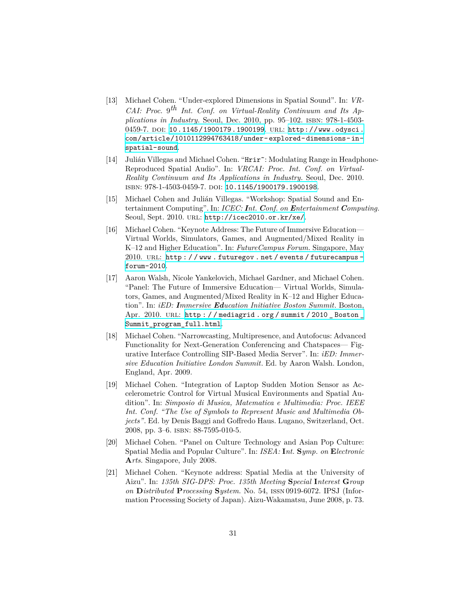- [13] Michael Cohen. "Under-explored Dimensions in Spatial Sound". In: *VR-CAI: Proc.* 9 *th Int. Conf. on Virtual-Reality Continuum and Its Applications in Industry*. Seoul, Dec. 2010, pp. 95–102. ISBN: 978-1-4503-0459-7. DOI: [10.1145/1900179.1900199](http://dx.doi.org/10.1145/1900179.1900199). URL: [http://www.odysci.](http://www.odysci.com/article/1010112994763418/under-explored-dimensions-in-spatial-sound) [com/article/1010112994763418/under-explored-dimensions-in](http://www.odysci.com/article/1010112994763418/under-explored-dimensions-in-spatial-sound)[spatial-sound](http://www.odysci.com/article/1010112994763418/under-explored-dimensions-in-spatial-sound).
- [14] Julián Villegas and Michael Cohen. "Hrir~: Modulating Range in Headphone-Reproduced Spatial Audio". In: *VRCAI: Proc. Int. Conf. on Virtual-Reality Continuum and Its Applications in Industry*. Seoul, Dec. 2010. isbn: 978-1-4503-0459-7. doi: [10.1145/1900179.1900198](http://dx.doi.org/10.1145/1900179.1900198).
- [15] Michael Cohen and Julián Villegas. "Workshop: Spatial Sound and Entertainment Computing". In: *ICEC: Int. Conf. on Entertainment Computing*. Seoul, Sept. 2010. url: <http://icec2010.or.kr/xe/>.
- [16] Michael Cohen. "Keynote Address: The Future of Immersive Education— Virtual Worlds, Simulators, Games, and Augmented/Mixed Reality in K–12 and Higher Education". In: *FutureCampus Forum*. Singapore, May 2010. URL: http://www.futuregov.net/events/futurecampus[forum-2010](http://www.futuregov.net/events/futurecampus-forum-2010).
- [17] Aaron Walsh, Nicole Yankelovich, Michael Gardner, and Michael Cohen. "Panel: The Future of Immersive Education— Virtual Worlds, Simulators, Games, and Augmented/Mixed Reality in K–12 and Higher Education". In: *iED: Immersive Education Initiative Boston Summit*. Boston, Apr. 2010. URL: http://mediagrid.org/summit/2010\_Boston\_ Summit program full.html.
- [18] Michael Cohen. "Narrowcasting, Multipresence, and Autofocus: Advanced Functionality for Next-Generation Conferencing and Chatspaces— Figurative Interface Controlling SIP-Based Media Server". In: *iED: Immersive Education Initiative London Summit*. Ed. by Aaron Walsh. London, England, Apr. 2009.
- [19] Michael Cohen. "Integration of Laptop Sudden Motion Sensor as Accelerometric Control for Virtual Musical Environments and Spatial Audition". In: *Simposio di Musica, Matematica e Multimedia: Proc. IEEE Int. Conf. "The Use of Symbols to Represent Music and Multimedia Objects"*. Ed. by Denis Baggi and Goffredo Haus. Lugano, Switzerland, Oct. 2008, pp. 3–6. isbn: 88-7595-010-5.
- [20] Michael Cohen. "Panel on Culture Technology and Asian Pop Culture: Spatial Media and Popular Culture". In: *ISEA:* **I***nt.* **S***ymp. on* **E***lectronic* **A***rts*. Singapore, July 2008.
- [21] Michael Cohen. "Keynote address: Spatial Media at the University of Aizu". In: *135th SIG-DPS: Proc. 135th Meeting* **S***pecial* **I***nterest* **G***roup on* **D***istributed* **P***rocessing* **S***ystem*. No. 54, issn 0919-6072. IPSJ (Information Processing Society of Japan). Aizu-Wakamatsu, June 2008, p. 73.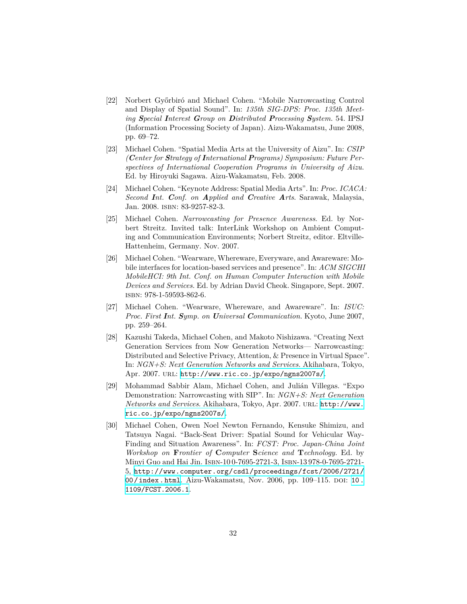- [22] Norbert Győrbiró and Michael Cohen. "Mobile Narrowcasting Control and Display of Spatial Sound". In: *135th SIG-DPS: Proc. 135th Meeting Special Interest Group on Distributed Processing System*. 54. IPSJ (Information Processing Society of Japan). Aizu-Wakamatsu, June 2008, pp. 69–72.
- [23] Michael Cohen. "Spatial Media Arts at the University of Aizu". In: *CSIP (Center for Strategy of International Programs) Symposium: Future Perspectives of International Cooperation Programs in University of Aizu*. Ed. by Hiroyuki Sagawa. Aizu-Wakamatsu, Feb. 2008.
- [24] Michael Cohen. "Keynote Address: Spatial Media Arts". In: *Proc. ICACA: Second Int. Conf. on Applied and Creative Arts*. Sarawak, Malaysia, Jan. 2008. isbn: 83-9257-82-3.
- [25] Michael Cohen. *Narrowcasting for Presence Awareness*. Ed. by Norbert Streitz. Invited talk: InterLink Workshop on Ambient Computing and Communication Environments; Norbert Streitz, editor. Eltville-Hattenheim, Germany. Nov. 2007.
- [26] Michael Cohen. "Wearware, Whereware, Everyware, and Awareware: Mobile interfaces for location-based services and presence". In: *ACM SIGCHI MobileHCI: 9th Int. Conf. on Human Computer Interaction with Mobile Devices and Services*. Ed. by Adrian David Cheok. Singapore, Sept. 2007. isbn: 978-1-59593-862-6.
- [27] Michael Cohen. "Wearware, Whereware, and Awareware". In: *ISUC: Proc. First Int. Symp. on Universal Communication*. Kyoto, June 2007, pp. 259–264.
- [28] Kazushi Takeda, Michael Cohen, and Makoto Nishizawa. "Creating Next Generation Services from Now Generation Networks— Narrowcasting: Distributed and Selective Privacy, Attention, & Presence in Virtual Space". In: *NGN+S: Next Generation Networks and Services*. Akihabara, Tokyo, Apr. 2007. URL: <http://www.ric.co.jp/expo/ngns2007s/>.
- [29] Mohammad Sabbir Alam, Michael Cohen, and Julián Villegas. "Expo Demonstration: Narrowcasting with SIP". In: *NGN+S: Next Generation Networks and Services*. Akihabara, Tokyo, Apr. 2007. url: [http://www.](http://www.ric.co.jp/expo/ngns2007s/) [ric.co.jp/expo/ngns2007s/](http://www.ric.co.jp/expo/ngns2007s/).
- [30] Michael Cohen, Owen Noel Newton Fernando, Kensuke Shimizu, and Tatsuya Nagai. "Back-Seat Driver: Spatial Sound for Vehicular Way-Finding and Situation Awareness". In: *FCST: Proc. Japan-China Joint Workshop on* **F***rontier of* **C***omputer* **S***cience and* **T***echnology*. Ed. by Minyi Guo and Hai Jin. Isbn-10 0-7695-2721-3, Isbn-13 978-0-7695-2721- 5, [http://www.computer.org/csdl/proceedings/fcst/2006/2721/](http://www.computer.org/csdl/proceedings/fcst/2006/2721/00/index.html) [00/index.html](http://www.computer.org/csdl/proceedings/fcst/2006/2721/00/index.html). Aizu-Wakamatsu, Nov. 2006, pp. 109–115. doi: [10.](http://dx.doi.org/10.1109/FCST.2006.1) [1109/FCST.2006.1](http://dx.doi.org/10.1109/FCST.2006.1).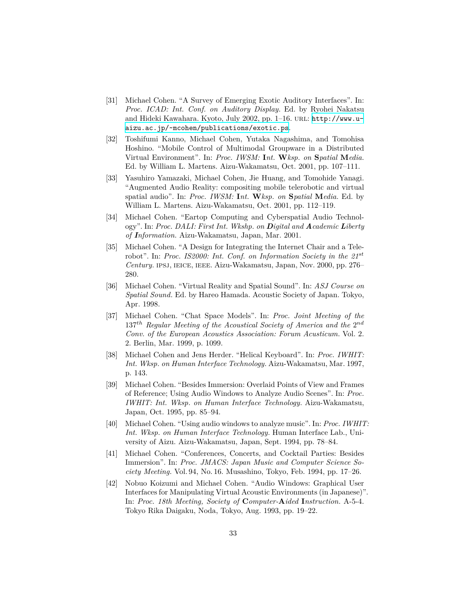- [31] Michael Cohen. "A Survey of Emerging Exotic Auditory Interfaces". In: *Proc. ICAD: Int. Conf. on Auditory Display*. Ed. by Ryohei Nakatsu and Hideki Kawahara. Kyoto, July 2002, pp. 1-16. URL: [http://www.u](http://www.u-aizu.ac.jp/~mcohen/publications/exotic.ps)[aizu.ac.jp/~mcohen/publications/exotic.ps](http://www.u-aizu.ac.jp/~mcohen/publications/exotic.ps).
- [32] Toshifumi Kanno, Michael Cohen, Yutaka Nagashima, and Tomohisa Hoshino. "Mobile Control of Multimodal Groupware in a Distributed Virtual Environment". In: *Proc. IWSM:* **I***nt.* **W***ksp. on* **S***patial* **M***edia*. Ed. by William L. Martens. Aizu-Wakamatsu, Oct. 2001, pp. 107–111.
- [33] Yasuhiro Yamazaki, Michael Cohen, Jie Huang, and Tomohide Yanagi. "Augmented Audio Reality: compositing mobile telerobotic and virtual spatial audio". In: *Proc. IWSM:* **I***nt.* **W***ksp. on* **S***patial* **M***edia*. Ed. by William L. Martens. Aizu-Wakamatsu, Oct. 2001, pp. 112–119.
- [34] Michael Cohen. "Eartop Computing and Cyberspatial Audio Technology". In: *Proc. DALI: First Int. Wkshp. on Digital and Academic Liberty of Information*. Aizu-Wakamatsu, Japan, Mar. 2001.
- [35] Michael Cohen. "A Design for Integrating the Internet Chair and a Telerobot". In: *Proc. IS2000: Int. Conf. on Information Society in the 21st Century*. ipsj, ieice, ieee. Aizu-Wakamatsu, Japan, Nov. 2000, pp. 276– 280.
- [36] Michael Cohen. "Virtual Reality and Spatial Sound". In: *ASJ Course on Spatial Sound*. Ed. by Hareo Hamada. Acoustic Society of Japan. Tokyo, Apr. 1998.
- [37] Michael Cohen. "Chat Space Models". In: *Proc. Joint Meeting of the* 137<sup>th</sup> Regular Meeting of the Acoustical Society of America and the 2<sup>nd</sup> *Conv. of the European Acoustics Association: Forum Acusticum*. Vol. 2. 2. Berlin, Mar. 1999, p. 1099.
- [38] Michael Cohen and Jens Herder. "Helical Keyboard". In: *Proc. IWHIT: Int. Wksp. on Human Interface Technology*. Aizu-Wakamatsu, Mar. 1997, p. 143.
- [39] Michael Cohen. "Besides Immersion: Overlaid Points of View and Frames of Reference; Using Audio Windows to Analyze Audio Scenes". In: *Proc. IWHIT: Int. Wksp. on Human Interface Technology*. Aizu-Wakamatsu, Japan, Oct. 1995, pp. 85–94.
- [40] Michael Cohen. "Using audio windows to analyze music". In: *Proc. IWHIT: Int. Wksp. on Human Interface Technology*. Human Interface Lab., University of Aizu. Aizu-Wakamatsu, Japan, Sept. 1994, pp. 78–84.
- [41] Michael Cohen. "Conferences, Concerts, and Cocktail Parties: Besides Immersion". In: *Proc. JMACS: Japan Music and Computer Science Society Meeting*. Vol. 94, No. 16. Musashino, Tokyo, Feb. 1994, pp. 17–26.
- [42] Nobuo Koizumi and Michael Cohen. "Audio Windows: Graphical User Interfaces for Manipulating Virtual Acoustic Environments (in Japanese)". In: *Proc. 18th Meeting, Society of* **C***omputer-***A***ided* **I***nstruction*. A-5-4. Tokyo Rika Daigaku, Noda, Tokyo, Aug. 1993, pp. 19–22.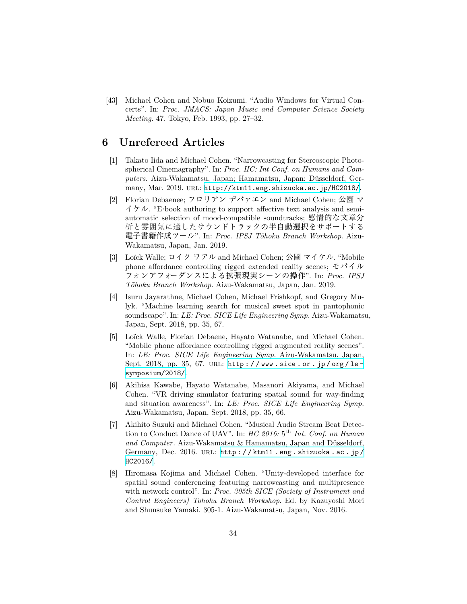[43] Michael Cohen and Nobuo Koizumi. "Audio Windows for Virtual Concerts". In: *Proc. JMACS: Japan Music and Computer Science Society Meeting*. 47. Tokyo, Feb. 1993, pp. 27–32.

#### **6 Unrefereed Articles**

- [1] Takato Iida and Michael Cohen. "Narrowcasting for Stereoscopic Photospherical Cinemagraphy". In: *Proc. HC: Int Conf. on Humans and Computers*. Aizu-Wakamatsu, Japan; Hamamatsu, Japan; Düsseldorf, Germany, Mar. 2019. URL: <http://ktm11.eng.shizuoka.ac.jp/HC2018/>.
- [2] Florian Debaenee; フロリアン デバァエン and Michael Cohen; 公園 マ  $\Delta f/\gamma \nu$ . "E-book authoring to support affective text analysis and semiautomatic selection of mood-compatible soundtracks; 感情的な文章分 析と雰囲気に適したサウンドトラックの半自動選択をサポートする 電子書籍作成ツール". In: *Proc. IPSJ Tōhoku Branch Workshop*. Aizu-Wakamatsu, Japan, Jan. 2019.
- [3] Loïck Walle; ロイク ワアル and Michael Cohen; 公園 マイケル. "Mobile phone affordance controlling rigged extended reality scenes; モバイル フォンアフォーダンスによる拡張現実シーンの操作". In: *Proc. IPSJ Tōhoku Branch Workshop*. Aizu-Wakamatsu, Japan, Jan. 2019.
- [4] Isuru Jayarathne, Michael Cohen, Michael Frishkopf, and Gregory Mulyk. "Machine learning search for musical sweet spot in pantophonic soundscape". In: *LE: Proc. SICE Life Engineering Symp.* Aizu-Wakamatsu, Japan, Sept. 2018, pp. 35, 67.
- [5] Loïck Walle, Florian Debaene, Hayato Watanabe, and Michael Cohen. "Mobile phone affordance controlling rigged augmented reality scenes". In: *LE: Proc. SICE Life Engineering Symp.* Aizu-Wakamatsu, Japan, Sept. 2018, pp. 35, 67. URL: http://www.sice.or.jp/org/le[symposium/2018/](http://www.sice.or.jp/org/le-symposium/2018/).
- [6] Akihisa Kawabe, Hayato Watanabe, Masanori Akiyama, and Michael Cohen. "VR driving simulator featuring spatial sound for way-finding and situation awareness". In: *LE: Proc. SICE Life Engineering Symp.* Aizu-Wakamatsu, Japan, Sept. 2018, pp. 35, 66.
- [7] Akihito Suzuki and Michael Cohen. "Musical Audio Stream Beat Detection to Conduct Dance of UAV". In: *HC 2016*: 5<sup>th</sup> *Int. Conf. on Human and Computer*. Aizu-Wakamatsu & Hamamatsu, Japan and Düsseldorf, Germany, Dec. 2016. URL: http://ktm11.eng.shizuoka.ac.jp/ [HC2016/](http://ktm11.eng.shizuoka.ac.jp/HC2016/).
- [8] Hiromasa Kojima and Michael Cohen. "Unity-developed interface for spatial sound conferencing featuring narrowcasting and multipresence with network control". In: *Proc. 305th SICE (Society of Instrument and Control Engineers) Tohoku Branch Workshop*. Ed. by Kazuyoshi Mori and Shunsuke Yamaki. 305-1. Aizu-Wakamatsu, Japan, Nov. 2016.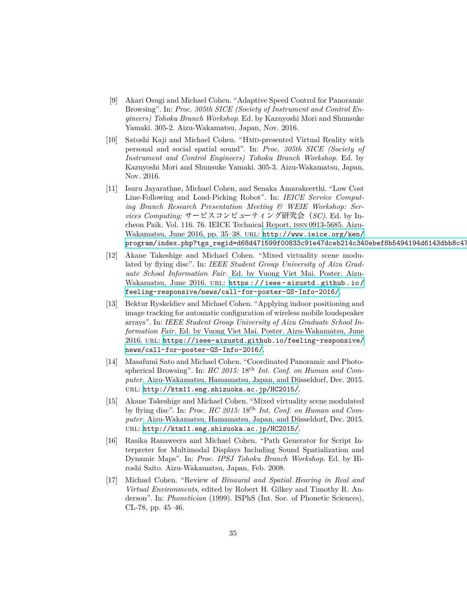- [9] Akari Osugi and Michael Cohen. "Adaptive Speed Control for Panoramic Browsing". In: *Proc. 305th SICE (Society of Instrument and Control Engineers) Tohoku Branch Workshop*. Ed. by Kazuyoshi Mori and Shunsuke Yamaki. 305-2. Aizu-Wakamatsu, Japan, Nov. 2016.
- [10] Satoshi Kaji and Michael Cohen. "Hmd-presented Virtual Reality with personal and social spatial sound". In: *Proc. 305th SICE (Society of Instrument and Control Engineers) Tohoku Branch Workshop*. Ed. by Kazuyoshi Mori and Shunsuke Yamaki. 305-3. Aizu-Wakamatsu, Japan, Nov. 2016.
- [11] Isuru Jayarathne, Michael Cohen, and Senaka Amarakeerthi. "Low Cost Line-Following and Load-Picking Robot". In: *IEICE Service Computing Branch Research Presentation Meeting & WEIE Workshop: Services Computing;* サービスコンピューティング研究会(*SC)*. Ed. by Incheon Paik. Vol. 116. 76. IEICE Technical Report, issn 0913-5685. Aizu-Wakamatsu, June 2016, pp. 35–38. url: [http://www.ieice.org/ken/](http://www.ieice.org/ken/program/index.php?tgs_regid=d68d471599f00833c91e47dceb214c340ebef8b5494194d6143dbb8c4721b3d4) program/index.php?tgs\_regid=d68d471599f00833c91e47dceb214c340ebef8b5494194d6143dbb8c47
- [12] Akane Takeshige and Michael Cohen. "Mixed virtuality scene modulated by flying disc". In: *IEEE Student Group University of Aizu Graduate School Information Fair*. Ed. by Vuong Viet Mai. Poster. Aizu-Wakamatsu, June 2016. URL: https://ieee-aizustd.github.io/ [feeling-responsive/news/call-for-poster-GS-Info-2016/](https://ieee-aizustd.github.io/feeling-responsive/news/call-for-poster-GS-Info-2016/).
- [13] Bektur Ryskeldiev and Michael Cohen. "Applying indoor positioning and image tracking for automatic configuration of wireless mobile loudspeaker arrays". In: *IEEE Student Group University of Aizu Graduate School Information Fair*. Ed. by Vuong Viet Mai. Poster. Aizu-Wakamatsu, June 2016. url: [https://ieee-aizustd.github.io/feeling-responsive/](https://ieee-aizustd.github.io/feeling-responsive/news/call-for-poster-GS-Info-2016/) [news/call-for-poster-GS-Info-2016/](https://ieee-aizustd.github.io/feeling-responsive/news/call-for-poster-GS-Info-2016/).
- [14] Masafumi Sato and Michael Cohen. "Coordinated Panoramic and Photospherical Browsing". In: *HC 2015:* 18th *Int. Conf. on Human and Computer*. Aizu-Wakamatsu, Hamamatsu, Japan, and Düsseldorf, Dec. 2015. url: <http://ktm11.eng.shizuoka.ac.jp/HC2015/>.
- [15] Akane Takeshige and Michael Cohen. "Mixed virtuality scene modulated by flying disc". In: *Proc. HC 2015:* 18th *Int. Conf. on Human and Computer*. Aizu-Wakamatsu, Hamamatsu, Japan, and Düsseldorf, Dec. 2015. url: <http://ktm11.eng.shizuoka.ac.jp/HC2015/>.
- [16] Rasika Ranaweera and Michael Cohen. "Path Generator for Script Interpreter for Multimodal Displays Including Sound Spatialization and Dynamic Maps". In: *Proc. IPSJ Tohoku Branch Workshop*. Ed. by Hiroshi Saito. Aizu-Wakamatsu, Japan, Feb. 2008.
- [17] Michael Cohen. "Review of *Binaural and Spatial Hearing in Real and Virtual Environments*, edited by Robert H. Gilkey and Timothy R. Anderson". In: *Phonetician* (1999). ISPhS (Int. Soc. of Phonetic Sciences), CL-78, pp. 45–46.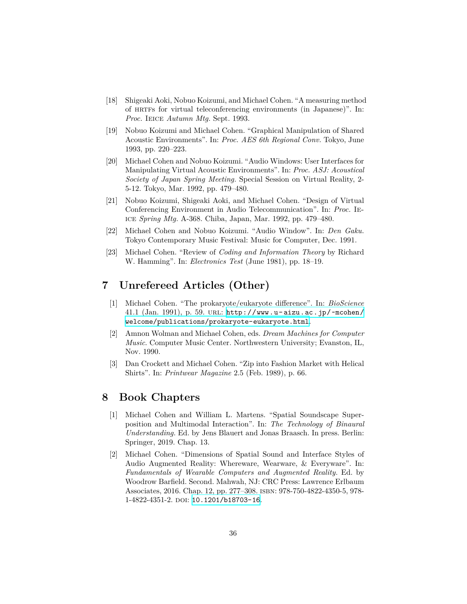- [18] Shigeaki Aoki, Nobuo Koizumi, and Michael Cohen. "A measuring method of HRTFs for virtual teleconferencing environments (in Japanese)". In: *Proc.* Ieice *Autumn Mtg.* Sept. 1993.
- [19] Nobuo Koizumi and Michael Cohen. "Graphical Manipulation of Shared Acoustic Environments". In: *Proc. AES 6th Regional Conv.* Tokyo, June 1993, pp. 220–223.
- [20] Michael Cohen and Nobuo Koizumi. "Audio Windows: User Interfaces for Manipulating Virtual Acoustic Environments". In: *Proc. ASJ: Acoustical Society of Japan Spring Meeting*. Special Session on Virtual Reality, 2- 5-12. Tokyo, Mar. 1992, pp. 479–480.
- [21] Nobuo Koizumi, Shigeaki Aoki, and Michael Cohen. "Design of Virtual Conferencing Environment in Audio Telecommunication". In: *Proc.* Ieice *Spring Mtg.* A-368. Chiba, Japan, Mar. 1992, pp. 479–480.
- [22] Michael Cohen and Nobuo Koizumi. "Audio Window". In: *Den Gaku*. Tokyo Contemporary Music Festival: Music for Computer, Dec. 1991.
- [23] Michael Cohen. "Review of *Coding and Information Theory* by Richard W. Hamming". In: *Electronics Test* (June 1981), pp. 18–19.

### **7 Unrefereed Articles (Other)**

- [1] Michael Cohen. "The prokaryote/eukaryote difference". In: *BioScience* 41.1 (Jan. 1991), p. 59. url: [http://www.u-aizu.ac.jp/~mcohen/](http://www.u-aizu.ac.jp/~mcohen/welcome/publications/prokaryote-eukaryote.html) [welcome/publications/prokaryote-eukaryote.html](http://www.u-aizu.ac.jp/~mcohen/welcome/publications/prokaryote-eukaryote.html).
- [2] Amnon Wolman and Michael Cohen, eds. *Dream Machines for Computer Music*. Computer Music Center. Northwestern University; Evanston, IL, Nov. 1990.
- [3] Dan Crockett and Michael Cohen. "Zip into Fashion Market with Helical Shirts". In: *Printwear Magazine* 2.5 (Feb. 1989), p. 66.

#### **8 Book Chapters**

- [1] Michael Cohen and William L. Martens. "Spatial Soundscape Superposition and Multimodal Interaction". In: *The Technology of Binaural Understanding*. Ed. by Jens Blauert and Jonas Braasch. In press. Berlin: Springer, 2019. Chap. 13.
- [2] Michael Cohen. "Dimensions of Spatial Sound and Interface Styles of Audio Augmented Reality: Whereware, Wearware, & Everyware". In: *Fundamentals of Wearable Computers and Augmented Reality*. Ed. by Woodrow Barfield. Second. Mahwah, NJ: CRC Press: Lawrence Erlbaum Associates, 2016. Chap. 12, pp. 277–308. isbn: 978-750-4822-4350-5, 978- 1-4822-4351-2. DOI: [10.1201/b18703-16](http://dx.doi.org/10.1201/b18703-16).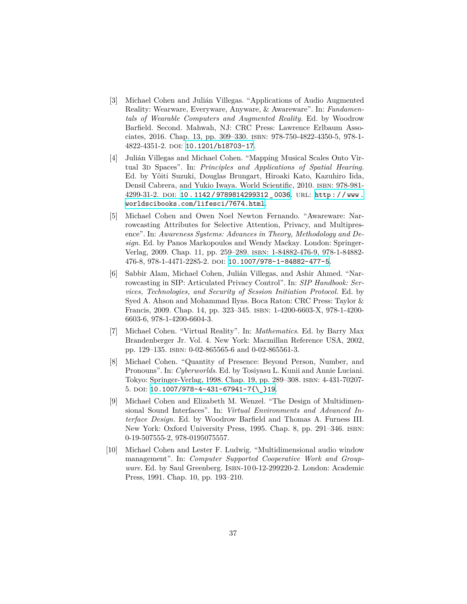- [3] Michael Cohen and Julián Villegas. "Applications of Audio Augmented Reality: Wearware, Everyware, Anyware, & Awareware". In: *Fundamentals of Wearable Computers and Augmented Reality*. Ed. by Woodrow Barfield. Second. Mahwah, NJ: CRC Press: Lawrence Erlbaum Associates, 2016. Chap. 13, pp. 309–330. isbn: 978-750-4822-4350-5, 978-1- 4822-4351-2. doi: [10.1201/b18703-17](http://dx.doi.org/10.1201/b18703-17).
- [4] Julián Villegas and Michael Cohen. "Mapping Musical Scales Onto Virtual 3d Spaces". In: *Principles and Applications of Spatial Hearing*. Ed. by Yôiti Suzuki, Douglas Brungart, Hiroaki Kato, Kazuhiro Iida, Densil Cabrera, and Yukio Iwaya. World Scientific, 2010. isbn: 978-981- 4299-31-2. doi: [10 . 1142 / 9789814299312 \\_ 0036](http://dx.doi.org/10.1142/9789814299312_0036). url: [http : / / www .](http://www.worldscibooks.com/lifesci/7674.html) [worldscibooks.com/lifesci/7674.html](http://www.worldscibooks.com/lifesci/7674.html).
- [5] Michael Cohen and Owen Noel Newton Fernando. "Awareware: Narrowcasting Attributes for Selective Attention, Privacy, and Multipresence". In: *Awareness Systems: Advances in Theory, Methodology and Design*. Ed. by Panos Markopoulos and Wendy Mackay. London: Springer-Verlag, 2009. Chap. 11, pp. 259–289. isbn: 1-84882-476-9, 978-1-84882- 476-8, 978-1-4471-2285-2. doi: [10.1007/978-1-84882-477-5](http://dx.doi.org/10.1007/978-1-84882-477-5).
- [6] Sabbir Alam, Michael Cohen, Julián Villegas, and Ashir Ahmed. "Narrowcasting in SIP: Articulated Privacy Control". In: *SIP Handbook: Services, Technologies, and Security of Session Initiation Protocol*. Ed. by Syed A. Ahson and Mohammad Ilyas. Boca Raton: CRC Press: Taylor & Francis, 2009. Chap. 14, pp. 323–345. isbn: 1-4200-6603-X, 978-1-4200- 6603-6, 978-1-4200-6604-3.
- [7] Michael Cohen. "Virtual Reality". In: *Mathematics*. Ed. by Barry Max Brandenberger Jr. Vol. 4. New York: Macmillan Reference USA, 2002, pp. 129–135. isbn: 0-02-865565-6 and 0-02-865561-3.
- [8] Michael Cohen. "Quantity of Presence: Beyond Person, Number, and Pronouns". In: *Cyberworlds*. Ed. by Tosiyasu L. Kunii and Annie Luciani. Tokyo: Springer-Verlag, 1998. Chap. 19, pp. 289–308. isbn: 4-431-70207- 5. doi: [10.1007/978-4-431-67941-7{\\\_}19](http://dx.doi.org/10.1007/978-4-431-67941-7{\_}19).
- [9] Michael Cohen and Elizabeth M. Wenzel. "The Design of Multidimensional Sound Interfaces". In: *Virtual Environments and Advanced Interface Design*. Ed. by Woodrow Barfield and Thomas A. Furness III. New York: Oxford University Press, 1995. Chap. 8, pp. 291–346. isbn: 0-19-507555-2, 978-0195075557.
- [10] Michael Cohen and Lester F. Ludwig. "Multidimensional audio window management". In: *Computer Supported Cooperative Work and Groupware*. Ed. by Saul Greenberg. ISBN-100-12-299220-2. London: Academic Press, 1991. Chap. 10, pp. 193–210.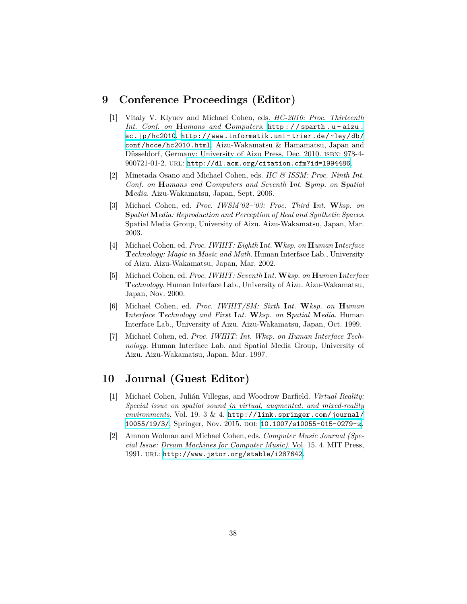#### **9 Conference Proceedings (Editor)**

- [1] Vitaly V. Klyuev and Michael Cohen, eds. *HC-2010: Proc. Thirteenth Int. Conf. on* **H***umans and* **C***omputers*. [http : / / sparth . u - aizu .](http://sparth.u-aizu.ac.jp/hc2010) [ac.jp/hc2010](http://sparth.u-aizu.ac.jp/hc2010), [http://www.informatik.uni-trier.de/~ley/db/](http://www.informatik.uni-trier.de/~ley/db/conf/hcce/hc2010.html) [conf/hcce/hc2010.html](http://www.informatik.uni-trier.de/~ley/db/conf/hcce/hc2010.html). Aizu-Wakamatsu & Hamamatsu, Japan and Düsseldorf, Germany: University of Aizu Press, Dec. 2010. isbn: 978-4- 900721-01-2. url: <http://dl.acm.org/citation.cfm?id=1994486>.
- [2] Minetada Osano and Michael Cohen, eds. *HC & ISSM: Proc. Ninth Int. Conf. on* **H***umans and* **C***omputers and Seventh* **I***nt.* **S***ymp. on* **S***patial* **M***edia*. Aizu-Wakamatsu, Japan, Sept. 2006.
- [3] Michael Cohen, ed. *Proc. IWSM'02–'03: Proc. Third* **I***nt.* **W***ksp. on* **S***patial* **M***edia: Reproduction and Perception of Real and Synthetic Spaces*. Spatial Media Group, University of Aizu. Aizu-Wakamatsu, Japan, Mar. 2003.
- [4] Michael Cohen, ed. *Proc. IWHIT: Eighth* **I***nt.* **W***ksp. on* **H***uman* **I***nterface* **T***echnology: Magic in Music and Math*. Human Interface Lab., University of Aizu. Aizu-Wakamatsu, Japan, Mar. 2002.
- [5] Michael Cohen, ed. *Proc. IWHIT: Seventh* **I***nt.* **W***ksp. on* **H***uman* **I***nterface* **T***echnology*. Human Interface Lab., University of Aizu. Aizu-Wakamatsu, Japan, Nov. 2000.
- [6] Michael Cohen, ed. *Proc. IWHIT/SM: Sixth* **I***nt.* **W***ksp. on* **H***uman* **I***nterface* **T***echnology and First* **I***nt.* **W***ksp. on* **S***patial* **M***edia*. Human Interface Lab., University of Aizu. Aizu-Wakamatsu, Japan, Oct. 1999.
- [7] Michael Cohen, ed. *Proc. IWHIT: Int. Wksp. on Human Interface Technology*. Human Interface Lab. and Spatial Media Group, University of Aizu. Aizu-Wakamatsu, Japan, Mar. 1997.

### **10 Journal (Guest Editor)**

- [1] Michael Cohen, Julián Villegas, and Woodrow Barfield. *Virtual Reality: Special issue on spatial sound in virtual, augmented, and mixed-reality environments*. Vol. 19. 3 & 4. [http://link.springer.com/journal/](http://link.springer.com/journal/10055/19/3/) [10055/19/3/](http://link.springer.com/journal/10055/19/3/). Springer, Nov. 2015. DOI: [10.1007/s10055-015-0279-z](http://dx.doi.org/10.1007/s10055-015-0279-z).
- [2] Amnon Wolman and Michael Cohen, eds. *Computer Music Journal (Special Issue: Dream Machines for Computer Music)*. Vol. 15. 4. MIT Press, 1991. url: <http://www.jstor.org/stable/i287642>.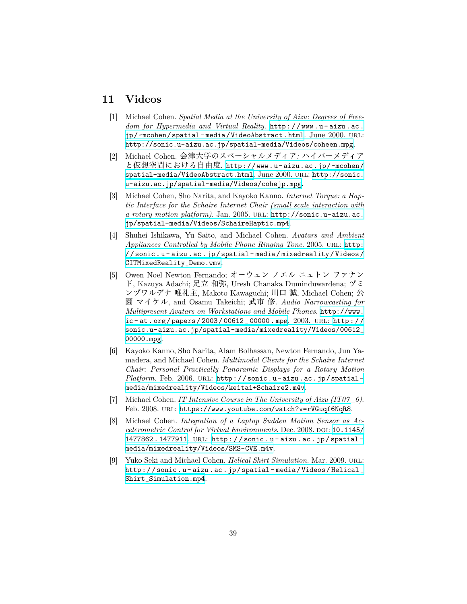#### **11 Videos**

- [1] Michael Cohen. *Spatial Media at the University of Aizu: Degrees of Freedom for Hypermedia and Virtual Reality*. [http://www.u- aizu.ac.](http://www.u-aizu.ac.jp/~mcohen/spatial-media/VideoAbstract.html) [jp/~mcohen/spatial- media/VideoAbstract.html](http://www.u-aizu.ac.jp/~mcohen/spatial-media/VideoAbstract.html). June 2000. url: <http://sonic.u-aizu.ac.jp/spatial-media/Videos/coheen.mpg>.
- [2] Michael Cohen. 会津大学のスペーシャルメディア*:* ハイパーメディア と仮想空間における自由度. [http://www.u-aizu.ac.jp/~mcohen/](http://www.u-aizu.ac.jp/~mcohen/spatial-media/VideoAbstract.html) [spatial-media/VideoAbstract.html](http://www.u-aizu.ac.jp/~mcohen/spatial-media/VideoAbstract.html). June 2000. url: [http://sonic.](http://sonic.u-aizu.ac.jp/spatial-media/Videos/cohejp.mpg) [u-aizu.ac.jp/spatial-media/Videos/cohejp.mpg](http://sonic.u-aizu.ac.jp/spatial-media/Videos/cohejp.mpg).
- [3] Michael Cohen, Sho Narita, and Kayoko Kanno. *Internet Torque: a Haptic Interface for the Schaire Internet Chair (small scale interaction with a rotary motion platform)*. Jan. 2005. url: [http://sonic.u-aizu.ac.](http://sonic.u-aizu.ac.jp/spatial-media/Videos/SchaireHaptic.mp4) [jp/spatial-media/Videos/SchaireHaptic.mp4](http://sonic.u-aizu.ac.jp/spatial-media/Videos/SchaireHaptic.mp4).
- [4] Shuhei Ishikawa, Yu Saito, and Michael Cohen. *Avatars and Ambient Appliances Controlled by Mobile Phone Ringing Tone.* 2005. URL: [http:](http://sonic.u-aizu.ac.jp/spatial-media/mixedreality/Videos/CITMixedReality_Demo.wmv) [//sonic.u- aizu.ac.jp/spatial- media/mixedreality/Videos/](http://sonic.u-aizu.ac.jp/spatial-media/mixedreality/Videos/CITMixedReality_Demo.wmv) [CITMixedReality\\_Demo.wmv](http://sonic.u-aizu.ac.jp/spatial-media/mixedreality/Videos/CITMixedReality_Demo.wmv).
- [5] Owen Noel Newton Fernando; オーウェン ノエル ニュトン ファナン ド, Kazuya Adachi; 足立 和弥, Uresh Chanaka Duminduwardena; ヅミ ンヅワルデナ 唯礼主, Makoto Kawaguchi; 川口 誠, Michael Cohen; 公 園 マイケル, and Osamu Takeichi; 武市 修. *Audio Narrowcasting for Multipresent Avatars on Workstations and Mobile Phones*. [http://www.](http://www.ic-at.org/papers/2003/00612_00000.mpg) [ic- at.org/papers/2003/00612\\_00000.mpg](http://www.ic-at.org/papers/2003/00612_00000.mpg). 2003. url: [http://](http://sonic.u-aizu.ac.jp/spatial-media/mixedreality/Videos/00612_00000.mpg) [sonic.u-aizu.ac.jp/spatial-media/mixedreality/Videos/00612\\_](http://sonic.u-aizu.ac.jp/spatial-media/mixedreality/Videos/00612_00000.mpg) [00000.mpg](http://sonic.u-aizu.ac.jp/spatial-media/mixedreality/Videos/00612_00000.mpg).
- [6] Kayoko Kanno, Sho Narita, Alam Bolhassan, Newton Fernando, Jun Yamadera, and Michael Cohen. *Multimodal Clients for the Schaire Internet Chair: Personal Practically Panoramic Displays for a Rotary Motion* Platform. Feb. 2006. URL: http://sonic.u-aizu.ac.jp/spatial[media/mixedreality/Videos/keitai+Schaire2.m4v](http://sonic.u-aizu.ac.jp/spatial-media/mixedreality/Videos/keitai+Schaire2.m4v).
- [7] Michael Cohen. *IT Intensive Course in The University of Aizu (IT07\_6)*. Feb. 2008. url: <https://www.youtube.com/watch?v=rVGuqf6NqR8>.
- [8] Michael Cohen. *Integration of a Laptop Sudden Motion Sensor as Accelerometric Control for Virtual Environments.* Dec. 2008. DOI: [10.1145/](http://dx.doi.org/10.1145/1477862.1477911) [1477862 . 1477911](http://dx.doi.org/10.1145/1477862.1477911). url: [http : / / sonic . u - aizu . ac . jp / spatial](http://sonic.u-aizu.ac.jp/spatial-media/mixedreality/Videos/SMS-CVE.m4v)  [media/mixedreality/Videos/SMS-CVE.m4v](http://sonic.u-aizu.ac.jp/spatial-media/mixedreality/Videos/SMS-CVE.m4v).
- [9] Yuko Seki and Michael Cohen. *Helical Shirt Simulation*. Mar. 2009. url: [http://sonic.u- aizu.ac.jp/spatial- media/Videos/Helical\\_](http://sonic.u-aizu.ac.jp/spatial-media/Videos/Helical_Shirt_Simulation.mp4) [Shirt\\_Simulation.mp4](http://sonic.u-aizu.ac.jp/spatial-media/Videos/Helical_Shirt_Simulation.mp4).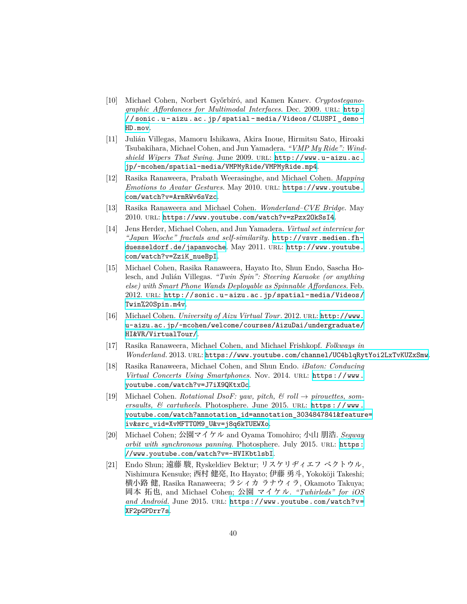- [10] Michael Cohen, Norbert Győrbíró, and Kamen Kanev. *Cryptosteganographic Affordances for Multimodal Interfaces*. Dec. 2009. url: [http:](http://sonic.u-aizu.ac.jp/spatial-media/Videos/CLUSPI_demo-HD.mov) [/ / sonic . u - aizu . ac . jp / spatial - media / Videos / CLUSPI \\_ demo -](http://sonic.u-aizu.ac.jp/spatial-media/Videos/CLUSPI_demo-HD.mov) [HD.mov](http://sonic.u-aizu.ac.jp/spatial-media/Videos/CLUSPI_demo-HD.mov).
- [11] Julián Villegas, Mamoru Ishikawa, Akira Inoue, Hirmitsu Sato, Hiroaki Tsubakihara, Michael Cohen, and Jun Yamadera. *"VMP My Ride": Windshield Wipers That Swing*. June 2009. url: [http://www.u-aizu.ac.](http://www.u-aizu.ac.jp/~mcohen/spatial-media/VMPMyRide/VMPMyRide.mp4) [jp/~mcohen/spatial-media/VMPMyRide/VMPMyRide.mp4](http://www.u-aizu.ac.jp/~mcohen/spatial-media/VMPMyRide/VMPMyRide.mp4).
- [12] Rasika Ranaweera, Prabath Weerasinghe, and Michael Cohen. *Mapping Emotions to Avatar Gestures*. May 2010. url: [https://www.youtube.](https://www.youtube.com/watch?v=ArmRWv6sVzc) [com/watch?v=ArmRWv6sVzc](https://www.youtube.com/watch?v=ArmRWv6sVzc).
- [13] Rasika Ranaweera and Michael Cohen. *Wonderland–CVE Bridge*. May 2010. url: <https://www.youtube.com/watch?v=zPzx2OkSsI4>.
- [14] Jens Herder, Michael Cohen, and Jun Yamadera. *Virtual set interview for "Japan Woche" fractals and self-similarity*. [http://vsvr.medien.fh](http://vsvr.medien.fh-duesseldorf.de/japanwoche)[duesseldorf.de/japanwoche](http://vsvr.medien.fh-duesseldorf.de/japanwoche). May 2011. URL: [http://www.youtube.](http://www.youtube.com/watch?v=ZziK_nueBpI) [com/watch?v=ZziK\\_nueBpI](http://www.youtube.com/watch?v=ZziK_nueBpI).
- [15] Michael Cohen, Rasika Ranaweera, Hayato Ito, Shun Endo, Sascha Holesch, and Julián Villegas. *"Twin Spin": Steering Karaoke (or anything else) with Smart Phone Wands Deployable as Spinnable Affordances*. Feb. 2012. url: [http://sonic.u-aizu.ac.jp/spatial-media/Videos/](http://sonic.u-aizu.ac.jp/spatial-media/Videos/Twin%20Spin.m4v) [Twin%20Spin.m4v](http://sonic.u-aizu.ac.jp/spatial-media/Videos/Twin%20Spin.m4v).
- [16] Michael Cohen. *University of Aizu Virtual Tour*. 2012. url: [http://www.](http://www.u-aizu.ac.jp/~mcohen/welcome/courses/AizuDai/undergraduate/HI&VR/VirtualTour/) [u-aizu.ac.jp/~mcohen/welcome/courses/AizuDai/undergraduate/](http://www.u-aizu.ac.jp/~mcohen/welcome/courses/AizuDai/undergraduate/HI&VR/VirtualTour/) [HI&VR/VirtualTour/](http://www.u-aizu.ac.jp/~mcohen/welcome/courses/AizuDai/undergraduate/HI&VR/VirtualTour/).
- [17] Rasika Ranaweera, Michael Cohen, and Michael Frishkopf. *Folkways in Wonderland*. 2013. url: <https://www.youtube.com/channel/UC4blqRytYoi2LxTvKUZxSmw>.
- [18] Rasika Ranaweera, Michael Cohen, and Shun Endo. *iBaton: Conducing Virtual Concerts Using Smartphones.* Nov. 2014. URL: [https://www.](https://www.youtube.com/watch?v=J7iX9QKtxOc) [youtube.com/watch?v=J7iX9QKtxOc](https://www.youtube.com/watch?v=J7iX9QKtxOc).
- [19] Michael Cohen. *Rotational DsoF: yaw, pitch, & roll → pirouettes, somersaults, & cartwheels*. Photosphere. June 2015. url: [https://www.](https://www.youtube.com/watch?annotation_id=annotation_3034847841&feature=iv&src_vid=XvMFTTOM9_U&v=j8q6kTUEWXo) [youtube.com/watch?annotation\\_id=annotation\\_3034847841&feature=](https://www.youtube.com/watch?annotation_id=annotation_3034847841&feature=iv&src_vid=XvMFTTOM9_U&v=j8q6kTUEWXo) [iv&src\\_vid=XvMFTTOM9\\_U&v=j8q6kTUEWXo](https://www.youtube.com/watch?annotation_id=annotation_3034847841&feature=iv&src_vid=XvMFTTOM9_U&v=j8q6kTUEWXo).
- [20] Michael Cohen; 公園マイケル and Oyama Tomohiro; 小山 朋浩. *Segway orbit with synchronous panning*. Photosphere. July 2015. URL: [https:](https://www.youtube.com/watch?v=-HVIKbtlsbI) [//www.youtube.com/watch?v=-HVIKbtlsbI](https://www.youtube.com/watch?v=-HVIKbtlsbI).
- [21] Endo Shun; 遠藤 駿, Ryskeldiev Bektur; リスケリヂィエフ ベクトウル, Nishimura Kensuke; 西村 健亮, Ito Hayato; 伊藤 勇斗, Yokokōji Takeshi; 横小路 健, Rasika Ranaweera; ラシィカ ラナウィラ, Okamoto Takuya; 岡本 拓也, and Michael Cohen; 公園 マイケル. *"Twhirleds" for iOS* and Android. June 2015. URL: [https://www.youtube.com/watch?v=](https://www.youtube.com/watch?v=XF2pGPDrr7s) [XF2pGPDrr7s](https://www.youtube.com/watch?v=XF2pGPDrr7s).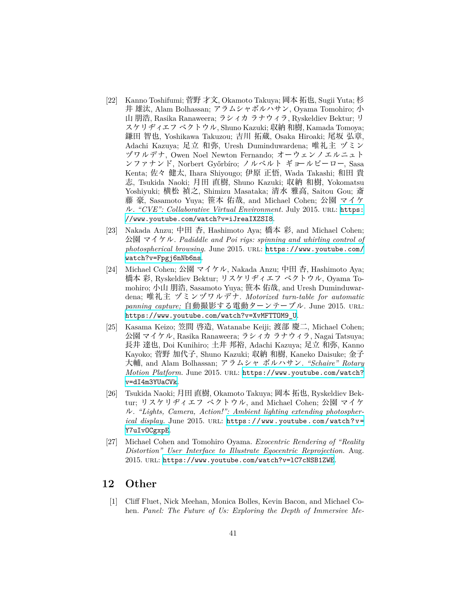- [22] Kanno Toshifumi; 菅野 才文, Okamoto Takuya; 岡本 拓也, Sugii Yuta; 杉 井 雄汰, Alam Bolhassan; アラムシャボルハサン, Oyama Tomohiro; 小 山 朋浩, Rasika Ranaweera; ラシィカ ラナウィラ, Ryskeldiev Bektur; リ スケリヂィエフ ベクトウル, Shuno Kazuki; 収納 和樹, Kamada Tomoya; 鎌田 智也, Yoshikawa Takuzou; 吉川 拓蔵, Osaka Hiroaki; 尾坂 弘章, Adachi Kazuya; 足立 和弥, Uresh Duminduwardena; 唯礼主 ヅミン ヅワルデナ, Owen Noel Newton Fernando; オーウェンノエルニュト ンファナンド, Norbert Győrbíro; ノルベルト ギョールビーロー, Sasa Kenta; 佐々 健太, Ihara Shiyougo; 伊原 正悟, Wada Takashi; 和田 貴 志, Tsukida Naoki; 月田 直樹, Shuno Kazuki; 収納 和樹, Yokomatsu Yoshiyuki; 横松 禎之, Shimizu Masataka; 清水 雅高, Saitou Gou; 斎 藤 豪, Sasamoto Yuya; 笹本 佑哉, and Michael Cohen; 公園 マイケ ル. *"CVE": Collaborative Virtual Environment*. July 2015. url: [https:](https://www.youtube.com/watch?v=iJreaIXZSI8) [//www.youtube.com/watch?v=iJreaIXZSI8](https://www.youtube.com/watch?v=iJreaIXZSI8).
- [23] Nakada Anzu; 中田 杏, Hashimoto Aya; 橋本 彩, and Michael Cohen; 公園 マイケル. *Padiddle and Poi rigs: spinning and whirling control of* photospherical browsing. June 2015. URL: [https://www.youtube.com/](https://www.youtube.com/watch?v=Fpgj6nNb6ns) [watch?v=Fpgj6nNb6ns](https://www.youtube.com/watch?v=Fpgj6nNb6ns).
- [24] Michael Cohen; 公園 マイケル, Nakada Anzu; 中田 杏, Hashimoto Aya; 橋本 彩, Ryskeldiev Bektur; リスケリヂィエフ ベクトウル, Oyama Tomohiro; 小山 朋浩, Sasamoto Yuya; 笹本 佑哉, and Uresh Duminduwardena; 唯礼主 ヅミンヅワルデナ. *Motorized turn-table for automatic panning capture;* 自動撮影する電動ターンテーブル. June 2015. url: [https://www.youtube.com/watch?v=XvMFTTOM9\\_U](https://www.youtube.com/watch?v=XvMFTTOM9_U).
- [25] Kasama Keizo; 笠間 啓造, Watanabe Keiji; 渡部 慶二, Michael Cohen; 公園 マイケル, Rasika Ranaweera; ラシィカ ラナウィラ, Nagai Tatsuya; 長井 達也, Doi Kunihiro; 土井 邦裕, Adachi Kazuya; 足立 和弥, Kanno Kayoko; 菅野 加代子, Shuno Kazuki; 収納 和樹, Kaneko Daisuke; 金子 大輔, and Alam Bolhassan; アラムシャ ボルハサン. *"Schaire" Rotary Motion Platform*. June 2015. url: [https://www.youtube.com/watch?](https://www.youtube.com/watch?v=dI4m3YUaCVk) [v=dI4m3YUaCVk](https://www.youtube.com/watch?v=dI4m3YUaCVk).
- [26] Tsukida Naoki; 月田 直樹, Okamoto Takuya; 岡本 拓也, Ryskeldiev Bektur; リスケリヂィエフ ベクトウル, and Michael Cohen; 公園 マイケ ル. *"Lights, Camera, Action!": Ambient lighting extending photospherical display.* June 2015. URL: [https://www.youtube.com/watch?v=](https://www.youtube.com/watch?v=Y7uIvOCgxpE) [Y7uIvOCgxpE](https://www.youtube.com/watch?v=Y7uIvOCgxpE).
- [27] Michael Cohen and Tomohiro Oyama. *Exocentric Rendering of "Reality Distortion" User Interface to Illustrate Egocentric Reprojection*. Aug. 2015. url: <https://www.youtube.com/watch?v=lC7cNSB1ZWE>.

#### **12 Other**

[1] Cliff Fluet, Nick Meehan, Monica Bolles, Kevin Bacon, and Michael Cohen. *Panel: The Future of Us: Exploring the Depth of Immersive Me-*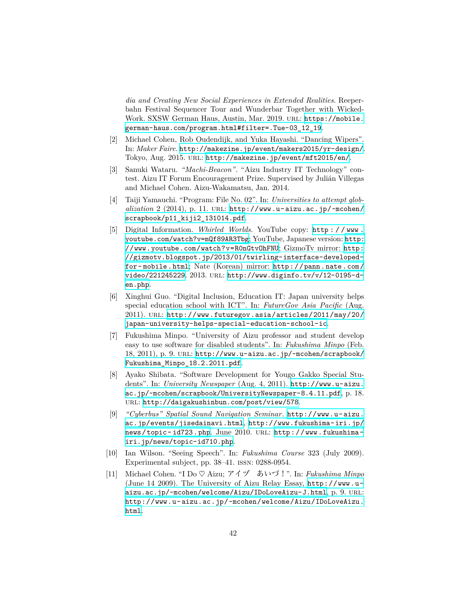*dia and Creating New Social Experiences in Extended Realities*. Reeperbahn Festival Sequencer Tour and Wunderbar Together with WickedWork. SXSW German Haus, Austin, Mar. 2019. URL: [https://mobile.](https://mobile.german-haus.com/program.html#filter=.Tue-03_12_19) [german-haus.com/program.html#filter=.Tue-03\\_12\\_19](https://mobile.german-haus.com/program.html#filter=.Tue-03_12_19).

- [2] Michael Cohen, Rob Oudendijk, and Yuka Hayashi. "Dancing Wipers". In: *Maker Faire*. <http://makezine.jp/event/makers2015/yr-design/>. Tokyo, Aug. 2015. url: <http://makezine.jp/event/mft2015/en/>.
- [3] Sanuki Wataru. *"Machi-Beacon"*. "Aizu Industry IT Technology" contest. Aizu IT Forum Encouragement Prize. Supervised by Julián Villegas and Michael Cohen. Aizu-Wakamatsu, Jan. 2014.
- [4] Taiji Yamauchi. "Program: File No. 02". In: *Universities to attempt globalization* 2 (2014), p. 11. url: [http://www.u-aizu.ac.jp/~mcohen/](http://www.u-aizu.ac.jp/~mcohen/scrapbook/p11_kiji2_131014.pdf) [scrapbook/p11\\_kiji2\\_131014.pdf](http://www.u-aizu.ac.jp/~mcohen/scrapbook/p11_kiji2_131014.pdf).
- [5] Digital Information. *Whirled Worlds*. YouTube copy: [http : / / www .](http://www.youtube.com/watch?v=mQf89AR3Tbg) [youtube.com/watch?v=mQf89AR3Tbg](http://www.youtube.com/watch?v=mQf89AR3Tbg); YouTube, Japanese version: [http:](http://www.youtube.com/watch?v=R0nGtvOhFNU) [//www.youtube.com/watch?v=R0nGtvOhFNU](http://www.youtube.com/watch?v=R0nGtvOhFNU); GizmoTv mirror: [http:](http://gizmotv.blogspot.jp/2013/01/twirling-interface-developed-for-mobile.html) [//gizmotv.blogspot.jp/2013/01/twirling-interface-developed](http://gizmotv.blogspot.jp/2013/01/twirling-interface-developed-for-mobile.html)[for- mobile.html](http://gizmotv.blogspot.jp/2013/01/twirling-interface-developed-for-mobile.html); Nate (Korean) mirror: [http://pann.nate.com/](http://pann.nate.com/video/221245229) [video/221245229](http://pann.nate.com/video/221245229). 2013. url: [http://www.diginfo.tv/v/12-0195-d](http://www.diginfo.tv/v/12-0195-d-en.php)[en.php](http://www.diginfo.tv/v/12-0195-d-en.php).
- [6] Xinghui Guo. "Digital Inclusion, Education IT: Japan university helps special education school with ICT". In: *FutureGov Asia Pacific* (Aug. 2011). url: [http://www.futuregov.asia/articles/2011/may/20/](http://www.futuregov.asia/articles/2011/may/20/japan-university-helps-special-education-school-ic) [japan-university-helps-special-education-school-ic](http://www.futuregov.asia/articles/2011/may/20/japan-university-helps-special-education-school-ic).
- [7] Fukushima Minpo. "University of Aizu professor and student develop easy to use software for disabled students". In: *Fukushima Minpo* (Feb. 18, 2011), p. 9. url: [http://www.u-aizu.ac.jp/~mcohen/scrapbook/](http://www.u-aizu.ac.jp/~mcohen/scrapbook/Fukushima_Minpo_18.2.2011.pdf) [Fukushima\\_Minpo\\_18.2.2011.pdf](http://www.u-aizu.ac.jp/~mcohen/scrapbook/Fukushima_Minpo_18.2.2011.pdf).
- [8] Ayako Shibata. "Software Development for Yougo Gakko Special Students". In: *University Newspaper* (Aug. 4, 2011). [http://www.u-aizu.](http://www.u-aizu.ac.jp/~mcohen/scrapbook/UniversityNewspaper-8.4.11.pdf) [ac.jp/~mcohen/scrapbook/UniversityNewspaper-8.4.11.pdf](http://www.u-aizu.ac.jp/~mcohen/scrapbook/UniversityNewspaper-8.4.11.pdf), p. 18. url: <http://daigakushinbun.com/post/view/578>.
- [9] *"Cyberbus" Spatial Sound Navigation Seminar*. [http://www.u-aizu.](http://www.u-aizu.ac.jp/events/jisedainavi.html) [ac.jp/events/jisedainavi.html](http://www.u-aizu.ac.jp/events/jisedainavi.html), [http://www.fukushima-iri.jp/](http://www.fukushima-iri.jp/news/topic-id723.php) [news/topic- id723.php](http://www.fukushima-iri.jp/news/topic-id723.php). June 2010. url: [http://www.fukushima](http://www.fukushima-iri.jp/news/topic-id710.php)[iri.jp/news/topic-id710.php](http://www.fukushima-iri.jp/news/topic-id710.php).
- [10] Ian Wilson. "Seeing Speech". In: *Fukushima Course* 323 (July 2009). Experimental subject, pp. 38–41. issn: 0288-0954.
- [11] Michael Cohen. "I Do *♡* Aizu; アイヅ あいづ!". In: *Fukushima Minpo* (June 14 2009). The University of Aizu Relay Essay, [http://www.u](http://www.u-aizu.ac.jp/~mcohen/welcome/Aizu/IDoLoveAizu-J.html)[aizu.ac.jp/~mcohen/welcome/Aizu/IDoLoveAizu-J.html](http://www.u-aizu.ac.jp/~mcohen/welcome/Aizu/IDoLoveAizu-J.html), p. 9. url: [http://www.u-aizu.ac.jp/~mcohen/welcome/Aizu/IDoLoveAizu.](http://www.u-aizu.ac.jp/~mcohen/welcome/Aizu/IDoLoveAizu.html) [html](http://www.u-aizu.ac.jp/~mcohen/welcome/Aizu/IDoLoveAizu.html).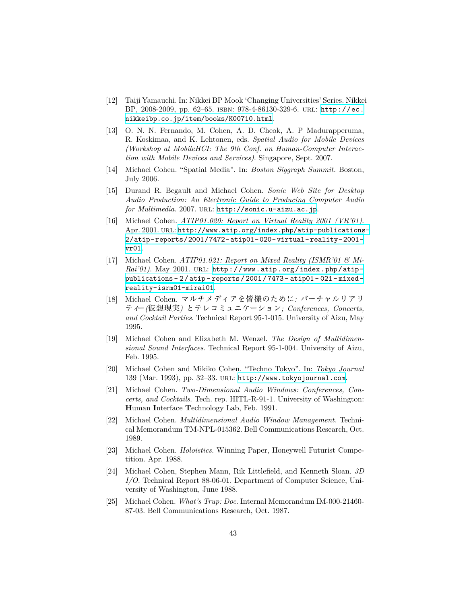- [12] Taiji Yamauchi. In: Nikkei BP Mook 'Changing Universities' Series. Nikkei BP, 2008-2009, pp. 62–65. isbn: 978-4-86130-329-6. url: [http://ec.](http://ec.nikkeibp.co.jp/item/books/K00710.html) [nikkeibp.co.jp/item/books/K00710.html](http://ec.nikkeibp.co.jp/item/books/K00710.html).
- [13] O. N. N. Fernando, M. Cohen, A. D. Cheok, A. P Madurapperuma, R. Koskimaa, and K. Lehtonen, eds. *Spatial Audio for Mobile Devices (Workshop at MobileHCI: The 9th Conf. on Human-Computer Interaction with Mobile Devices and Services)*. Singapore, Sept. 2007.
- [14] Michael Cohen. "Spatial Media". In: *Boston Siggraph Summit*. Boston, July 2006.
- [15] Durand R. Begault and Michael Cohen. *Sonic Web Site for Desktop Audio Production: An Electronic Guide to Producing Computer Audio for Multimedia*. 2007. url: <http://sonic.u-aizu.ac.jp>.
- [16] Michael Cohen. *ATIP01.020: Report on Virtual Reality 2001 (VR'01)*. Apr. 2001. URL: [http://www.atip.org/index.php/atip-publications-](http://www.atip.org/index.php/atip-publications-2/atip-reports/2001/7472-atip01-020-virtual-reality-2001-vr01)[2/atip-reports/2001/7472-atip01-020-virtual-reality-2001](http://www.atip.org/index.php/atip-publications-2/atip-reports/2001/7472-atip01-020-virtual-reality-2001-vr01) [vr01](http://www.atip.org/index.php/atip-publications-2/atip-reports/2001/7472-atip01-020-virtual-reality-2001-vr01).
- [17] Michael Cohen. *ATIP01.021: Report on Mixed Reality (ISMR'01 & Mi-Rai'01*). May 2001. URL: [http://www.atip.org/index.php/atip](http://www.atip.org/index.php/atip-publications-2/atip-reports/2001/7473-atip01-021-mixed-reality-isrm01-mirai01)[publications- 2/atip- reports/2001/7473- atip01- 021- mixed](http://www.atip.org/index.php/atip-publications-2/atip-reports/2001/7473-atip01-021-mixed-reality-isrm01-mirai01)[reality-isrm01-mirai01](http://www.atip.org/index.php/atip-publications-2/atip-reports/2001/7473-atip01-021-mixed-reality-isrm01-mirai01).
- [18] Michael Cohen. マルチメディアを皆様のために*:* バーチャルリアリ ティー*(*仮想現実*)* とテレコミュニケーション*; Conferences, Concerts, and Cocktail Parties*. Technical Report 95-1-015. University of Aizu, May 1995.
- [19] Michael Cohen and Elizabeth M. Wenzel. *The Design of Multidimensional Sound Interfaces*. Technical Report 95-1-004. University of Aizu, Feb. 1995.
- [20] Michael Cohen and Mikiko Cohen. "Techno Tokyo". In: *Tokyo Journal* 139 (Mar. 1993), pp. 32–33. url: <http://www.tokyojournal.com>.
- [21] Michael Cohen. *Two-Dimensional Audio Windows: Conferences, Concerts, and Cocktails*. Tech. rep. HITL-R-91-1. University of Washington: **H**uman **I**nterface **T**echnology Lab, Feb. 1991.
- [22] Michael Cohen. *Multidimensional Audio Window Management*. Technical Memorandum TM-NPL-015362. Bell Communications Research, Oct. 1989.
- [23] Michael Cohen. *Holoistics*. Winning Paper, Honeywell Futurist Competition. Apr. 1988.
- [24] Michael Cohen, Stephen Mann, Rik Littlefield, and Kenneth Sloan. *3D I/O*. Technical Report 88-06-01. Department of Computer Science, University of Washington, June 1988.
- [25] Michael Cohen. *What's Trup: Doc*. Internal Memorandum IM-000-21460- 87-03. Bell Communications Research, Oct. 1987.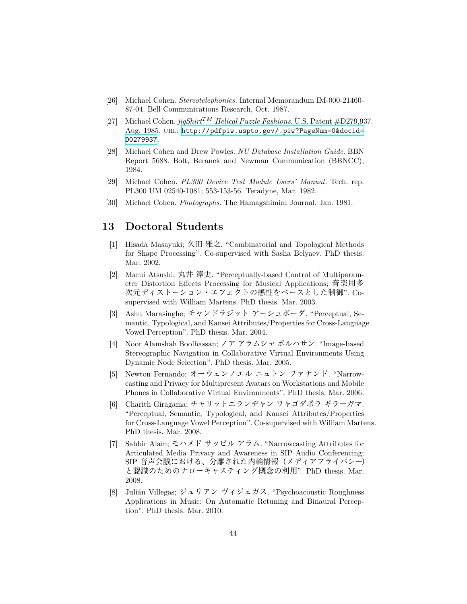- [26] Michael Cohen. *Stereotelephonics*. Internal Memorandum IM-000-21460- 87-04. Bell Communications Research, Oct. 1987.
- [27] Michael Cohen. *jigShirtTM Helical Puzzle Fashions*. U.S. Patent #D279,937. Aug. 1985. url: [http://pdfpiw.uspto.gov/.piw?PageNum=0&docid=](http://pdfpiw.uspto.gov/.piw?PageNum=0&docid=D0279937) [D0279937](http://pdfpiw.uspto.gov/.piw?PageNum=0&docid=D0279937).
- [28] Michael Cohen and Drew Powles. *NU Database Installation Guide*. BBN Report 5688. Bolt, Beranek and Newman Communication (BBNCC), 1984.
- [29] Michael Cohen. *PL300 Device Test Module Users' Manual*. Tech. rep. PL300 UM 02540-1081; 553-153-56. Teradyne, Mar. 1982.
- [30] Michael Cohen. *Photographs*. The Hamagshimim Journal. Jan. 1981.

#### **13 Doctoral Students**

- [1] Hisada Masayuki; 久田 雅之. "Combinatorial and Topological Methods for Shape Processing". Co-supervised with Sasha Belyaev. PhD thesis. Mar. 2002.
- [2] Marui Atsushi; 丸井 淳史. "Perceptually-based Control of Multiparameter Distortion Effects Processing for Musical Applications; 音楽用多 次元ディストーション・エフェクトの感性をベースとした制御". Cosupervised with William Martens. PhD thesis. Mar. 2003.
- [3] Ashu Marasinghe; チャンドラジット アーシュボーダ. "Perceptual, Semantic, Typological, and Kansei Attributes/Properties for Cross-Language Vowel Perception". PhD thesis. Mar. 2004.
- [4] Noor Alamshah Boolhassan; ノア アラムシャ ボルハサン. "Image-based Stereographic Navigation in Collaborative Virtual Environments Using Dynamic Node Selection". PhD thesis. Mar. 2005.
- [5] Newton Fernando; オーウェンノエル ニュトン ファナンド. "Narrowcasting and Privacy for Multipresent Avatars on Workstations and Mobile Phones in Collaborative Virtual Environments". PhD thesis. Mar. 2006.
- [6] Charith Giragama; チャリットニランヂャン ワャゴダポラ ギラーガマ. "Perceptual, Semantic, Typological, and Kansei Attributes/Properties for Cross-Language Vowel Perception". Co-supervised with William Martens. PhD thesis. Mar. 2008.
- [7] Sabbir Alam; モハメド サッビル アラム. "Narrowcasting Attributes for Articulated Media Privacy and Awareness in SIP Audio Conferencing; SIP 音声会議における、分離された内輪情報(メディアプライバシー) と認識のためのナローキャスティング概念の利用". PhD thesis. Mar. 2008.
- [8] Julián Villegas; ジュリアン ヴィジェガス. "Psychoacoustic Roughness Applications in Music: On Automatic Retuning and Binaural Perception". PhD thesis. Mar. 2010.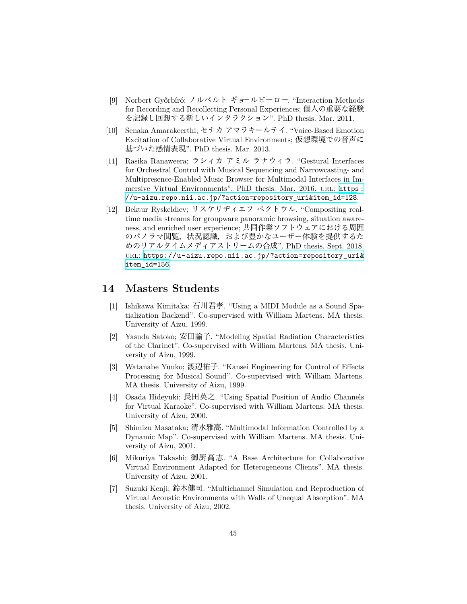- [9] Norbert Győrbíró; ノルベルト ギョールビーロー. "Interaction Methods for Recording and Recollecting Personal Experiences; 個人の重要な経験 を記録し回想する新しいインタラクション". PhD thesis. Mar. 2011.
- [10] Senaka Amarakeerthi; セナカ アマラキールテイ. "Voice-Based Emotion Excitation of Collaborative Virtual Environments; 仮想環境での音声に 基づいた感情表現". PhD thesis. Mar. 2013.
- [11] Rasika Ranaweera; ラシィカ アミル ラナウィラ. "Gestural Interfaces for Orchestral Control with Musical Sequencing and Narrowcasting- and Multipresence-Enabled Music Browser for Multimodal Interfaces in Immersive Virtual Environments". PhD thesis. Mar. 2016. URL: https: [//u-aizu.repo.nii.ac.jp/?action=repository\\_uri&item\\_id=128](https://u-aizu.repo.nii.ac.jp/?action=repository_uri&item_id=128).
- [12] Bektur Ryskeldiev; リスケリヂィエフ ベクトウル. "Compositing realtime media streams for groupware panoramic browsing, situation awareness, and enriched user experience; 共同作業ソフトウェアにおける周囲 のパノラマ閲覧,状況認識,および豊かなユーザー体験を提供するた めのリアルタイムメディアストリームの合成". PhD thesis. Sept. 2018. url: [https://u-aizu.repo.nii.ac.jp/?action=repository\\_uri&](https://u-aizu.repo.nii.ac.jp/?action=repository_uri&item_id=156) [item\\_id=156](https://u-aizu.repo.nii.ac.jp/?action=repository_uri&item_id=156).

#### **14 Masters Students**

- [1] Ishikawa Kimitaka; 石川君孝. "Using a MIDI Module as a Sound Spatialization Backend". Co-supervised with William Martens. MA thesis. University of Aizu, 1999.
- [2] Yasuda Satoko; 安田諭子. "Modeling Spatial Radiation Characteristics of the Clarinet". Co-supervised with William Martens. MA thesis. University of Aizu, 1999.
- [3] Watanabe Yuuko; 渡辺祐子. "Kansei Engineering for Control of Effects Processing for Musical Sound". Co-supervised with William Martens. MA thesis. University of Aizu, 1999.
- [4] Osada Hideyuki; 長田英之. "Using Spatial Position of Audio Channels for Virtual Karaoke". Co-supervised with William Martens. MA thesis. University of Aizu, 2000.
- [5] Shimizu Masataka; 清水雅高. "Multimodal Information Controlled by a Dynamic Map". Co-supervised with William Martens. MA thesis. University of Aizu, 2001.
- [6] Mikuriya Takashi; 御厨高志. "A Base Architecture for Collaborative Virtual Environment Adapted for Heterogeneous Clients". MA thesis. University of Aizu, 2001.
- [7] Suzuki Kenji; 鈴木健司. "Multichannel Simulation and Reproduction of Virtual Acoustic Environments with Walls of Unequal Absorption". MA thesis. University of Aizu, 2002.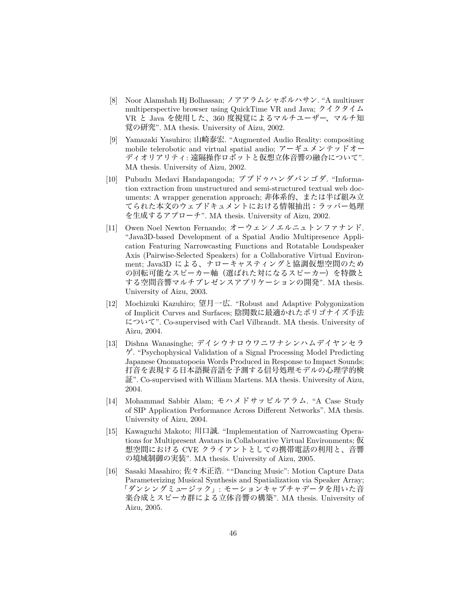- [8] Noor Alamshah Hj Bolhassan; ノアアラムシャボルハサン. "A multiuser multiperspective browser using QuickTime VR and Java; クイクタイム VR と Java を使用した、360 度視覚によるマルチユーザー、マルチ知 覚の研究". MA thesis. University of Aizu, 2002.
- [9] Yamazaki Yasuhiro; 山崎泰宏. "Augmented Audio Reality: compositing mobile telerobotic and virtual spatial audio; アーギュメンテッドオー ディオリアリティ: 遠隔操作ロボットと仮想立体音響の融合について". MA thesis. University of Aizu, 2002.
- [10] Pubudu Medavi Handapangoda; プブドゥハンダパンゴダ. "Information extraction from unstructured and semi-structured textual web documents: A wrapper generation approach; 非体系的、または半ば組み立 てられた本文のウェブドキュメントにおける情報抽出:ラッパー処理 を生成するアプローチ". MA thesis. University of Aizu, 2002.
- [11] Owen Noel Newton Fernando; オーウェンノエルニュトンファナンド. "Java3D-based Development of a Spatial Audio Multipresence Application Featuring Narrowcasting Functions and Rotatable Loudspeaker Axis (Pairwise-Selected Speakers) for a Collaborative Virtual Environment; Java3D による、ナローキャスティングと協調仮想空間のため の回転可能なスピーカー軸(選ばれた対になるスピーカー)を特徴と する空間音響マルチプレゼンスアプリケーションの開発". MA thesis. University of Aizu, 2003.
- [12] Mochizuki Kazuhiro; 望月一広. "Robust and Adaptive Polygonization of Implicit Curves and Surfaces; 陰関数に最適かれたポリゴナイズ手法 について". Co-supervised with Carl Vilbrandt. MA thesis. University of Aizu, 2004.
- [13] Dishna Wanasinghe; デイシウナロウワニワナシンハムデイヤンセラ ゲ. "Psychophysical Validation of a Signal Processing Model Predicting Japanese Onomatopoeia Words Produced in Response to Impact Sounds; 打音を表現する日本語擬音語を予測する信号処理モデルの心理学的検 証". Co-supervised with William Martens. MA thesis. University of Aizu, 2004.
- [14] Mohammad Sabbir Alam; モハメドサッビルアラム. "A Case Study of SIP Application Performance Across Different Networks". MA thesis. University of Aizu, 2004.
- [15] Kawaguchi Makoto; 川口誠. "Implementation of Narrowcasting Operations for Multipresent Avatars in Collaborative Virtual Environments; 仮 想空間における CVE クライアントとしての携帯電話の利用と、音響 の境域制御の実装". MA thesis. University of Aizu, 2005.
- [16] Sasaki Masahiro; 佐々木正浩. ""Dancing Music": Motion Capture Data Parameterizing Musical Synthesis and Spatialization via Speaker Array; 「ダンシングミュージック」: モーションキャプチャデータを用いた音 楽合成とスピーカ群による立体音響の構築". MA thesis. University of Aizu, 2005.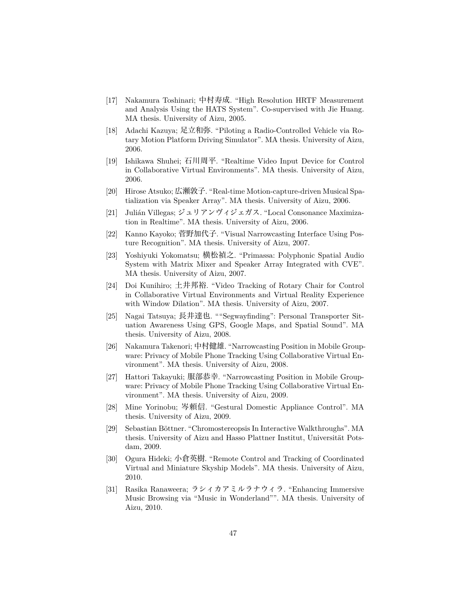- [17] Nakamura Toshinari; 中村寿成. "High Resolution HRTF Measurement and Analysis Using the HATS System". Co-supervised with Jie Huang. MA thesis. University of Aizu, 2005.
- [18] Adachi Kazuya; 足立和弥. "Piloting a Radio-Controlled Vehicle via Rotary Motion Platform Driving Simulator". MA thesis. University of Aizu, 2006.
- [19] Ishikawa Shuhei; 石川周平. "Realtime Video Input Device for Control in Collaborative Virtual Environments". MA thesis. University of Aizu, 2006.
- [20] Hirose Atsuko; 広瀬敦子. "Real-time Motion-capture-driven Musical Spatialization via Speaker Array". MA thesis. University of Aizu, 2006.
- [21] Julián Villegas; ジュリアンヴィジェガス. "Local Consonance Maximization in Realtime". MA thesis. University of Aizu, 2006.
- [22] Kanno Kayoko; 菅野加代子. "Visual Narrowcasting Interface Using Posture Recognition". MA thesis. University of Aizu, 2007.
- [23] Yoshiyuki Yokomatsu; 横松禎之. "Primassa: Polyphonic Spatial Audio System with Matrix Mixer and Speaker Array Integrated with CVE". MA thesis. University of Aizu, 2007.
- [24] Doi Kunihiro; 土井邦裕. "Video Tracking of Rotary Chair for Control in Collaborative Virtual Environments and Virtual Reality Experience with Window Dilation". MA thesis. University of Aizu, 2007.
- [25] Nagai Tatsuya; 長井達也. ""Segwayfinding": Personal Transporter Situation Awareness Using GPS, Google Maps, and Spatial Sound". MA thesis. University of Aizu, 2008.
- [26] Nakamura Takenori; 中村健雄. "Narrowcasting Position in Mobile Groupware: Privacy of Mobile Phone Tracking Using Collaborative Virtual Environment". MA thesis. University of Aizu, 2008.
- [27] Hattori Takayuki; 服部恭幸. "Narrowcasting Position in Mobile Groupware: Privacy of Mobile Phone Tracking Using Collaborative Virtual Environment". MA thesis. University of Aizu, 2009.
- [28] Mine Yorinobu; 岑頼信. "Gestural Domestic Appliance Control". MA thesis. University of Aizu, 2009.
- [29] Sebastian Böttner. "Chromostereopsis In Interactive Walkthroughs". MA thesis. University of Aizu and Hasso Plattner Institut, Universität Potsdam, 2009.
- [30] Ogura Hideki; 小倉英樹. "Remote Control and Tracking of Coordinated Virtual and Miniature Skyship Models". MA thesis. University of Aizu, 2010.
- [31] Rasika Ranaweera; ラシィカアミルラナウィラ. "Enhancing Immersive Music Browsing via "Music in Wonderland"". MA thesis. University of Aizu, 2010.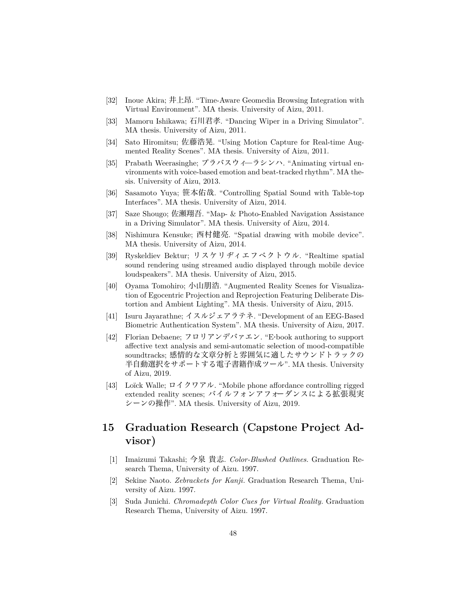- [32] Inoue Akira; 井上昂. "Time-Aware Geomedia Browsing Integration with Virtual Environment". MA thesis. University of Aizu, 2011.
- [33] Mamoru Ishikawa; 石川君孝. "Dancing Wiper in a Driving Simulator". MA thesis. University of Aizu, 2011.
- [34] Sato Hiromitsu; 佐藤浩晃. "Using Motion Capture for Real-time Augmented Reality Scenes". MA thesis. University of Aizu, 2011.
- [35] Prabath Weerasinghe; プラバスウィ̶ラシンハ. "Animating virtual environments with voice-based emotion and beat-tracked rhythm". MA thesis. University of Aizu, 2013.
- [36] Sasamoto Yuya; 笹本佑哉. "Controlling Spatial Sound with Table-top Interfaces". MA thesis. University of Aizu, 2014.
- [37] Saze Shougo; 佐瀬翔吾. "Map- & Photo-Enabled Navigation Assistance in a Driving Simulator". MA thesis. University of Aizu, 2014.
- [38] Nishimura Kensuke; 西村健亮. "Spatial drawing with mobile device". MA thesis. University of Aizu, 2014.
- [39] Ryskeldiev Bektur; リスケリヂィエフベクトウル. "Realtime spatial sound rendering using streamed audio displayed through mobile device loudspeakers". MA thesis. University of Aizu, 2015.
- [40] Oyama Tomohiro; 小山朋浩. "Augmented Reality Scenes for Visualization of Egocentric Projection and Reprojection Featuring Deliberate Distortion and Ambient Lighting". MA thesis. University of Aizu, 2015.
- [41] Isuru Jayarathne; イスルジェアラテネ. "Development of an EEG-Based Biometric Authentication System". MA thesis. University of Aizu, 2017.
- [42] Florian Debaene; フロリアンデバァエン. "E·book authoring to support affective text analysis and semi-automatic selection of mood-compatible soundtracks; 感情的な文章分析と雰囲気に適したサウンドトラックの 半自動選択をサポートする電子書籍作成ツール". MA thesis. University of Aizu, 2019.
- [43] Loïck Walle; ロイクワアル. "Mobile phone affordance controlling rigged extended reality scenes; バイルフォンアフォーダンスによる拡張現実 シーンの操作". MA thesis. University of Aizu, 2019.

# **15 Graduation Research (Capstone Project Advisor)**

- [1] Imaizumi Takashi; 今泉 貴志. *Color-Blushed Outlines*. Graduation Research Thema, University of Aizu. 1997.
- [2] Sekine Naoto. *Zebrackets for Kanji*. Graduation Research Thema, University of Aizu. 1997.
- [3] Suda Junichi. *Chromadepth Color Cues for Virtual Reality*. Graduation Research Thema, University of Aizu. 1997.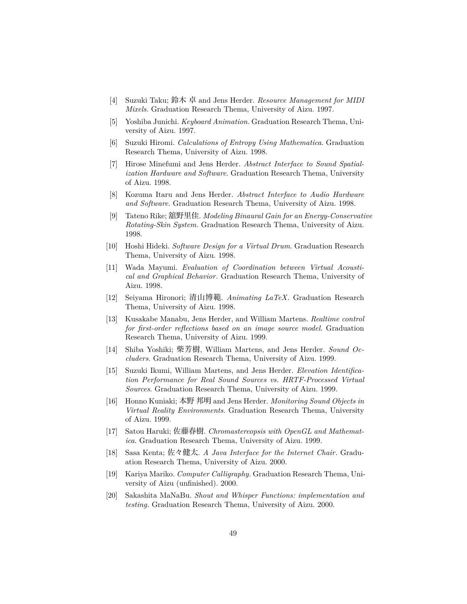- [4] Suzuki Taku; 鈴木 卓 and Jens Herder. *Resource Management for MIDI Mixels*. Graduation Research Thema, University of Aizu. 1997.
- [5] Yoshiba Junichi. *Keyboard Animation*. Graduation Research Thema, University of Aizu. 1997.
- [6] Suzuki Hiromi. *Calculations of Entropy Using Mathematica*. Graduation Research Thema, University of Aizu. 1998.
- [7] Hirose Minefumi and Jens Herder. *Abstract Interface to Sound Spatialization Hardware and Software*. Graduation Research Thema, University of Aizu. 1998.
- [8] Kozuma Itaru and Jens Herder. *Abstract Interface to Audio Hardware and Software*. Graduation Research Thema, University of Aizu. 1998.
- [9] Tateno Rike; 舘野里佳. *Modeling Binaural Gain for an Energy-Conservative Rotating-Skin System*. Graduation Research Thema, University of Aizu. 1998.
- [10] Hoshi Hideki. *Software Design for a Virtual Drum*. Graduation Research Thema, University of Aizu. 1998.
- [11] Wada Mayumi. *Evaluation of Coordination between Virtual Acoustical and Graphical Behavior*. Graduation Research Thema, University of Aizu. 1998.
- [12] Seiyama Hironori; 清山博範. *Animating LaTeX*. Graduation Research Thema, University of Aizu. 1998.
- [13] Kusakabe Manabu, Jens Herder, and William Martens. *Realtime control for first-order reflections based on an image source model*. Graduation Research Thema, University of Aizu. 1999.
- [14] Shiba Yoshiki; 柴芳樹, William Martens, and Jens Herder. *Sound Occluders*. Graduation Research Thema, University of Aizu. 1999.
- [15] Suzuki Ikumi, William Martens, and Jens Herder. *Elevation Identification Performance for Real Sound Sources vs. HRTF-Processed Virtual Sources*. Graduation Research Thema, University of Aizu. 1999.
- [16] Honno Kuniaki; 本野 邦明 and Jens Herder. *Monitoring Sound Objects in Virtual Reality Environments*. Graduation Research Thema, University of Aizu. 1999.
- [17] Satou Haruki; 佐藤春樹. *Chromastereopsis with OpenGL and Mathematica*. Graduation Research Thema, University of Aizu. 1999.
- [18] Sasa Kenta; 佐々健太. *A Java Interface for the Internet Chair*. Graduation Research Thema, University of Aizu. 2000.
- [19] Kariya Mariko. *Computer Calligraphy*. Graduation Research Thema, University of Aizu (unfinished). 2000.
- [20] Sakashita MaNaBu. *Shout and Whisper Functions: implementation and testing*. Graduation Research Thema, University of Aizu. 2000.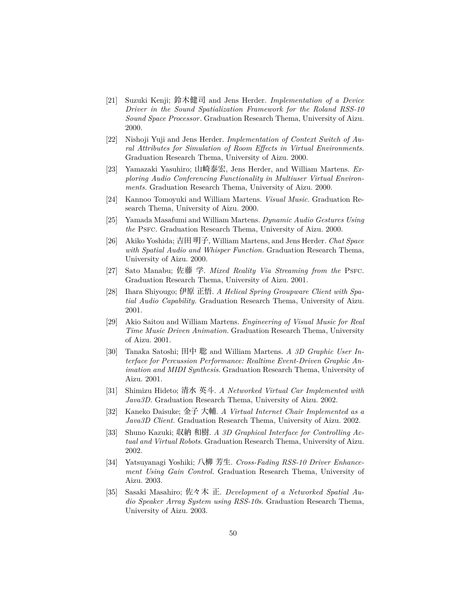- [21] Suzuki Kenji; 鈴木健司 and Jens Herder. *Implementation of a Device Driver in the Sound Spatialization Framework for the Roland RSS-10 Sound Space Processor*. Graduation Research Thema, University of Aizu. 2000.
- [22] Nishoji Yuji and Jens Herder. *Implementation of Context Switch of Aural Attributes for Simulation of Room Effects in Virtual Environments*. Graduation Research Thema, University of Aizu. 2000.
- [23] Yamazaki Yasuhiro; 山崎泰宏, Jens Herder, and William Martens. *Exploring Audio Conferencing Functionality in Multiuser Virtual Environments*. Graduation Research Thema, University of Aizu. 2000.
- [24] Kannoo Tomoyuki and William Martens. *Visual Music*. Graduation Research Thema, University of Aizu. 2000.
- [25] Yamada Masafumi and William Martens. *Dynamic Audio Gestures Using the* PsFC. Graduation Research Thema, University of Aizu. 2000.
- [26] Akiko Yoshida; 吉田 明子, William Martens, and Jens Herder. *Chat Space with Spatial Audio and Whisper Function*. Graduation Research Thema, University of Aizu. 2000.
- [27] Sato Manabu; 佐藤 学. *Mixed Reality Via Streaming from the* PSFC. Graduation Research Thema, University of Aizu. 2001.
- [28] Ihara Shiyougo; 伊原 正悟. *A Helical Spring Groupware Client with Spatial Audio Capability*. Graduation Research Thema, University of Aizu. 2001.
- [29] Akio Saitou and William Martens. *Engineering of Visual Music for Real Time Music Driven Animation*. Graduation Research Thema, University of Aizu. 2001.
- [30] Tanaka Satoshi; 田中 聡 and William Martens. *A 3D Graphic User Interface for Percussion Performance: Realtime Event-Driven Graphic Animation and MIDI Synthesis*. Graduation Research Thema, University of Aizu. 2001.
- [31] Shimizu Hideto; 清水 英斗. *A Networked Virtual Car Implemented with Java3D*. Graduation Research Thema, University of Aizu. 2002.
- [32] Kaneko Daisuke; 金子 大輔. *A Virtual Internet Chair Implemented as a Java3D Client*. Graduation Research Thema, University of Aizu. 2002.
- [33] Shuno Kazuki; 収納 和樹. *A 3D Graphical Interface for Controlling Actual and Virtual Robots*. Graduation Research Thema, University of Aizu. 2002.
- [34] Yatsuyanagi Yoshiki; 八柳 芳生. *Cross-Fading RSS-10 Driver Enhancement Using Gain Control*. Graduation Research Thema, University of Aizu. 2003.
- [35] Sasaki Masahiro; 佐々木 正. *Development of a Networked Spatial Audio Speaker Array System using RSS-10s*. Graduation Research Thema, University of Aizu. 2003.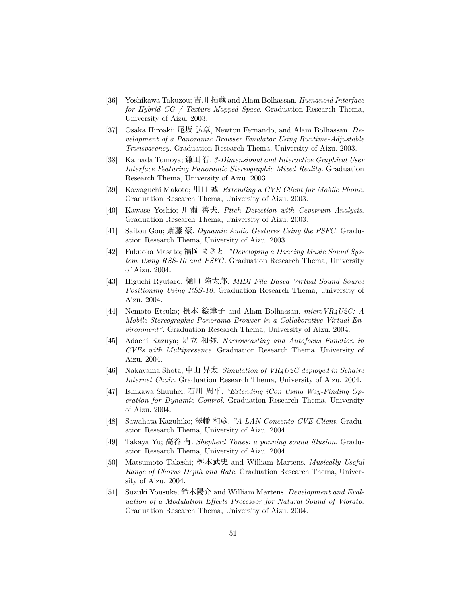- [36] Yoshikawa Takuzou; 吉川 拓蔵 and Alam Bolhassan. *Humanoid Interface for Hybrid CG / Texture-Mapped Space*. Graduation Research Thema, University of Aizu. 2003.
- [37] Osaka Hiroaki; 尾坂 弘章, Newton Fernando, and Alam Bolhassan. *Development of a Panoramic Browser Emulator Using Runtime-Adjustable Transparency*. Graduation Research Thema, University of Aizu. 2003.
- [38] Kamada Tomoya; 鎌田 智. *3-Dimensional and Interactive Graphical User Interface Featuring Panoramic Stereographic Mixed Reality*. Graduation Research Thema, University of Aizu. 2003.
- [39] Kawaguchi Makoto; 川口 誠. *Extending a CVE Client for Mobile Phone*. Graduation Research Thema, University of Aizu. 2003.
- [40] Kawase Yoshio; 川瀬 善夫. *Pitch Detection with Cepstrum Analysis*. Graduation Research Thema, University of Aizu. 2003.
- [41] Saitou Gou; 斎藤 豪. *Dynamic Audio Gestures Using the PSFC*. Graduation Research Thema, University of Aizu. 2003.
- [42] Fukuoka Masato; 福岡 まさと. *"Developing a Dancing Music Sound System Using RSS-10 and PSFC*. Graduation Research Thema, University of Aizu. 2004.
- [43] Higuchi Ryutaro; 樋口 隆太郎. *MIDI File Based Virtual Sound Source Positioning Using RSS-10*. Graduation Research Thema, University of Aizu. 2004.
- [44] Nemoto Etsuko; 根本 絵津子 and Alam Bolhassan. *microVR4U2C: A Mobile Stereographic Panorama Browser in a Collaborative Virtual Environment"*. Graduation Research Thema, University of Aizu. 2004.
- [45] Adachi Kazuya; 足立 和弥. *Narrowcasting and Autofocus Function in CVEs with Multipresence*. Graduation Research Thema, University of Aizu. 2004.
- [46] Nakayama Shota; 中山 昇太. *Simulation of VR4U2C deployed in Schaire Internet Chair*. Graduation Research Thema, University of Aizu. 2004.
- [47] Ishikawa Shuuhei; 石川 周平. *"Extending iCon Using Way-Finding Operation for Dynamic Control*. Graduation Research Thema, University of Aizu. 2004.
- [48] Sawahata Kazuhiko; 澤幡 和彦. *"A LAN Concento CVE Client*. Graduation Research Thema, University of Aizu. 2004.
- [49] Takaya Yu; 高谷 有. *Shepherd Tones: a panning sound illusion*. Graduation Research Thema, University of Aizu. 2004.
- [50] Matsumoto Takeshi; 桝本武史 and William Martens. *Musically Useful Range of Chorus Depth and Rate*. Graduation Research Thema, University of Aizu. 2004.
- [51] Suzuki Yousuke; 鈴木陽介 and William Martens. *Development and Evaluation of a Modulation Effects Processor for Natural Sound of Vibrato*. Graduation Research Thema, University of Aizu. 2004.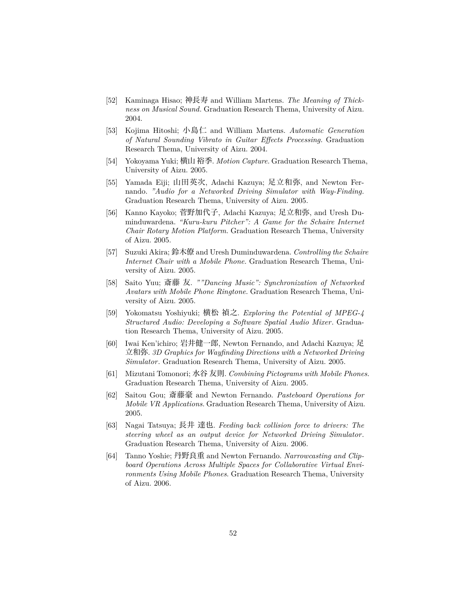- [52] Kaminaga Hisao; 神長寿 and William Martens. *The Meaning of Thickness on Musical Sound*. Graduation Research Thema, University of Aizu. 2004.
- [53] Kojima Hitoshi; 小島仁 and William Martens. *Automatic Generation of Natural Sounding Vibrato in Guitar Effects Processing*. Graduation Research Thema, University of Aizu. 2004.
- [54] Yokoyama Yuki; 横山 裕季. *Motion Capture*. Graduation Research Thema, University of Aizu. 2005.
- [55] Yamada Eiji; 山田英次, Adachi Kazuya; 足立和弥, and Newton Fernando. *"Audio for a Networked Driving Simulator with Way-Finding*. Graduation Research Thema, University of Aizu. 2005.
- [56] Kanno Kayoko; 菅野加代子, Adachi Kazuya; 足立和弥, and Uresh Duminduwardena. *"Kuru-kuru Pitcher": A Game for the Schaire Internet Chair Rotary Motion Platform*. Graduation Research Thema, University of Aizu. 2005.
- [57] Suzuki Akira; 鈴木僚 and Uresh Duminduwardena. *Controlling the Schaire Internet Chair with a Mobile Phone*. Graduation Research Thema, University of Aizu. 2005.
- [58] Saito Yuu; 斎藤 友. *""Dancing Music": Synchronization of Networked Avatars with Mobile Phone Ringtone*. Graduation Research Thema, University of Aizu. 2005.
- [59] Yokomatsu Yoshiyuki; 横松 禎之. *Exploring the Potential of MPEG-4 Structured Audio: Developing a Software Spatial Audio Mixer*. Graduation Research Thema, University of Aizu. 2005.
- [60] Iwai Ken'ichiro; 岩井健一郎, Newton Fernando, and Adachi Kazuya; 足 立和弥. *3D Graphics for Wayfinding Directions with a Networked Driving Simulator*. Graduation Research Thema, University of Aizu. 2005.
- [61] Mizutani Tomonori; 水谷 友則. *Combining Pictograms with Mobile Phones*. Graduation Research Thema, University of Aizu. 2005.
- [62] Saitou Gou; 斎藤豪 and Newton Fernando. *Pasteboard Operations for Mobile VR Applications*. Graduation Research Thema, University of Aizu. 2005.
- [63] Nagai Tatsuya; 長井 達也. *Feeding back collision force to drivers: The steering wheel as an output device for Networked Driving Simulator*. Graduation Research Thema, University of Aizu. 2006.
- [64] Tanno Yoshie; 丹野良重 and Newton Fernando. *Narrowcasting and Clipboard Operations Across Multiple Spaces for Collaborative Virtual Environments Using Mobile Phones*. Graduation Research Thema, University of Aizu. 2006.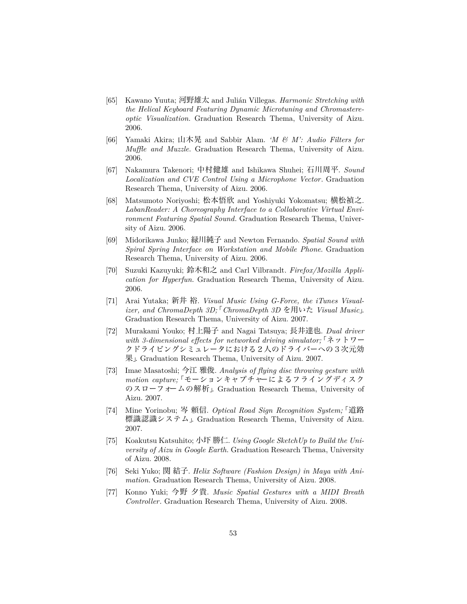- [65] Kawano Yuuta; 河野雄太 and Julián Villegas. *Harmonic Stretching with the Helical Keyboard Featuring Dynamic Microtuning and Chromastereoptic Visualization*. Graduation Research Thema, University of Aizu. 2006.
- [66] Yamaki Akira; 山木晃 and Sabbir Alam. *'M & M': Audio Filters for Muffle and Muzzle*. Graduation Research Thema, University of Aizu. 2006.
- [67] Nakamura Takenori; 中村健雄 and Ishikawa Shuhei; 石川周平. *Sound Localization and CVE Control Using a Microphone Vector*. Graduation Research Thema, University of Aizu. 2006.
- [68] Matsumoto Noriyoshi; 松本悟欣 and Yoshiyuki Yokomatsu; 横松禎之. *LabanReader: A Choreography Interface to a Collaborative Virtual Environment Featuring Spatial Sound*. Graduation Research Thema, University of Aizu. 2006.
- [69] Midorikawa Junko; 緑川純子 and Newton Fernando. *Spatial Sound with Spiral Spring Interface on Workstation and Mobile Phone*. Graduation Research Thema, University of Aizu. 2006.
- [70] Suzuki Kazuyuki; 鈴木和之 and Carl Vilbrandt. *Firefox/Mozilla Application for Hyperfun*. Graduation Research Thema, University of Aizu. 2006.
- [71] Arai Yutaka; 新井 裕. *Visual Music Using G-Force, the iTunes Visualizer, and ChromaDepth 3D;*「*ChromaDepth 3D* を用いた *Visual Music*」. Graduation Research Thema, University of Aizu. 2007.
- [72] Murakami Youko; 村上陽子 and Nagai Tatsuya; 長井達也. *Dual driver with 3-dimensional effects for networked driving simulator;*「ネットワー クドライビングシミュレータにおける2人のドライバーへの3次元効 果」. Graduation Research Thema, University of Aizu. 2007.
- [73] Imae Masatoshi; 今江 雅俊. *Analysis of flying disc throwing gesture with motion capture;*「モーションキャプチャーによるフライングディスク のスローフォームの解析」. Graduation Research Thema, University of Aizu. 2007.
- [74] Mine Yorinobu; 岑 頼信. *Optical Road Sign Recognition System;*「道路 標識認識システム」. Graduation Research Thema, University of Aizu. 2007.
- [75] Koakutsu Katsuhito; 小圷 勝仁. *Using Google SketchUp to Build the University of Aizu in Google Earth*. Graduation Research Thema, University of Aizu. 2008.
- [76] Seki Yuko; 関 結子. *Helix Software (Fashion Design) in Maya with Animation*. Graduation Research Thema, University of Aizu. 2008.
- [77] Konno Yuki; 今野 夕貴. *Music Spatial Gestures with a MIDI Breath Controller*. Graduation Research Thema, University of Aizu. 2008.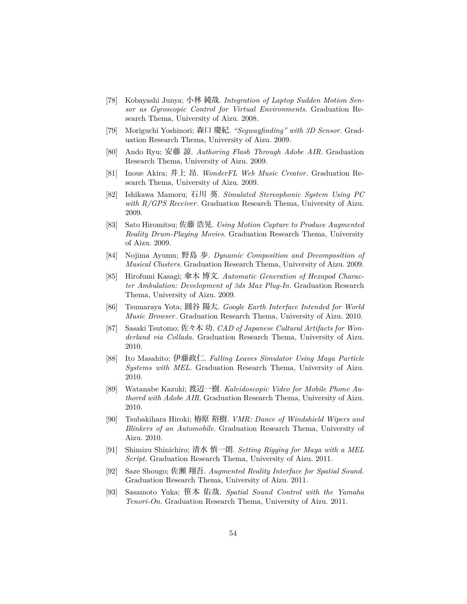- [78] Kobayashi Junya; 小林 純哉. *Integration of Laptop Sudden Motion Sensor as Gyroscopic Control for Virtual Environments*. Graduation Research Thema, University of Aizu. 2008.
- [79] Moriguchi Yoshinori; 森口 慶紀. *"Segwayfinding" with 3D Sensor*. Graduation Research Thema, University of Aizu. 2009.
- [80] Ando Ryu; 安藤 諒. *Authoring Flash Through Adobe AIR*. Graduation Research Thema, University of Aizu. 2009.
- [81] Inoue Akira; 井上 昂. *WonderFL Web Music Creator*. Graduation Research Thema, University of Aizu. 2009.
- [82] Ishikawa Mamoru; 石川 葵. *Simulated Stereophonic System Using PC with R/GPS Receiver*. Graduation Research Thema, University of Aizu. 2009.
- [83] Sato Hiromitsu; 佐藤 浩晃. *Using Motion Capture to Produce Augmented Reality Drum-Playing Movies*. Graduation Research Thema, University of Aizu. 2009.
- [84] Nojima Ayumu; 野島 歩. *Dynamic Composition and Decomposition of Musical Clusters*. Graduation Research Thema, University of Aizu. 2009.
- [85] Hirofumi Kasagi; 傘木 博文. *Automatic Generation of Hexapod Character Ambulation: Development of 3ds Max Plug-In*. Graduation Research Thema, University of Aizu. 2009.
- [86] Tsumaraya Yota; 圓谷 陽太. *Google Earth Interface Intended for World Music Browser*. Graduation Research Thema, University of Aizu. 2010.
- [87] Sasaki Tsutomo; 佐々木 功. *CAD of Japanese Cultural Artifacts for Wonderland via Collada*. Graduation Research Thema, University of Aizu. 2010.
- [88] Ito Masahito; 伊藤政仁. *Falling Leaves Simulator Using Maya Particle Systems with MEL*. Graduation Research Thema, University of Aizu. 2010.
- [89] Watanabe Kazuki; 渡辺一樹. *Kaleidoscopic Video for Mobile Phone Authored with Adobe AIR*. Graduation Research Thema, University of Aizu. 2010.
- [90] Tsubakihara Hiroki; 椿原 裕樹. *VMR: Dance of Windshield Wipers and Blinkers of an Automobile*. Graduation Research Thema, University of Aizu. 2010.
- [91] Shimizu Shinichiro; 清水 慎一朗. *Setting Rigging for Maya with a MEL Script*. Graduation Research Thema, University of Aizu. 2011.
- [92] Saze Shougo; 佐瀬 翔吾. *Augmented Reality Interface for Spatial Sound*. Graduation Research Thema, University of Aizu. 2011.
- [93] Sasamoto Yuka; 笹本 佑哉. *Spatial Sound Control with the Yamaha Tenori-On*. Graduation Research Thema, University of Aizu. 2011.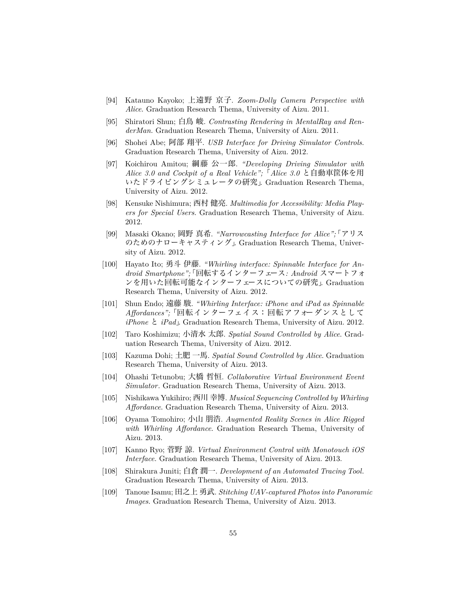- [94] Katauno Kayoko; 上遠野 京子. *Zoom-Dolly Camera Perspective with Alice*. Graduation Research Thema, University of Aizu. 2011.
- [95] Shiratori Shun; 白鳥 峻. *Contrasting Rendering in MentalRay and RenderMan*. Graduation Research Thema, University of Aizu. 2011.
- [96] Shohei Abe; 阿部 翔平. *USB Interface for Driving Simulator Controls*. Graduation Research Thema, University of Aizu. 2012.
- [97] Koichirou Amitou; 綱藤 公一郎. *"Developing Driving Simulator with Alice 3.0 and Cockpit of a Real Vehicle";*「*Alice 3.0* と自動車筐体を用 いたドライビングシミュレータの研究」. Graduation Research Thema, University of Aizu. 2012.
- [98] Kensuke Nishimura; 西村 健亮. *Multimedia for Accessibility: Media Players for Special Users*. Graduation Research Thema, University of Aizu. 2012.
- [99] Masaki Okano; 岡野 真希. *"Narrowcasting Interface for Alice";*「アリス のためのナローキャスティング」. Graduation Research Thema, University of Aizu. 2012.
- [100] Hayato Ito; 勇斗 伊藤. *"Whirling interface: Spinnable Interface for Android Smartphone";*「回転するインターフェース*: Android* スマートフォ ンを用いた回転可能なインターフェースについての研究」. Graduation Research Thema, University of Aizu. 2012.
- [101] Shun Endo; 遠藤 駿. *"Whirling Interface: iPhone and iPad as Spinnable Affordances";*「回転インターフェイス:回転アフォーダンスとして *iPhone* と *iPad*」. Graduation Research Thema, University of Aizu. 2012.
- [102] Taro Koshimizu; 小清水 太郎. *Spatial Sound Controlled by Alice*. Graduation Research Thema, University of Aizu. 2012.
- [103] Kazuma Dohi; 土肥 一馬. *Spatial Sound Controlled by Alice*. Graduation Research Thema, University of Aizu. 2013.
- [104] Ohashi Tetunobu; 大橋 哲恒. *Collaborative Virtual Environment Event Simulator*. Graduation Research Thema, University of Aizu. 2013.
- [105] Nishikawa Yukihiro; 西川 幸博. *Musical Sequencing Controlled by Whirling Affordance*. Graduation Research Thema, University of Aizu. 2013.
- [106] Oyama Tomohiro; 小山 朋浩. *Augmented Reality Scenes in Alice Rigged with Whirling Affordance*. Graduation Research Thema, University of Aizu. 2013.
- [107] Kanno Ryo; 菅野 諒. *Virtual Environment Control with Monotouch iOS Interface*. Graduation Research Thema, University of Aizu. 2013.
- [108] Shirakura Juniti; 白倉 潤一. *Development of an Automated Tracing Tool*. Graduation Research Thema, University of Aizu. 2013.
- [109] Tanoue Isamu; 田之上 勇武. *Stitching UAV-captured Photos into Panoramic Images*. Graduation Research Thema, University of Aizu. 2013.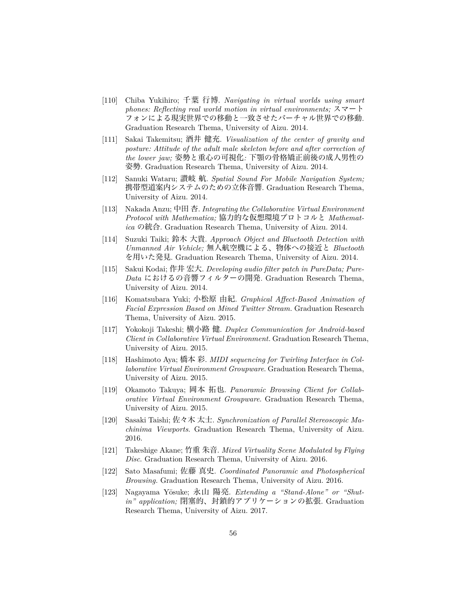- [110] Chiba Yukihiro; 千葉 行博. *Navigating in virtual worlds using smart phones: Reflecting real world motion in virtual environments;* スマート フォンによる現実世界での移動と一致させたバーチャル世界での移動. Graduation Research Thema, University of Aizu. 2014.
- [111] Sakai Takemitsu; 酒井 健充. *Visualization of the center of gravity and posture: Attitude of the adult male skeleton before and after correction of the lower jaw;* 姿勢と重心の可視化*:* 下顎の骨格矯正前後の成人男性の 姿勢. Graduation Research Thema, University of Aizu. 2014.
- [112] Sanuki Wataru; 讃岐 航. *Spatial Sound For Mobile Navigation System;* 携帯型道案内システムのための立体音響. Graduation Research Thema, University of Aizu. 2014.
- [113] Nakada Anzu; 中田 杏. *Integrating the Collaborative Virtual Environment Protocol with Mathematica;* 協力的な仮想環境プロトコルと *Mathematica* の統合. Graduation Research Thema, University of Aizu. 2014.
- [114] Suzuki Taiki; 鈴木 大貴. *Approach Object and Bluetooth Detection with Unmanned Air Vehicle;* 無人航空機による、物体への接近と *Bluetooth* を用いた発見. Graduation Research Thema, University of Aizu. 2014.
- [115] Sakui Kodai; 作井 宏大. *Developing audio filter patch in PureData; Pure-Data* におけるの音響フィルターの開発. Graduation Research Thema, University of Aizu. 2014.
- [116] Komatsubara Yuki; 小松原 由紀. *Graphical Affect-Based Animation of Facial Expression Based on Mined Twitter Stream*. Graduation Research Thema, University of Aizu. 2015.
- [117] Yokokoji Takeshi; 横小路 健. *Duplex Communication for Android-based Client in Collaborative Virtual Environment*. Graduation Research Thema, University of Aizu. 2015.
- [118] Hashimoto Aya; 橋本 彩. *MIDI sequencing for Twirling Interface in Collaborative Virtual Environment Groupware*. Graduation Research Thema, University of Aizu. 2015.
- [119] Okamoto Takuya; 岡本 拓也. *Panoramic Browsing Client for Collaborative Virtual Environment Groupware*. Graduation Research Thema, University of Aizu. 2015.
- [120] Sasaki Taishi; 佐々木 太士. *Synchronization of Parallel Stereoscopic Machinima Viewports*. Graduation Research Thema, University of Aizu. 2016.
- [121] Takeshige Akane; 竹重 朱音. *Mixed Virtuality Scene Modulated by Flying Disc*. Graduation Research Thema, University of Aizu. 2016.
- [122] Sato Masafumi; 佐藤 真史. *Coordinated Panoramic and Photospherical Browsing*. Graduation Research Thema, University of Aizu. 2016.
- [123] Nagayama Yōsuke; 永山 陽亮. *Extending a "Stand-Alone" or "Shutin" application;* 閉塞的、封鎖的アプリケーションの拡張. Graduation Research Thema, University of Aizu. 2017.